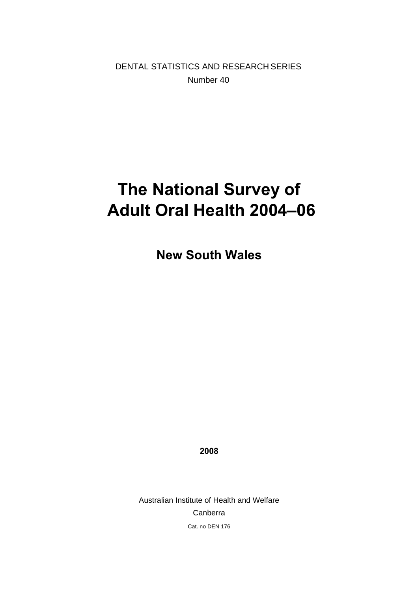DENTAL STATISTICS AND RESEARCH SERIES Number 40

# **The National Survey of Adult Oral Health 2004–06**

**New South Wales** 

**2008** 

Australian Institute of Health and Welfare Canberra Cat. no DEN 176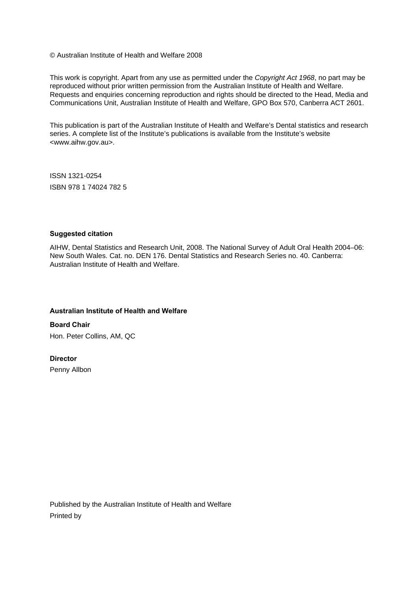© Australian Institute of Health and Welfare 2008

This work is copyright. Apart from any use as permitted under the *Copyright Act 1968*, no part may be reproduced without prior written permission from the Australian Institute of Health and Welfare. Requests and enquiries concerning reproduction and rights should be directed to the Head, Media and Communications Unit, Australian Institute of Health and Welfare, GPO Box 570, Canberra ACT 2601.

This publication is part of the Australian Institute of Health and Welfare's Dental statistics and research series. A complete list of the Institute's publications is available from the Institute's website <www.aihw.gov.au>.

ISSN 1321-0254 ISBN 978 1 74024 782 5

#### **Suggested citation**

AIHW, Dental Statistics and Research Unit, 2008. The National Survey of Adult Oral Health 2004–06: New South Wales. Cat. no. DEN 176. Dental Statistics and Research Series no. 40. Canberra: Australian Institute of Health and Welfare.

#### **Australian Institute of Health and Welfare**

**Board Chair**  Hon. Peter Collins, AM, QC

#### **Director**

Penny Allbon

Published by the Australian Institute of Health and Welfare Printed by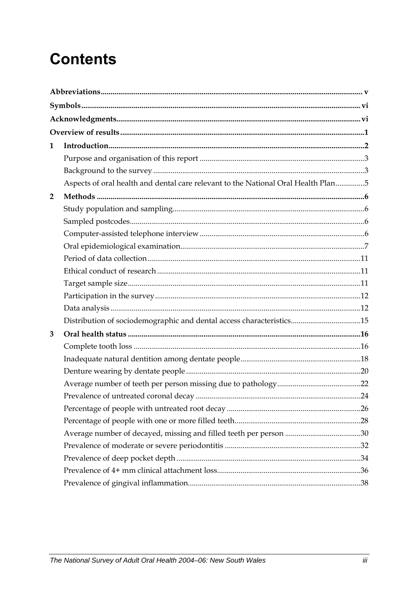# **Contents**

| 1              |                                                                                   |  |
|----------------|-----------------------------------------------------------------------------------|--|
|                |                                                                                   |  |
|                |                                                                                   |  |
|                | Aspects of oral health and dental care relevant to the National Oral Health Plan5 |  |
| $\overline{2}$ |                                                                                   |  |
|                |                                                                                   |  |
|                |                                                                                   |  |
|                |                                                                                   |  |
|                |                                                                                   |  |
|                |                                                                                   |  |
|                |                                                                                   |  |
|                |                                                                                   |  |
|                |                                                                                   |  |
|                |                                                                                   |  |
|                | Distribution of sociodemographic and dental access characteristics15              |  |
| 3              |                                                                                   |  |
|                |                                                                                   |  |
|                |                                                                                   |  |
|                |                                                                                   |  |
|                |                                                                                   |  |
|                |                                                                                   |  |
|                |                                                                                   |  |
|                |                                                                                   |  |
|                |                                                                                   |  |
|                |                                                                                   |  |
|                |                                                                                   |  |
|                |                                                                                   |  |
|                |                                                                                   |  |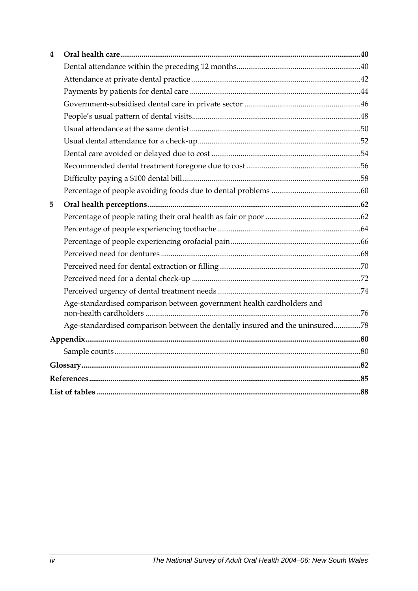| 4 |                                                                              |  |  |  |  |
|---|------------------------------------------------------------------------------|--|--|--|--|
|   |                                                                              |  |  |  |  |
|   |                                                                              |  |  |  |  |
|   |                                                                              |  |  |  |  |
|   |                                                                              |  |  |  |  |
|   |                                                                              |  |  |  |  |
|   |                                                                              |  |  |  |  |
|   |                                                                              |  |  |  |  |
|   |                                                                              |  |  |  |  |
|   |                                                                              |  |  |  |  |
|   |                                                                              |  |  |  |  |
|   |                                                                              |  |  |  |  |
| 5 |                                                                              |  |  |  |  |
|   |                                                                              |  |  |  |  |
|   |                                                                              |  |  |  |  |
|   |                                                                              |  |  |  |  |
|   |                                                                              |  |  |  |  |
|   |                                                                              |  |  |  |  |
|   |                                                                              |  |  |  |  |
|   |                                                                              |  |  |  |  |
|   | Age-standardised comparison between government health cardholders and        |  |  |  |  |
|   | Age-standardised comparison between the dentally insured and the uninsured78 |  |  |  |  |
|   |                                                                              |  |  |  |  |
|   |                                                                              |  |  |  |  |
|   |                                                                              |  |  |  |  |
|   |                                                                              |  |  |  |  |
|   |                                                                              |  |  |  |  |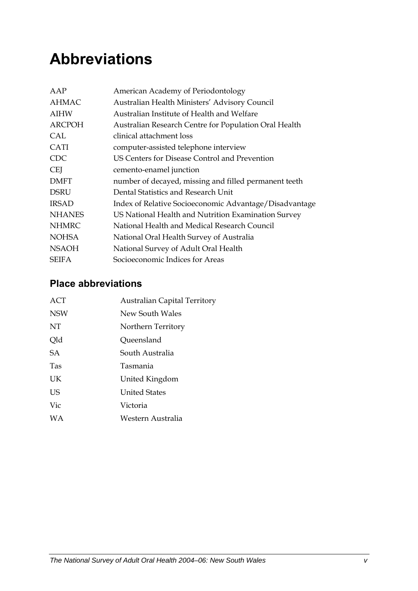# <span id="page-4-0"></span>**Abbreviations**

| AAP           | American Academy of Periodontology                     |
|---------------|--------------------------------------------------------|
| <b>AHMAC</b>  | Australian Health Ministers' Advisory Council          |
| <b>AIHW</b>   | Australian Institute of Health and Welfare             |
| <b>ARCPOH</b> | Australian Research Centre for Population Oral Health  |
| CAL           | clinical attachment loss                               |
| <b>CATI</b>   | computer-assisted telephone interview                  |
| <b>CDC</b>    | US Centers for Disease Control and Prevention          |
| <b>CEI</b>    | cemento-enamel junction                                |
| <b>DMFT</b>   | number of decayed, missing and filled permanent teeth  |
| <b>DSRU</b>   | Dental Statistics and Research Unit                    |
| <b>IRSAD</b>  | Index of Relative Socioeconomic Advantage/Disadvantage |
| <b>NHANES</b> | US National Health and Nutrition Examination Survey    |
| <b>NHMRC</b>  | National Health and Medical Research Council           |
| <b>NOHSA</b>  | National Oral Health Survey of Australia               |
| <b>NSAOH</b>  | National Survey of Adult Oral Health                   |
| <b>SEIFA</b>  | Socioeconomic Indices for Areas                        |

### **Place abbreviations**

| ACT        | <b>Australian Capital Territory</b> |
|------------|-------------------------------------|
| <b>NSW</b> | New South Wales                     |
| NT         | Northern Territory                  |
| Qld        | Queensland                          |
| SA         | South Australia                     |
| <b>Tas</b> | Tasmania                            |
| UK         | United Kingdom                      |
| US         | <b>United States</b>                |
| Vic        | Victoria                            |
| <b>WA</b>  | Western Australia                   |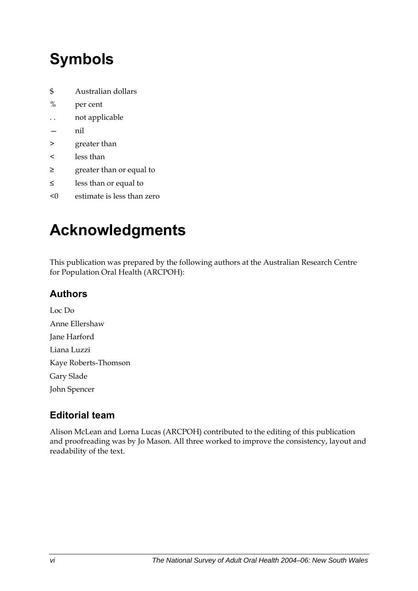# <span id="page-5-0"></span>**Symbols**

- \$ Australian dollars
- % per cent
- . . not applicable
- nil
- > greater than
- < less than
- ≥ greater than or equal to
- ≤ less than or equal to
- <0 estimate is less than zero

# **Acknowledgments**

This publication was prepared by the following authors at the Australian Research Centre for Population Oral Health (ARCPOH):

### **Authors**

Loc Do Anne Ellershaw Jane Harford Liana Luzzi Kaye Roberts-Thomson Gary Slade John Spencer

### **Editorial team**

Alison McLean and Lorna Lucas (ARCPOH) contributed to the editing of this publication and proofreading was by Jo Mason. All three worked to improve the consistency, layout and readability of the text.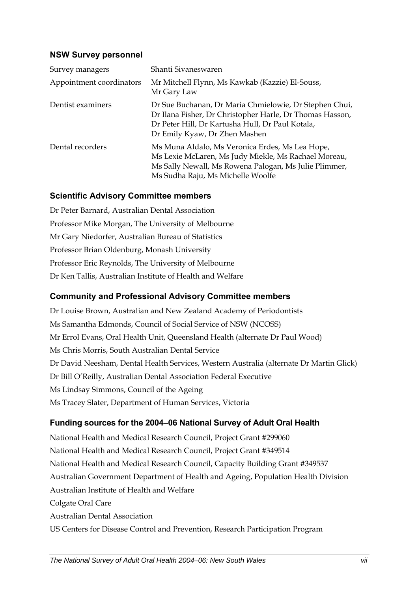#### **NSW Survey personnel**

| Survey managers          | Shanti Sivaneswaren                                                                                                                                                                                     |
|--------------------------|---------------------------------------------------------------------------------------------------------------------------------------------------------------------------------------------------------|
| Appointment coordinators | Mr Mitchell Flynn, Ms Kawkab (Kazzie) El-Souss,<br>Mr Gary Law                                                                                                                                          |
| Dentist examiners        | Dr Sue Buchanan, Dr Maria Chmielowie, Dr Stephen Chui,<br>Dr Ilana Fisher, Dr Christopher Harle, Dr Thomas Hasson,<br>Dr Peter Hill, Dr Kartusha Hull, Dr Paul Kotala,<br>Dr Emily Kyaw, Dr Zhen Mashen |
| Dental recorders         | Ms Muna Aldalo, Ms Veronica Erdes, Ms Lea Hope,<br>Ms Lexie McLaren, Ms Judy Miekle, Ms Rachael Moreau,<br>Ms Sally Newall, Ms Rowena Palogan, Ms Julie Plimmer,<br>Ms Sudha Raju, Ms Michelle Woolfe   |

#### **Scientific Advisory Committee members**

Dr Peter Barnard, Australian Dental Association Professor Mike Morgan, The University of Melbourne Mr Gary Niedorfer, Australian Bureau of Statistics Professor Brian Oldenburg, Monash University Professor Eric Reynolds, The University of Melbourne Dr Ken Tallis, Australian Institute of Health and Welfare

#### **Community and Professional Advisory Committee members**

Dr Louise Brown, Australian and New Zealand Academy of Periodontists Ms Samantha Edmonds, Council of Social Service of NSW (NCOSS) Mr Errol Evans, Oral Health Unit, Queensland Health (alternate Dr Paul Wood) Ms Chris Morris, South Australian Dental Service Dr David Neesham, Dental Health Services, Western Australia (alternate Dr Martin Glick) Dr Bill O'Reilly, Australian Dental Association Federal Executive Ms Lindsay Simmons, Council of the Ageing Ms Tracey Slater, Department of Human Services, Victoria

#### **Funding sources for the 2004–06 National Survey of Adult Oral Health**

National Health and Medical Research Council, Project Grant #299060 National Health and Medical Research Council, Project Grant #349514 National Health and Medical Research Council, Capacity Building Grant #349537 Australian Government Department of Health and Ageing, Population Health Division Australian Institute of Health and Welfare Colgate Oral Care Australian Dental Association US Centers for Disease Control and Prevention, Research Participation Program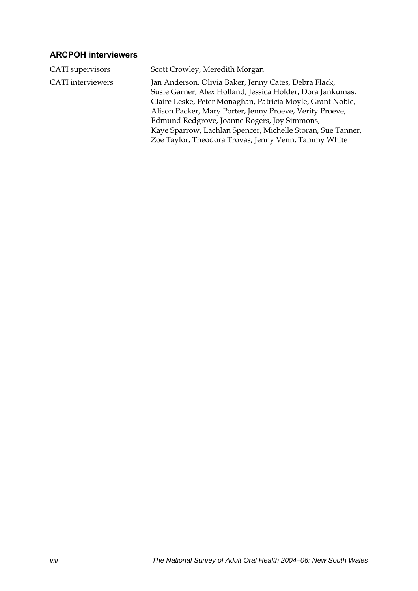#### **ARCPOH interviewers**

| CATI supervisors         | Scott Crowley, Meredith Morgan                                                                                                                                                                                                                                                                                                                                                                                       |
|--------------------------|----------------------------------------------------------------------------------------------------------------------------------------------------------------------------------------------------------------------------------------------------------------------------------------------------------------------------------------------------------------------------------------------------------------------|
| <b>CATI</b> interviewers | Jan Anderson, Olivia Baker, Jenny Cates, Debra Flack,<br>Susie Garner, Alex Holland, Jessica Holder, Dora Jankumas,<br>Claire Leske, Peter Monaghan, Patricia Moyle, Grant Noble,<br>Alison Packer, Mary Porter, Jenny Proeve, Verity Proeve,<br>Edmund Redgrove, Joanne Rogers, Joy Simmons,<br>Kaye Sparrow, Lachlan Spencer, Michelle Storan, Sue Tanner,<br>Zoe Taylor, Theodora Trovas, Jenny Venn, Tammy White |
|                          |                                                                                                                                                                                                                                                                                                                                                                                                                      |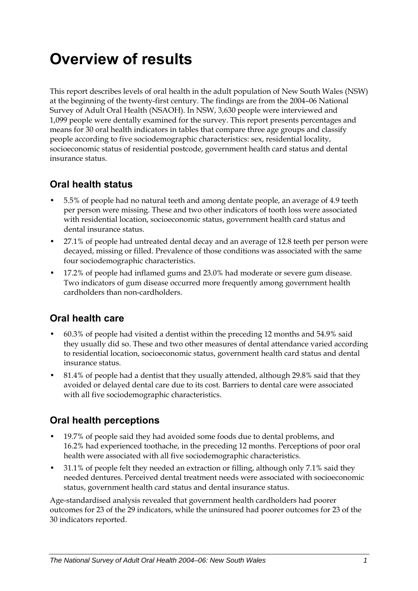# <span id="page-8-0"></span>**Overview of results**

This report describes levels of oral health in the adult population of New South Wales (NSW) at the beginning of the twenty-first century. The findings are from the 2004–06 National Survey of Adult Oral Health (NSAOH). In NSW, 3,630 people were interviewed and 1,099 people were dentally examined for the survey. This report presents percentages and means for 30 oral health indicators in tables that compare three age groups and classify people according to five sociodemographic characteristics: sex, residential locality, socioeconomic status of residential postcode, government health card status and dental insurance status.

### **Oral health status**

- 5.5% of people had no natural teeth and among dentate people, an average of 4.9 teeth per person were missing. These and two other indicators of tooth loss were associated with residential location, socioeconomic status, government health card status and dental insurance status.
- 27.1% of people had untreated dental decay and an average of 12.8 teeth per person were decayed, missing or filled. Prevalence of those conditions was associated with the same four sociodemographic characteristics.
- 17.2% of people had inflamed gums and 23.0% had moderate or severe gum disease. Two indicators of gum disease occurred more frequently among government health cardholders than non-cardholders.

### **Oral health care**

- 60.3% of people had visited a dentist within the preceding 12 months and 54.9% said they usually did so. These and two other measures of dental attendance varied according to residential location, socioeconomic status, government health card status and dental insurance status.
- 81.4% of people had a dentist that they usually attended, although 29.8% said that they avoided or delayed dental care due to its cost. Barriers to dental care were associated with all five sociodemographic characteristics.

### **Oral health perceptions**

- 19.7% of people said they had avoided some foods due to dental problems, and 16.2% had experienced toothache, in the preceding 12 months. Perceptions of poor oral health were associated with all five sociodemographic characteristics.
- 31.1% of people felt they needed an extraction or filling, although only 7.1% said they needed dentures. Perceived dental treatment needs were associated with socioeconomic status, government health card status and dental insurance status.

Age-standardised analysis revealed that government health cardholders had poorer outcomes for 23 of the 29 indicators, while the uninsured had poorer outcomes for 23 of the 30 indicators reported.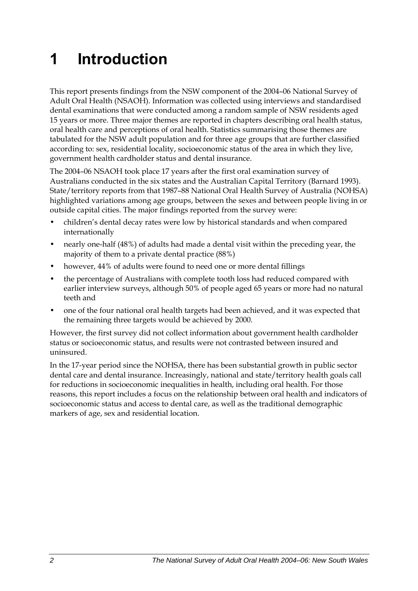# <span id="page-9-0"></span>**1 Introduction**

<span id="page-9-1"></span>This report presents findings from the NSW component of the 2004–06 National Survey of Adult Oral Health (NSAOH). Information was collected using interviews and standardised dental examinations that were conducted among a random sample of NSW residents aged 15 years or more. Three major themes are reported in chapters describing oral health status, oral health care and perceptions of oral health. Statistics summarising those themes are tabulated for the NS[W adult population and for three age groups that are further classified](#page-9-1)  [according to: sex, residential locality, socioeconomic status of the area in which they live,](#page-9-1)  [government health cardholder status and dental insurance.](#page-9-1) 

The 2004–06 NSAOH took place 17 years after the first oral examination survey of Australians conducted in the six states and the Australian Capital Territory (Barnard 1993). State/territory reports from that 1987-88 National Oral Health Survey of Australia (NOHSA) highlighted variations among age groups, between the sexes and between people living in or outside capital cities. The major findings reported from the survey were:

- children's dental decay rates were low by historical standards and when compared internationally
- nearly one-half (48%) of adults had made a dental visit within the preceding year, the majority of them to a private dental practice (88%)
- however, 44% of adults were found to need one or more dental fillings
- the percentage of Australians with complete tooth loss had reduced compared with earlier interview surveys, although 50% of people aged 65 years or more had no natural teeth and
- one of the four national oral health targets had been achieved, and it was expected that the remaining three targets would be achieved by 2000.

However, the first survey did not collect information about government health cardholder status or socioeconomic status, and results were not contrasted between insured and uninsured.

In the 17-year period since the NOHSA, there has been substantial growth in public sector dental care and dental insurance. Increasingly, national and state/territory health goals call for reductions in socioeconomic inequalities in health, including oral health. For those reasons, this report includes a focus on the relationship between oral health and indicators of socioeconomic status and access to dental care, as well as the traditional demographic markers of age, sex and residential location.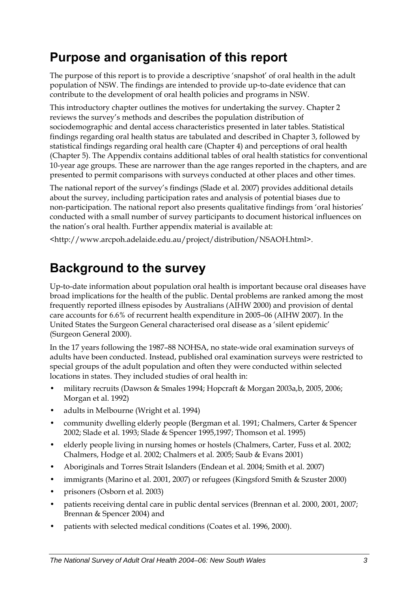## <span id="page-10-0"></span>**Purpose and organisation of this report**

The purpose of this report is to provide a descriptive 'snapshot' of oral health in the adult population of [NSW. The findings are intended to provide up-to-date evidence that can](#page-9-1)  [contribute to the development of oral health policies and programs in NSW.](#page-9-1)

This introductory chapter outlines the motives for undertaking the survey. Chapter 2 reviews the survey's methods and describes the population distribution of sociodemographic and dental access characteristics presented in later tables. Statistical findings regarding oral health status are tabulated and described in Chapter 3, followed by statistical findings regarding oral health care (Chapter 4) and perceptions of oral health (Chapter 5). The Appendix contains additional tables of oral health statistics for conventional 10-year age groups. These are narrower than the age ranges reported in the chapters, and are presented to permit comparisons with surveys conducted at other places and other times.

The national report of the survey's findings (Slade et al. 2007) provides additional details about the survey, including participation rates and analysis of potential biases due to non-participation. The national report also presents qualitative findings from 'oral histories' conducted with a small number of survey participants to document historical influences on the nation's oral health. Further appendix material is available at:

<http://www.arcpoh.adelaide.edu.au/project/distribution/NSAOH.html>.

# **Background to the survey**

Up-to-date information about population oral health is important because oral diseases have broad implications for the health of the public. Dental problems are ranked among the most frequently reported illness episodes by Australians (AIHW 2000) and provision of dental care accounts for 6.6% of recurrent health expenditure in 2005–06 (AIHW 2007). In the United States the Surgeon General characterised oral disease as a 'silent epidemic' (Surgeon General 2000).

In the 17 years following the 1987–88 NOHSA, no state-wide oral examination surveys of adults have been conducted. Instead, published oral examination surveys were restricted to special groups of the adult population and often they were conducted within selected locations in states. They included studies of oral health in:

- military recruits (Dawson & Smales 1994; Hopcraft & Morgan 2003a,b, 2005, 2006; Morgan et al. 1992)
- adults in Melbourne (Wright et al. 1994)
- community dwelling elderly people (Bergman et al. 1991; Chalmers, Carter & Spencer 2002; Slade et al. 1993; Slade & Spencer 1995,1997; Thomson et al. 1995)
- elderly people living in nursing homes or hostels (Chalmers, Carter, Fuss et al. 2002; Chalmers, Hodge et al. 2002; Chalmers et al*.* 2005; Saub & Evans 2001)
- Aboriginals and Torres Strait Islanders (Endean et al. 2004; Smith et al. 2007)
- immigrants (Marino et al. 2001, 2007) or refugees (Kingsford Smith & Szuster 2000)
- prisoners (Osborn et al. 2003)
- patients receiving dental care in public dental services (Brennan et al. 2000, 2001, 2007; Brennan & Spencer 2004) and
- patients with selected medical conditions (Coates et al. 1996, 2000).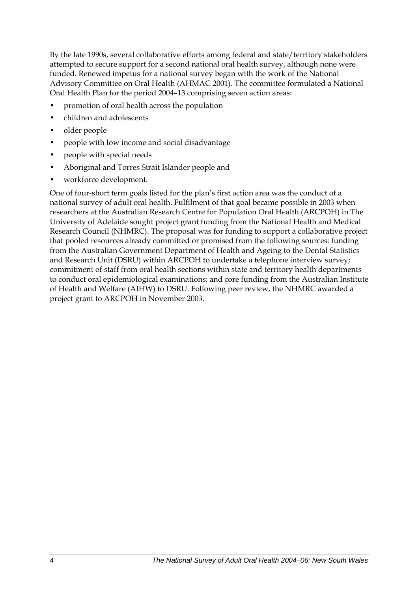By the late 1990s, several collaborative efforts among federal and state/territory stakeholders attempted to secure support for a second national oral health survey, although none were funded. Renewed impetus for a national survey began with the work of the National Advisory Committee on Oral Health (AHMAC 2001). The committee formulated a National Oral Health Plan for the period 2004–13 comprising seven action areas:

- promotion of oral health across the population
- children and adolescents
- older people
- people with low income and social disadvantage
- people with special needs
- Aboriginal and Torres Strait Islander people and
- workforce development.

One of four-short term goals listed for the plan's first action area was the conduct of a national survey of adult oral health. Fulfilment of that goal became possible in 2003 when researchers at the Australian Research Centre for Population Oral Health (ARCPOH) in The University of Adelaide sought project grant funding from the National Health and Medical Research Council (NHMRC). The proposal was for funding to support a collaborative project that pooled resources already committed or promised from the following sources: funding from the Australian Government Department of Health and Ageing to the Dental Statistics and Research Unit (DSRU) within ARCPOH to undertake a telephone interview survey; commitment of staff from oral health sections within state and territory health departments to conduct oral epidemiological examinations; and core funding from the Australian Institute of Health and Welfare (AIHW) to DSRU. Following peer review, the NHMRC awarded a project grant to ARCPOH in November 2003.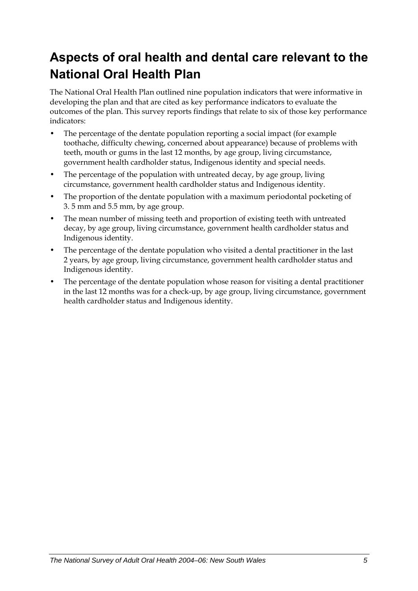# <span id="page-12-0"></span>**Aspects of oral health and dental care relevant to the National Oral Health Plan**

The National Oral Health Plan outlined nine population indicators that were informative in developing the plan and that are cited as key performance indicators to evaluate the outcomes of the plan. This survey reports findings that relate to six of those key performance indicators:

- The percentage of the dentate population reporting a social impact (for example toothache, difficulty chewing, concerned about appearance) because of problems with teeth, mouth or gums in the last 12 months, by age group, living circumstance, government health cardholder status, Indigenous identity and special needs.
- The percentage of the population with untreated decay, by age group, living circumstance, government health cardholder status and Indigenous identity.
- The proportion of the dentate population with a maximum periodontal pocketing of 3. 5 mm and 5.5 mm, by age group.
- The mean number of missing teeth and proportion of existing teeth with untreated decay, by age group, living circumstance, government health cardholder status and Indigenous identity.
- The percentage of the dentate population who visited a dental practitioner in the last 2 years, by age group, living circumstance, government health cardholder status and Indigenous identity.
- The percentage of the dentate population whose reason for visiting a dental practitioner in the last 12 months was for a check-up, by age group, living circumstance, government health cardholder status and Indigenous identity.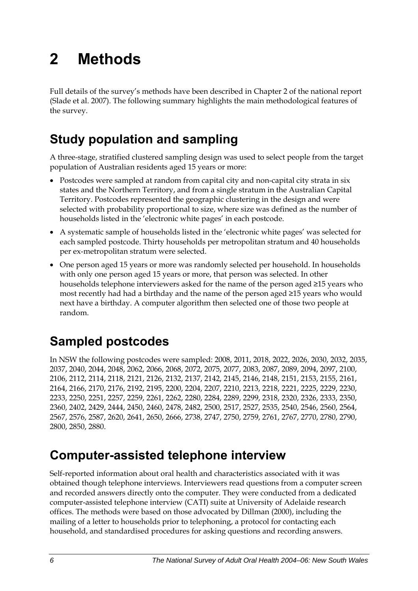# <span id="page-13-0"></span>**2 Methods**

Full details of the survey's methods have been described in Chapter 2 of the national report (Slade et al. 2007). The following summary highlights the main methodological features of the survey.

# **Study population and sampling**

A three-stage, stratified clustered sampling design was used to select people from the target population of Australian residents aged 15 years or more:

- Postcodes were sampled at random from capital city and non-capital city strata in six states and the Northern Territory, and from a single stratum in the Australian Capital Territory. Postcodes represented the geographic clustering in the design and were selected with probability proportional to size, where size was defined as the number of households listed in the 'electronic white pages' in each postcode.
- A systematic sample of households listed in the 'electronic white pages' was selected for each sampled postcode. Thirty households per metropolitan stratum and 40 households per ex-metropolitan stratum were selected.
- One person aged 15 years or more was randomly selected per household. In households with only one person aged 15 years or more, that person was selected. In other households telephone interviewers asked for the name of the person aged ≥15 years who most recently had had a birthday and the name of the person aged ≥15 years who would next have a birthday. A computer algorithm then selected one of those two people at random.

# **Sampled postcodes**

In NSW the following postcodes were sampled: 2008, 2011, 2018, 2022, 2026, 2030, 2032, 2035, 2037, 2040, 2044, 2048, 2062, 2066, 2068, 2072, 2075, 2077, 2083, 2087, 2089, 2094, 2097, 2100, 2106, 2112, 2114, 2118, 2121, 2126, 2132, 2137, 2142, 2145, 2146, 2148, 2151, 2153, 2155, 2161, 2164, 2166, 2170, 2176, 2192, 2195, 2200, 2204, 2207, 2210, 2213, 2218, 2221, 2225, 2229, 2230, 2233, 2250, 2251, 2257, 2259, 2261, 2262, 2280, 2284, 2289, 2299, 2318, 2320, 2326, 2333, 2350, 2360, 2402, 2429, 2444, 2450, 2460, 2478, 2482, 2500, 2517, 2527, 2535, 2540, 2546, 2560, 2564, 2567, 2576, 2587, 2620, 2641, 2650, 2666, 2738, 2747, 2750, 2759, 2761, 2767, 2770, 2780, 2790, 2800, 2850, 2880.

## **Computer-assisted telephone interview**

Self-reported information about oral health and characteristics associated with it was obtained though telephone interviews. Interviewers read questions from a computer screen and recorded answers directly onto the computer. They were conducted from a dedicated computer-assisted telephone interview (CATI) suite at University of Adelaide research offices. The methods were based on those advocated by Dillman (2000), including the mailing of a letter to households prior to telephoning, a protocol for contacting each household, and standardised procedures for asking questions and recording answers.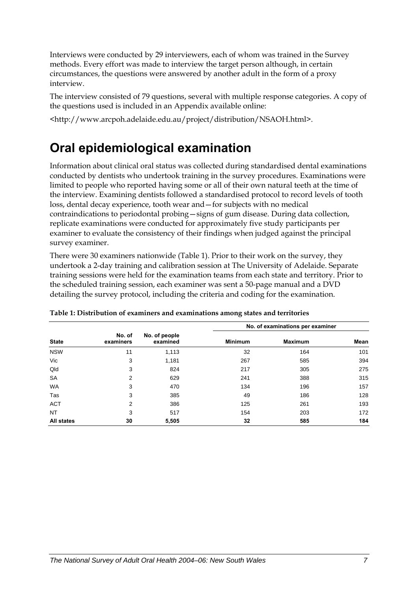<span id="page-14-0"></span>Interviews were conducted by 29 interviewers, each of whom was trained in the Survey methods. Every effort was made to interview the target person although, in certain circumstances, the questions were answered by another adult in the form of a proxy interview.

The interview consisted of 79 questions, several with multiple response categories. A copy of the questions used is included in an Appendix available online:

<http://www.arcpoh.adelaide.edu.au/project/distribution/NSAOH.html>.

## **Oral epidemiological examination**

Information about clinical oral status was collected during standardised dental examinations conducted by dentists who undertook training in the survey procedures. Examinations were limited to people who reported having some or all of their own natural teeth at the time of the interview. Examining dentists followed a standardised protocol to record levels of tooth loss, dental decay experience, tooth wear and—for subjects with no medical contraindications to periodontal probing—signs of gum disease. During data collection, replicate examinations were conducted for approximately five study participants per examiner to evaluate the consistency of their findings when judged against the principal survey examiner.

There were 30 examiners nationwide (Table 1[\). Prior to their work on the survey, they](#page-14-1)  [undertook a 2-day training and calibration session at The University of Adelaide. Separate](#page-14-1)  [training sessions were held for the examination teams from each state and territory. Prior to](#page-14-1)  [the scheduled training session, each examiner was sent a 50-page manual and a DVD](#page-14-1)  [detailing the survey protocol, including the criteria and coding for the examination.](#page-14-1) 

<span id="page-14-1"></span>

|                   |                     |                           |                | No. of examinations per examiner |      |
|-------------------|---------------------|---------------------------|----------------|----------------------------------|------|
| <b>State</b>      | No. of<br>examiners | No. of people<br>examined | <b>Minimum</b> | <b>Maximum</b>                   | Mean |
| <b>NSW</b>        | 11                  | 1,113                     | 32             | 164                              | 101  |
| Vic               | 3                   | 1,181                     | 267            | 585                              | 394  |
| Qld               | 3                   | 824                       | 217            | 305                              | 275  |
| <b>SA</b>         | 2                   | 629                       | 241            | 388                              | 315  |
| <b>WA</b>         | 3                   | 470                       | 134            | 196                              | 157  |
| Tas               | 3                   | 385                       | 49             | 186                              | 128  |
| <b>ACT</b>        | 2                   | 386                       | 125            | 261                              | 193  |
| NT                | 3                   | 517                       | 154            | 203                              | 172  |
| <b>All states</b> | 30                  | 5,505                     | 32             | 585                              | 184  |

|  | Table 1: Distribution of examiners and examinations among states and territories |
|--|----------------------------------------------------------------------------------|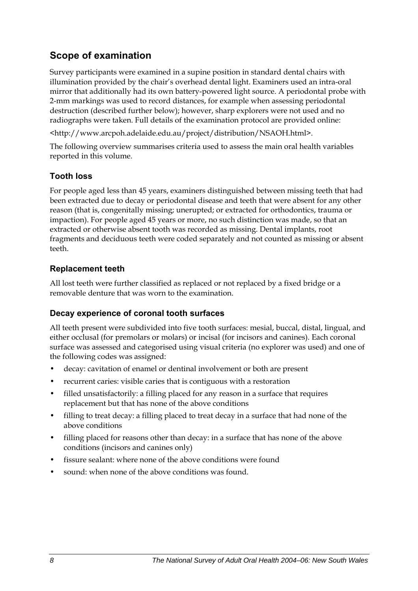### **Scope of examination**

Survey participants were examined in a supine position in standard dental chairs with illumination provided by the chair's overhead dental light. Examiners used an intra-oral mirror that additionally had its own battery-powered light source. A periodontal probe with 2-mm markings was used to record distances, for example when assessing periodontal destruction (described further below); however, sharp explorers were not used and no radiographs were taken. Full details of the examination protocol are provided online:

<http://www.arcpoh.adelaide.edu.au/project/distribution/NSAOH.html>.

The following overview summarises criteria used to assess the main oral health variables reported in this volume.

#### **Tooth loss**

For people aged less than 45 years, examiners distinguished between missing teeth that had been extracted due to decay or periodontal disease and teeth that were absent for any other reason (that is, congenitally missing; unerupted; or extracted for orthodontics, trauma or impaction). For people aged 45 years or more, no such distinction was made, so that an extracted or otherwise absent tooth was recorded as missing. Dental implants, root fragments and deciduous teeth were coded separately and not counted as missing or absent teeth.

#### **Replacement teeth**

All lost teeth were further classified as replaced or not replaced by a fixed bridge or a removable denture that was worn to the examination.

#### **Decay experience of coronal tooth surfaces**

All teeth present were subdivided into five tooth surfaces: mesial, buccal, distal, lingual, and either occlusal (for premolars or molars) or incisal (for incisors and canines). Each coronal surface was assessed and categorised using visual criteria (no explorer was used) and one of the following codes was assigned:

- decay: cavitation of enamel or dentinal involvement or both are present
- recurrent caries: visible caries that is contiguous with a restoration
- filled unsatisfactorily: a filling placed for any reason in a surface that requires replacement but that has none of the above conditions
- filling to treat decay: a filling placed to treat decay in a surface that had none of the above conditions
- filling placed for reasons other than decay: in a surface that has none of the above conditions (incisors and canines only)
- fissure sealant: where none of the above conditions were found
- sound: when none of the above conditions was found.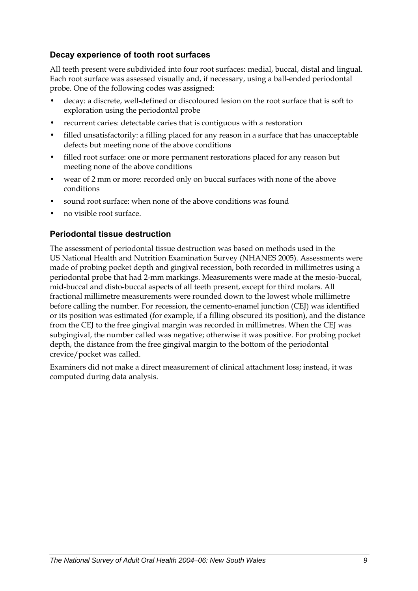#### **Decay experience of tooth root surfaces**

All teeth present were subdivided into four root surfaces: medial, buccal, distal and lingual. Each root surface was assessed visually and, if necessary, using a ball-ended periodontal probe. One of the following codes was assigned:

- decay: a discrete, well-defined or discoloured lesion on the root surface that is soft to exploration using the periodontal probe
- recurrent caries: detectable caries that is contiguous with a restoration
- filled unsatisfactorily: a filling placed for any reason in a surface that has unacceptable defects but meeting none of the above conditions
- filled root surface: one or more permanent restorations placed for any reason but meeting none of the above conditions
- wear of 2 mm or more: recorded only on buccal surfaces with none of the above conditions
- sound root surface: when none of the above conditions was found
- no visible root surface.

#### **Periodontal tissue destruction**

The assessment of periodontal tissue destruction was based on methods used in the US National Health and Nutrition Examination Survey (NHANES 2005). Assessments were made of probing pocket depth and gingival recession, both recorded in millimetres using a periodontal probe that had 2-mm markings. Measurements were made at the mesio-buccal, mid-buccal and disto-buccal aspects of all teeth present, except for third molars. All fractional millimetre measurements were rounded down to the lowest whole millimetre before calling the number. For recession, the cemento-enamel junction (CEJ) was identified or its position was estimated (for example, if a filling obscured its position), and the distance from the CEJ to the free gingival margin was recorded in millimetres. When the CEJ was subgingival, the number called was negative; otherwise it was positive. For probing pocket depth, the distance from the free gingival margin to the bottom of the periodontal crevice/pocket was called.

Examiners did not make a direct measurement of clinical attachment loss; instead, it was computed during data analysis.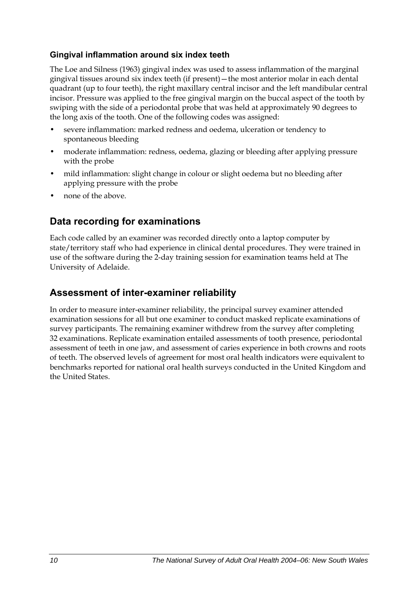#### **Gingival inflammation around six index teeth**

The Loe and Silness (1963) gingival index was used to assess inflammation of the marginal gingival tissues around six index teeth (if present)—the most anterior molar in each dental quadrant (up to four teeth), the right maxillary central incisor and the left mandibular central incisor. Pressure was applied to the free gingival margin on the buccal aspect of the tooth by swiping with the side of a periodontal probe that was held at approximately 90 degrees to the long axis of the tooth. One of the following codes was assigned:

- severe inflammation: marked redness and oedema, ulceration or tendency to spontaneous bleeding
- moderate inflammation: redness, oedema, glazing or bleeding after applying pressure with the probe
- mild inflammation: slight change in colour or slight oedema but no bleeding after applying pressure with the probe
- none of the above.

### **Data recording for examinations**

Each code called by an examiner was recorded directly onto a laptop computer by state/territory staff who had experience in clinical dental procedures. They were trained in use of the software during the 2-day training session for examination teams held at The University of Adelaide.

### **Assessment of inter-examiner reliability**

In order to measure inter-examiner reliability, the principal survey examiner attended examination sessions for all but one examiner to conduct masked replicate examinations of survey participants. The remaining examiner withdrew from the survey after completing 32 examinations. Replicate examination entailed assessments of tooth presence, periodontal assessment of teeth in one jaw, and assessment of caries experience in both crowns and roots of teeth. The observed levels of agreement for most oral health indicators were equivalent to benchmarks reported for national oral health surveys conducted in the United Kingdom and the United States.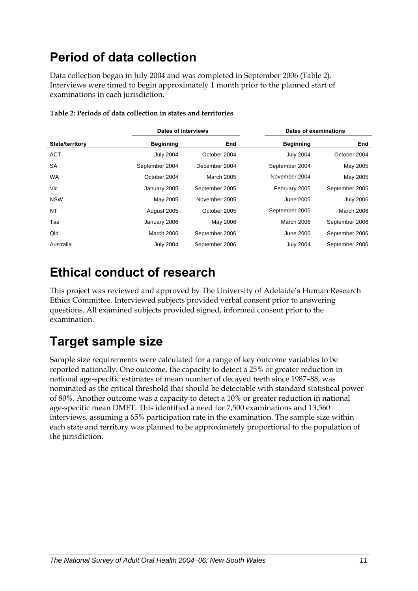# <span id="page-18-0"></span>**Period of data collection**

Data collection began in July 2004 and was completed in September 2006 (Table 2[\).](#page-18-1)  [Interviews were timed to begin approximately 1 month prior to the planned start of](#page-18-1)  [examinations in each jurisdiction.](#page-18-1) 

<span id="page-18-1"></span>

|                        | Dates of interviews |                | Dates of examinations |                   |
|------------------------|---------------------|----------------|-----------------------|-------------------|
| <b>State/territory</b> | <b>Beginning</b>    | End            | <b>Beginning</b>      | End               |
| <b>ACT</b>             | <b>July 2004</b>    | October 2004   | <b>July 2004</b>      | October 2004      |
| <b>SA</b>              | September 2004      | December 2004  | September 2004        | May 2005          |
| <b>WA</b>              | October 2004        | March 2005     | November 2004         | May 2005          |
| Vic                    | January 2005        | September 2005 | February 2005         | September 2005    |
| <b>NSW</b>             | May 2005            | November 2005  | June 2005             | <b>July 2006</b>  |
| NT                     | August 2005         | October 2005   | September 2005        | <b>March 2006</b> |
| Tas                    | January 2006        | May 2006       | <b>March 2006</b>     | September 2006    |
| Qld                    | March 2006          | September 2006 | June 2006             | September 2006    |
| Australia              | <b>July 2004</b>    | September 2006 | <b>July 2004</b>      | September 2006    |

**Table 2: Periods of data collection in states and territories** 

### **Ethical conduct of research**

This project was reviewed and approved by The University of Adelaide's Human Research Ethics Committee. Interviewed subjects provided verbal consent prior to answering questions. All examined subjects provided signed, informed consent prior to the examination.

# **Target sample size**

Sample size requirements were calculated for a range of key outcome variables to be reported nationally. One outcome, the capacity to detect a 25% or greater reduction in national age-specific estimates of mean number of decayed teeth since 1987–88, was nominated as the critical threshold that should be detectable with standard statistical power of 80%. Another outcome was a capacity to detect a 10% or greater reduction in national age-specific mean DMFT. This identified a need for 7,500 examinations and 13,560 interviews, assuming a 65% participation rate in the examination. The sample size within each state and territory was planned to be approximately proportional to the population of the jurisdiction.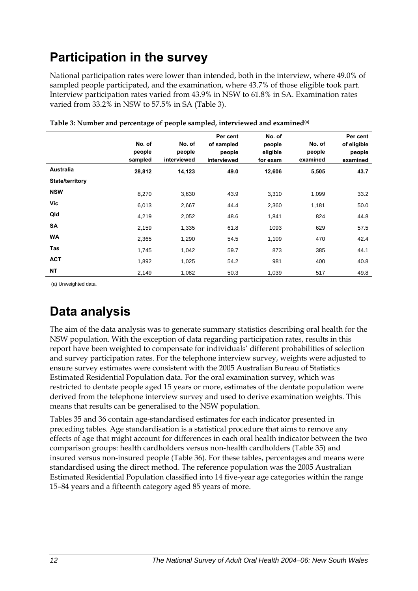# <span id="page-19-0"></span>**Participation in the survey**

National participation rates were lower than intended, both in the interview, where 49.0% of sampled people participated, and the examination, where 43.7% of those eligible took part. Interview participation rates varied from 43.9% in NSW to 61.8% in SA. Examination rates varied from 33.2% in NSW to 57.5% in SA (Table 3).

|                 | No. of<br>people<br>sampled | No. of<br>people<br>interviewed | Per cent<br>of sampled<br>people<br>interviewed | No. of<br>people<br>eligible<br>for exam | No. of<br>people<br>examined | Per cent<br>of eligible<br>people<br>examined |
|-----------------|-----------------------------|---------------------------------|-------------------------------------------------|------------------------------------------|------------------------------|-----------------------------------------------|
| Australia       | 28,812                      | 14,123                          | 49.0                                            | 12,606                                   | 5,505                        | 43.7                                          |
| State/territory |                             |                                 |                                                 |                                          |                              |                                               |
| <b>NSW</b>      | 8,270                       | 3,630                           | 43.9                                            | 3,310                                    | 1,099                        | 33.2                                          |
| Vic             | 6,013                       | 2,667                           | 44.4                                            | 2,360                                    | 1,181                        | 50.0                                          |
| Qld             | 4,219                       | 2,052                           | 48.6                                            | 1,841                                    | 824                          | 44.8                                          |
| SA              | 2,159                       | 1,335                           | 61.8                                            | 1093                                     | 629                          | 57.5                                          |
| <b>WA</b>       | 2,365                       | 1,290                           | 54.5                                            | 1,109                                    | 470                          | 42.4                                          |
| Tas             | 1,745                       | 1,042                           | 59.7                                            | 873                                      | 385                          | 44.1                                          |
| <b>ACT</b>      | 1,892                       | 1,025                           | 54.2                                            | 981                                      | 400                          | 40.8                                          |
| <b>NT</b>       | 2,149                       | 1,082                           | 50.3                                            | 1,039                                    | 517                          | 49.8                                          |

**Table 3: Number and percentage of people sampled, interviewed and examined(a)**

(a) Unweighted data.

# **Data analysis**

The aim of the data analysis was to generate summary statistics describing oral health for the NSW [population. With the exception of data regarding participation rates, results in this](#page-9-1)  [report have been weighted to compensate for individuals' different probabilities of selection](#page-9-1)  [and survey participation rates. For the telephone interview survey, weights were adjusted to](#page-9-1)  [ensure survey estimates were consistent with the 2005 Australian Bureau of Statistics](#page-9-1)  [Estimated Residential Population data. For the oral examination survey, which was](#page-9-1)  [restricted to dentate people aged 15 years or more, estimates of the dentate population were](#page-9-1)  [derived from the telephone interview survey and used to derive examination weights. This](#page-9-1)  [means that results can be generalised to the NSW](#page-9-1) population.

Tables 35 and 36 contain age-standardised estimates for each indicator presented in preceding tables. Age standardisation is a statistical procedure that aims to remove any effects of age that might account for differences in each oral health indicator between the two comparison groups: health cardholders versus non-health cardholders (Table 35) and insured versus non-insured people (Table 36). For these tables, percentages and means were standardised using the direct method. The reference population was the 2005 Australian Estimated Residential Population classified into 14 five-year age categories within the range 15–84 years and a fifteenth category aged 85 years of more.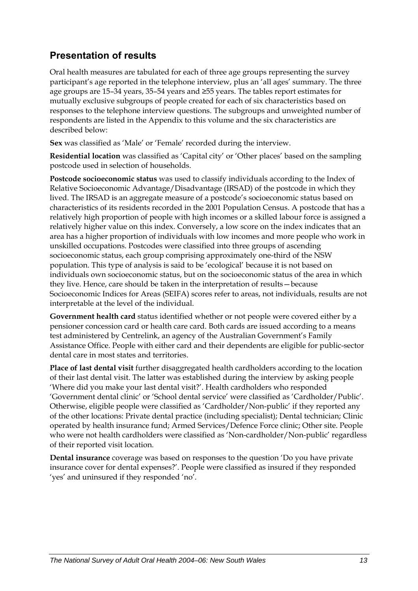### **Presentation of results**

Oral health measures are tabulated for each of three age groups representing the survey participant's age reported in the telephone interview, plus an 'all ages' summary. The three age groups are 15–34 years, 35–54 years and ≥55 years. The tables report estimates for mutually exclusive subgroups of people created for each of six characteristics based on responses to the telephone interview questions. The subgroups and unweighted number of respondents are listed in the Appendix to this volume and the six characteristics are described below:

**Sex** was classified as 'Male' or 'Female' recorded during the interview.

**Residential location** was classified as 'Capital city' or 'Other places' based on the sampling postcode used in selection of households.

**Postcode socioeconomic status** was used to classify individuals according to the Index of Relative Socioeconomic Advantage/Disadvantage (IRSAD) of the postcode in which they lived. The IRSAD is an aggregate measure of a postcode's socioeconomic status based on characteristics of its residents recorded in the 2001 Population Census. A postcode that has a relatively high proportion of people with high incomes or a skilled labour force is assigned a relatively higher value on this index. Conversely, a low score on the index indicates that an area has a higher proportion of individuals with low incomes and more people who work in unskilled occupations. Postcodes were classified into three groups of ascending socioeconomic status, each group comprising approximately one-third of the NSW [population. This type of analysis is said to be 'ecological' because it is not based on](#page-9-1)  [individuals own socioeconomic status, but on the socioeconomic status of the area in which](#page-9-1)  [they live. Hence, care should be taken in the interpretation of results—because](#page-9-1)  [Socioeconomic Indices for Areas \(SEIFA\) scores refer to areas, not individuals, results are not](#page-9-1)  [interpretable at the level of the individual.](#page-9-1) 

**Government health card** status identified whether or not people were covered either by a pensioner concession card or health care card. Both cards are issued according to a means test administered by Centrelink, an agency of the Australian Government's Family Assistance Office. People with either card and their dependents are eligible for public-sector dental care in most states and territories.

**Place of last dental visit** further disaggregated health cardholders according to the location of their last dental visit. The latter was established during the interview by asking people 'Where did you make your last dental visit?'. Health cardholders who responded 'Government dental clinic' or 'School dental service' were classified as 'Cardholder/Public'. Otherwise, eligible people were classified as 'Cardholder/Non-public' if they reported any of the other locations: Private dental practice (including specialist); Dental technician; Clinic operated by health insurance fund; Armed Services/Defence Force clinic; Other site. People who were not health cardholders were classified as 'Non-cardholder/Non-public' regardless of their reported visit location.

**Dental insurance** coverage was based on responses to the question 'Do you have private insurance cover for dental expenses?'. People were classified as insured if they responded 'yes' and uninsured if they responded 'no'.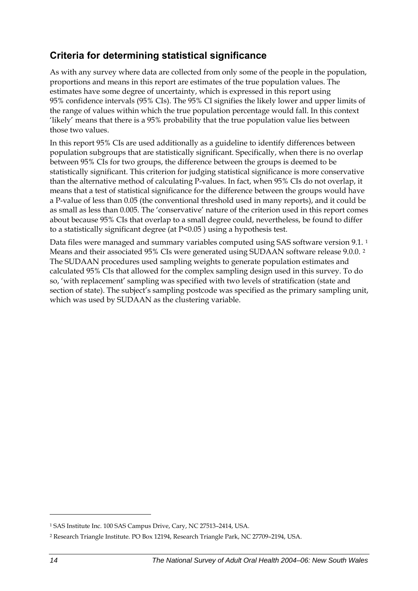### <span id="page-21-0"></span>**Criteria for determining statistical significance**

As with any survey where data are collected from only some of the people in the population, proportions and means in this report are estimates of the true population values. The estimates have some degree of uncertainty, which is expressed in this report using 95% confidence intervals (95% CIs). The 95% CI signifies the likely lower and upper limits of the range of values within which the true population percentage would fall. In this context 'likely' means that there is a 95% probability that the true population value lies between those two values.

In this report 95% CIs are used additionally as a guideline to identify differences between population subgroups that are statistically significant. Specifically, when there is no overlap between 95% CIs for two groups, the difference between the groups is deemed to be statistically significant. This criterion for judging statistical significance is more conservative than the alternative method of calculating P-values. In fact, when 95% CIs do not overlap, it means that a test of statistical significance for the difference between the groups would have a P-value of less than 0.05 (the conventional threshold used in many reports), and it could be as small as less than 0.005. The 'conservative' nature of the criterion used in this report comes about because 95% CIs that overlap to a small degree could, nevertheless, be found to differ to a statistically significant degree (at P<0.05 ) using a hypothesis test.

Data files were managed and summary variables computed using SAS software version 9.[1](#page-21-0).<sup>1</sup> Means and their associated 95% CIs were generated using SUDAAN software release 9.0.0. [2](#page-21-0) The SUDAAN procedures used sampling weights to generate population estimates and calculated 95% CIs that allowed for the complex sampling design used in this survey. To do so, 'with replacement' sampling was specified with two levels of stratification (state and section of state). The subject's sampling postcode was specified as the primary sampling unit, which was used by SUDAAN as the clustering variable.

 $\overline{a}$ 

<sup>1</sup> SAS Institute Inc. 100 SAS Campus Drive, Cary, NC 27513–2414, USA.

<sup>2</sup> Research Triangle Institute. PO Box 12194, Research Triangle Park, NC 27709–2194, USA.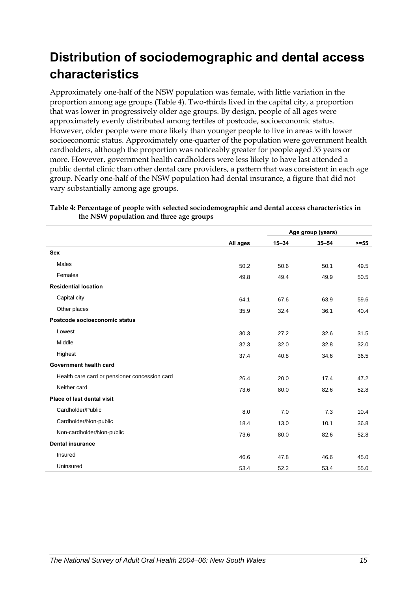# <span id="page-22-0"></span>**Distribution of sociodemographic and dental access characteristics**

Approximately one-half of the NSW population was female, with little variation in the proportion among age groups (Table 4[\). Two-thirds lived in the capital city, a proportion](#page-22-1)  [that was lower in progressively older age groups. By design, people of all ages were](#page-22-1)  [approximately evenly distributed among tertiles of postcode, socioeconomic status.](#page-22-1)  [However, older people were more likely than younger people to live in areas with lower](#page-22-1)  [socioeconomic status. Approximately one-quarter of the population were government health](#page-22-1)  [cardholders, although the proportion was noticeably greater for people aged 55 years or](#page-22-1)  [more. However, government health cardholders were less likely to have last attended a](#page-22-1)  [public dental clinic than other dental care providers, a pattern that was consistent in each age](#page-22-1)  [group. Nearly one-half of the](#page-22-1) [NSW](#page-9-1) population had dental insurance, a figure that did not vary substantially among age groups.

|                                               |          | Age group (years) |           |         |
|-----------------------------------------------|----------|-------------------|-----------|---------|
|                                               | All ages | $15 - 34$         | $35 - 54$ | $>= 55$ |
| <b>Sex</b>                                    |          |                   |           |         |
| <b>Males</b>                                  | 50.2     | 50.6              | 50.1      | 49.5    |
| Females                                       | 49.8     | 49.4              | 49.9      | 50.5    |
| <b>Residential location</b>                   |          |                   |           |         |
| Capital city                                  | 64.1     | 67.6              | 63.9      | 59.6    |
| Other places                                  | 35.9     | 32.4              | 36.1      | 40.4    |
| Postcode socioeconomic status                 |          |                   |           |         |
| Lowest                                        | 30.3     | 27.2              | 32.6      | 31.5    |
| Middle                                        | 32.3     | 32.0              | 32.8      | 32.0    |
| Highest                                       | 37.4     | 40.8              | 34.6      | 36.5    |
| Government health card                        |          |                   |           |         |
| Health care card or pensioner concession card | 26.4     | 20.0              | 17.4      | 47.2    |
| Neither card                                  | 73.6     | 80.0              | 82.6      | 52.8    |
| Place of last dental visit                    |          |                   |           |         |
| Cardholder/Public                             | 8.0      | 7.0               | 7.3       | 10.4    |
| Cardholder/Non-public                         | 18.4     | 13.0              | 10.1      | 36.8    |
| Non-cardholder/Non-public                     | 73.6     | 80.0              | 82.6      | 52.8    |
| <b>Dental insurance</b>                       |          |                   |           |         |
| Insured                                       | 46.6     | 47.8              | 46.6      | 45.0    |
| Uninsured                                     | 53.4     | 52.2              | 53.4      | 55.0    |

#### <span id="page-22-1"></span>**Table 4: Percentage of people with selected sociodemographic and dental access characteristics in the NS[W population and three age groups](#page-9-1)**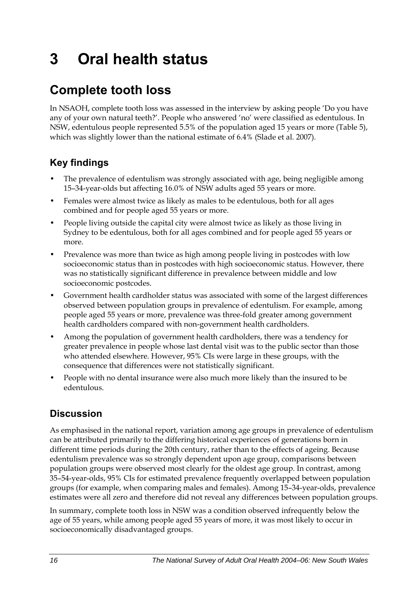# <span id="page-23-0"></span>**3 Oral health status**

# **Complete tooth loss**

In NSAOH, complete tooth loss was assessed in the interview by asking people 'Do you have any of your own natural teeth?'. People who answered 'no' were classified as edentulous. In NSW, edentulous people represented 5.5% of the population aged 15 years or more (Table 5), which was slightly lower than the national estimate of 6.4% (Slade et al. 2007).

### **Key findings**

- The prevalence of edentulism was strongly associated with age, being negligible among 15–34-year-olds but affecting 16.0% of NSW adults aged 55 years or more.
- Females were almost twice as likely as males to be edentulous, both for all ages combined and for people aged 55 years or more.
- People living outside the capital city were almost twice as likely as those living in Sydney to be edentulous, both for all ages combined and for people aged 55 years or more.
- Prevalence was more than twice as high among people living in postcodes with low socioeconomic status than in postcodes with high socioeconomic status. However, there was no statistically significant difference in prevalence between middle and low socioeconomic postcodes.
- Government health cardholder status was associated with some of the largest differences observed between population groups in prevalence of edentulism. For example, among people aged 55 years or more, prevalence was three-fold greater among government health cardholders compared with non-government health cardholders.
- Among the population of government health cardholders, there was a tendency for greater prevalence in people whose last dental visit was to the public sector than those who attended elsewhere. However, 95% CIs were large in these groups, with the consequence that differences were not statistically significant.
- People with no dental insurance were also much more likely than the insured to be edentulous.

### **Discussion**

As emphasised in the national report, variation among age groups in prevalence of edentulism can be attributed primarily to the differing historical experiences of generations born in different time periods during the 20th century, rather than to the effects of ageing. Because edentulism prevalence was so strongly dependent upon age group, comparisons between population groups were observed most clearly for the oldest age group. In contrast, among 35–54-year-olds, 95% CIs for estimated prevalence frequently overlapped between population groups (for example, when comparing males and females). Among 15–34-year-olds, prevalence estimates were all zero and therefore did not reveal any differences between population groups.

In summary, complete tooth loss in NSW was a condition observed infrequently below the age of 55 years, while among people aged 55 years of more, it was most likely to occur in socioeconomically disadvantaged groups.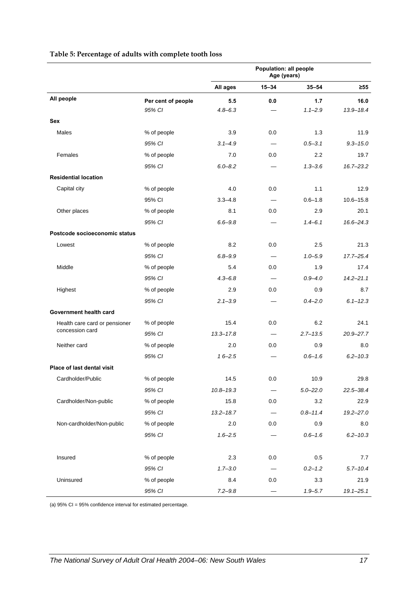|                                   |                    | Population: all people<br>Age (years) |           |              |               |
|-----------------------------------|--------------------|---------------------------------------|-----------|--------------|---------------|
|                                   |                    | All ages                              | $15 - 34$ | $35 - 54$    | $\geq 55$     |
| All people                        | Per cent of people | 5.5                                   | 0.0       | 1.7          | 16.0          |
|                                   | 95% CI             | $4.8 - 6.3$                           |           | $1.1 - 2.9$  | $13.9 - 18.4$ |
| <b>Sex</b>                        |                    |                                       |           |              |               |
| Males                             | % of people        | 3.9                                   | 0.0       | 1.3          | 11.9          |
|                                   | 95% CI             | $3.1 - 4.9$                           |           | $0.5 - 3.1$  | $9.3 - 15.0$  |
| Females                           | % of people        | 7.0                                   | 0.0       | 2.2          | 19.7          |
|                                   | 95% CI             | $6.0 - 8.2$                           |           | $1.3 - 3.6$  | $16.7 - 23.2$ |
| <b>Residential location</b>       |                    |                                       |           |              |               |
| Capital city                      | % of people        | 4.0                                   | 0.0       | 1.1          | 12.9          |
|                                   | 95% CI             | $3.3 - 4.8$                           |           | $0.6 - 1.8$  | $10.6 - 15.8$ |
| Other places                      | % of people        | 8.1                                   | 0.0       | 2.9          | 20.1          |
|                                   | 95% CI             | $6.6 - 9.8$                           |           | $1.4 - 6.1$  | $16.6 - 24.3$ |
| Postcode socioeconomic status     |                    |                                       |           |              |               |
| Lowest                            | % of people        | 8.2                                   | 0.0       | 2.5          | 21.3          |
|                                   | 95% CI             | $6.8 - 9.9$                           |           | $1.0 - 5.9$  | $17.7 - 25.4$ |
| Middle                            | % of people        | 5.4                                   | 0.0       | 1.9          | 17.4          |
|                                   | 95% CI             | $4.3 - 6.8$                           |           | $0.9 - 4.0$  | $14.2 - 21.1$ |
| Highest                           | % of people        | 2.9                                   | 0.0       | 0.9          | 8.7           |
|                                   | 95% CI             | $2.1 - 3.9$                           |           | $0.4 - 2.0$  | $6.1 - 12.3$  |
| Government health card            |                    |                                       |           |              |               |
| Health care card or pensioner     | % of people        | 15.4                                  | 0.0       | 6.2          | 24.1          |
| concession card                   | 95% CI             | $13.3 - 17.8$                         |           | $2.7 - 13.5$ | $20.9 - 27.7$ |
| Neither card                      | % of people        | 2.0                                   | 0.0       | 0.9          | 8.0           |
|                                   | 95% CI             | $16 - 2.5$                            |           | $0.6 - 1.6$  | $6.2 - 10.3$  |
| <b>Place of last dental visit</b> |                    |                                       |           |              |               |
| Cardholder/Public                 | % of people        | 14.5                                  | 0.0       | 10.9         | 29.8          |
|                                   | 95% CI             | $10.8 - 19.3$                         |           | $5.0 - 22.0$ | $22.5 - 38.4$ |
| Cardholder/Non-public             | % of people        | 15.8                                  | 0.0       | 3.2          | 22.9          |
|                                   | 95% CI             | $13.2 - 18.7$                         |           | $0.8 - 11.4$ | 19.2-27.0     |
| Non-cardholder/Non-public         | % of people        | 2.0                                   | 0.0       | 0.9          | 8.0           |
|                                   | 95% CI             | $1.6 - 2.5$                           |           | $0.6 - 1.6$  | $6.2 - 10.3$  |
| Insured                           | % of people        | 2.3                                   | 0.0       | 0.5          | 7.7           |
|                                   | 95% CI             | $1.7 - 3.0$                           |           | $0.2 - 1.2$  | $5.7 - 10.4$  |
| Uninsured                         | % of people        | 8.4                                   | 0.0       | 3.3          | 21.9          |
|                                   | 95% CI             | $7.2 - 9.8$                           |           | $1.9 - 5.7$  | $19.1 - 25.1$ |

#### **Table 5: Percentage of adults with complete tooth loss**

(a) 95% CI = 95% confidence interval for estimated percentage.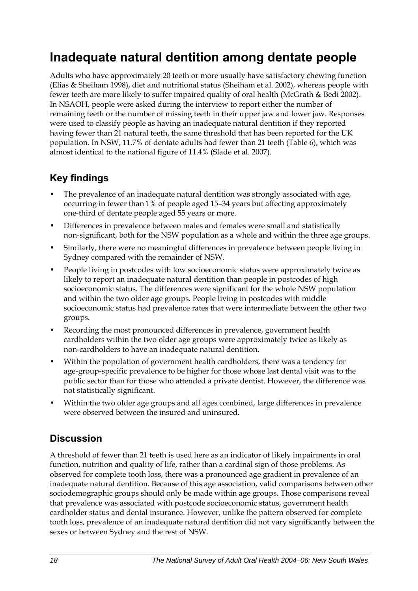## <span id="page-25-0"></span>**Inadequate natural dentition among dentate people**

Adults who have approximately 20 teeth or more usually have satisfactory chewing function (Elias & Sheiham 1998), diet and nutritional status (Sheiham et al. 2002), whereas people with fewer teeth are more likely to suffer impaired quality of oral health (McGrath & Bedi 2002). In NSAOH, people were asked during the interview to report either the number of remaining teeth or the number of missing teeth in their upper jaw and lower jaw. Responses were used to classify people as having an inadequate natural dentition if they reported having fewer than 21 natural teeth, the same threshold that has been reported for the UK population. In NSW, 11.7% of dentate adults had fewer than 21 teeth (Table [6\), which was](#page-26-0)  [almost identical to the national figure of 11.4% \(Slade et al. 2007\).](#page-26-0) 

### **Key findings**

- The prevalence of an inadequate natural dentition was strongly associated with age, occurring in fewer than 1% of people aged 15–34 years but affecting approximately one-third of dentate people aged 55 years or more.
- Differences in prevalence between males and females were small and statistically non-significant, both for the NSW population as a whole and within the three age groups.
- Similarly, there were no meaningful differences in prevalence between people living in Sydney compared with the remainder of NSW.
- People living in postcodes with low socioeconomic status were approximately twice as likely to report an inadequate natural dentition than people in postcodes of high socioeconomic status. The differences were significant for the whole NSW population and within the two older age groups. People living in postcodes with middle socioeconomic status had prevalence rates that were intermediate between the other two groups.
- Recording the most pronounced differences in prevalence, government health cardholders within the two older age groups were approximately twice as likely as non-cardholders to have an inadequate natural dentition.
- Within the population of government health cardholders, there was a tendency for age-group-specific prevalence to be higher for those whose last dental visit was to the public sector than for those who attended a private dentist. However, the difference was not statistically significant.
- Within the two older age groups and all ages combined, large differences in prevalence were observed between the insured and uninsured.

### **Discussion**

A threshold of fewer than 21 teeth is used here as an indicator of likely impairments in oral function, nutrition and quality of life, rather than a cardinal sign of those problems. As observed for complete tooth loss, there was a pronounced age gradient in prevalence of an inadequate natural dentition. Because of this age association, valid comparisons between other sociodemographic groups should only be made within age groups. Those comparisons reveal that prevalence was associated with postcode socioeconomic status, government health cardholder status and dental insurance. However, unlike the pattern observed for complete tooth loss, prevalence of an inadequate natural dentition did not vary significantly between the sexes or between Sydney and the rest of NSW.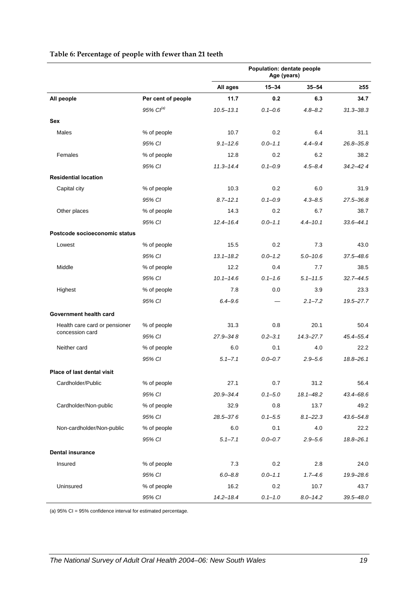|                                   |                    | Population: dentate people<br>Age (years) |             |               |               |
|-----------------------------------|--------------------|-------------------------------------------|-------------|---------------|---------------|
|                                   |                    | All ages                                  | $15 - 34$   | $35 - 54$     | $\geq 55$     |
| All people                        | Per cent of people | 11.7                                      | 0.2         | 6.3           | 34.7          |
|                                   | 95% $Cl^{(a)}$     | $10.5 - 13.1$                             | $0.1 - 0.6$ | $4.8 - 8.2$   | $31.3 - 38.3$ |
| <b>Sex</b>                        |                    |                                           |             |               |               |
| Males                             | % of people        | 10.7                                      | 0.2         | 6.4           | 31.1          |
|                                   | 95% CI             | $9.1 - 12.6$                              | $0.0 - 1.1$ | $4.4 - 9.4$   | $26.8 - 35.8$ |
| Females                           | % of people        | 12.8                                      | 0.2         | 6.2           | 38.2          |
|                                   | 95% CI             | $11.3 - 14.4$                             | $0.1 - 0.9$ | $4.5 - 8.4$   | $34.2 - 424$  |
| <b>Residential location</b>       |                    |                                           |             |               |               |
| Capital city                      | % of people        | 10.3                                      | 0.2         | 6.0           | 31.9          |
|                                   | 95% CI             | $8.7 - 12.1$                              | $0.1 - 0.9$ | $4.3 - 8.5$   | 27.5-36.8     |
| Other places                      | % of people        | 14.3                                      | 0.2         | 6.7           | 38.7          |
|                                   | 95% CI             | $12.4 - 16.4$                             | $0.0 - 1.1$ | $4.4 - 10.1$  | $33.6 - 44.1$ |
| Postcode socioeconomic status     |                    |                                           |             |               |               |
| Lowest                            | % of people        | 15.5                                      | 0.2         | 7.3           | 43.0          |
|                                   | 95% CI             | $13.1 - 18.2$                             | $0.0 - 1.2$ | $5.0 - 10.6$  | $37.5 - 48.6$ |
| Middle                            | % of people        | 12.2                                      | 0.4         | 7.7           | 38.5          |
|                                   | 95% CI             | $10.1 - 14.6$                             | $0.1 - 1.6$ | $5.1 - 11.5$  | $32.7 - 44.5$ |
| Highest                           | % of people        | 7.8                                       | 0.0         | 3.9           | 23.3          |
|                                   | 95% CI             | $6.4 - 9.6$                               |             | $2.1 - 7.2$   | 19.5-27.7     |
| Government health card            |                    |                                           |             |               |               |
| Health care card or pensioner     | % of people        | 31.3                                      | 0.8         | 20.1          | 50.4          |
| concession card                   | 95% CI             | $27.9 - 348$                              | $0.2 - 3.1$ | $14.3 - 27.7$ | 45.4-55.4     |
| Neither card                      | % of people        | 6.0                                       | 0.1         | 4.0           | 22.2          |
|                                   | 95% CI             | $5.1 - 7.1$                               | $0.0 - 0.7$ | $2.9 - 5.6$   | $18.8 - 26.1$ |
| <b>Place of last dental visit</b> |                    |                                           |             |               |               |
| Cardholder/Public                 | % of people        | 27.1                                      | 0.7         | 31.2          | 56.4          |
|                                   | 95% CI             | 20.9-34.4                                 | $0.1 - 5.0$ | 18.1-48.2     | 43.4-68.6     |
| Cardholder/Non-public             | % of people        | 32.9                                      | 0.8         | 13.7          | 49.2          |
|                                   | 95% CI             | 28.5-376                                  | $0.1 - 5.5$ | $8.1 - 22.3$  | 43.6-54.8     |
| Non-cardholder/Non-public         | % of people        | 6.0                                       | 0.1         | 4.0           | 22.2          |
|                                   | 95% CI             | $5.1 - 7.1$                               | $0.0 - 0.7$ | $2.9 - 5.6$   | $18.8 - 26.1$ |
| <b>Dental insurance</b>           |                    |                                           |             |               |               |
| Insured                           | % of people        | 7.3                                       | 0.2         | 2.8           | 24.0          |
|                                   | 95% CI             | $6.0 - 8.8$                               | $0.0 - 1.1$ | $1.7 - 4.6$   | 19.9-28.6     |
| Uninsured                         | % of people        | 16.2                                      | 0.2         | 10.7          | 43.7          |
|                                   | 95% CI             | $14.2 - 18.4$                             | $0.1 - 1.0$ | $8.0 - 14.2$  | $39.5 - 48.0$ |

#### <span id="page-26-0"></span>**Table 6: Percentage of people with fewer than 21 teeth**

(a) 95% CI = 95% confidence interval for estimated percentage.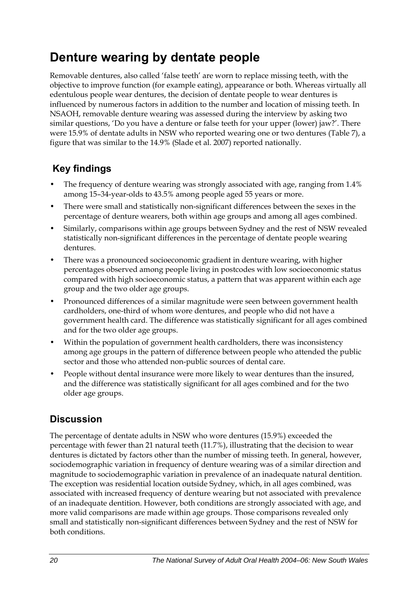## <span id="page-27-0"></span>**Denture wearing by dentate people**

Removable dentures, also called 'false teeth' are worn to replace missing teeth, with the objective to improve function (for example eating), appearance or both. Whereas virtually all edentulous people wear dentures, the decision of dentate people to wear dentures is influenced by numerous factors in addition to the number and location of missing teeth. In NSAOH, removable denture wearing was assessed during the interview by asking two similar questions, 'Do you have a denture or false teeth for your upper (lower) jaw?'. There were 15.9% of dentate adults in NSW who reported wearing one or two dentures (Table 7[\), a](#page-28-0)  [figure that was similar to the 14.9% \(Slade et al. 2007\) reported nationally.](#page-28-0) 

### **Key findings**

- The frequency of denture wearing was strongly associated with age, ranging from 1.4% among 15–34-year-olds to 43.5% among people aged 55 years or more.
- There were small and statistically non-significant differences between the sexes in the percentage of denture wearers, both within age groups and among all ages combined.
- Similarly, comparisons within age groups between Sydney and the rest of NSW revealed statistically non-significant differences in the percentage of dentate people wearing dentures.
- There was a pronounced socioeconomic gradient in denture wearing, with higher percentages observed among people living in postcodes with low socioeconomic status compared with high socioeconomic status, a pattern that was apparent within each age group and the two older age groups.
- Pronounced differences of a similar magnitude were seen between government health cardholders, one-third of whom wore dentures, and people who did not have a government health card. The difference was statistically significant for all ages combined and for the two older age groups.
- Within the population of government health cardholders, there was inconsistency among age groups in the pattern of difference between people who attended the public sector and those who attended non-public sources of dental care.
- People without dental insurance were more likely to wear dentures than the insured, and the difference was statistically significant for all ages combined and for the two older age groups.

### **Discussion**

The percentage of dentate adults in NSW who wore dentures (15.9%) exceeded the percentage with fewer than 21 natural teeth (11.7%), illustrating that the decision to wear dentures is dictated by factors other than the number of missing teeth. In general, however, sociodemographic variation in frequency of denture wearing was of a similar direction and magnitude to sociodemographic variation in prevalence of an inadequate natural dentition. The exception was residential location outside Sydney, which, in all ages combined, was associated with increased frequency of denture wearing but not associated with prevalence of an inadequate dentition. However, both conditions are strongly associated with age, and more valid comparisons are made within age groups. Those comparisons revealed only small and statistically non-significant differences between Sydney and the rest of NSW for both conditions.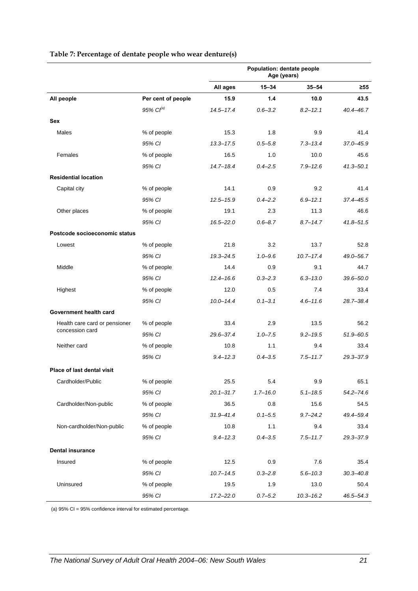|  | Table 7: Percentage of dentate people who wear denture(s) |  |  |
|--|-----------------------------------------------------------|--|--|
|--|-----------------------------------------------------------|--|--|

<span id="page-28-0"></span>

|                                   |                    | Population: dentate people<br>Age (years) |              |               |               |
|-----------------------------------|--------------------|-------------------------------------------|--------------|---------------|---------------|
|                                   |                    | All ages                                  | $15 - 34$    | $35 - 54$     | $\geq 55$     |
| All people                        | Per cent of people | 15.9                                      | 1.4          | 10.0          | 43.5          |
|                                   | 95% $Cl^{(a)}$     | $14.5 - 17.4$                             | $0.6 - 3.2$  | $8.2 - 12.1$  | $40.4 - 46.7$ |
| <b>Sex</b>                        |                    |                                           |              |               |               |
| Males                             | % of people        | 15.3                                      | 1.8          | 9.9           | 41.4          |
|                                   | 95% CI             | $13.3 - 17.5$                             | $0.5 - 5.8$  | $7.3 - 13.4$  | 37.0-45.9     |
| Females                           | % of people        | 16.5                                      | 1.0          | 10.0          | 45.6          |
|                                   | 95% CI             | $14.7 - 18.4$                             | $0.4 - 2.5$  | $7.9 - 12.6$  | $41.3 - 50.1$ |
| <b>Residential location</b>       |                    |                                           |              |               |               |
| Capital city                      | % of people        | 14.1                                      | 0.9          | 9.2           | 41.4          |
|                                   | 95% CI             | $12.5 - 15.9$                             | $0.4 - 2.2$  | $6.9 - 12.1$  | $37.4 - 45.5$ |
| Other places                      | % of people        | 19.1                                      | 2.3          | 11.3          | 46.6          |
|                                   | 95% CI             | $16.5 - 22.0$                             | $0.6 - 8.7$  | $8.7 - 14.7$  | $41.8 - 51.5$ |
| Postcode socioeconomic status     |                    |                                           |              |               |               |
| Lowest                            | % of people        | 21.8                                      | 3.2          | 13.7          | 52.8          |
|                                   | 95% CI             | $19.3 - 24.5$                             | $1.0 - 9.6$  | $10.7 - 17.4$ | 49.0-56.7     |
| Middle                            | % of people        | 14.4                                      | 0.9          | 9.1           | 44.7          |
|                                   | 95% CI             | $12.4 - 16.6$                             | $0.3 - 2.3$  | $6.3 - 13.0$  | $39.6 - 50.0$ |
| Highest                           | % of people        | 12.0                                      | 0.5          | 7.4           | 33.4          |
|                                   | 95% CI             | $10.0 - 14.4$                             | $0.1 - 3.1$  | $4.6 - 11.6$  | 28.7-38.4     |
| Government health card            |                    |                                           |              |               |               |
| Health care card or pensioner     | % of people        | 33.4                                      | 2.9          | 13.5          | 56.2          |
| concession card                   | 95% CI             | 29.6-37.4                                 | $1.0 - 7.5$  | $9.2 - 19.5$  | 51.9-60.5     |
| Neither card                      | % of people        | 10.8                                      | 1.1          | 9.4           | 33.4          |
|                                   | 95% CI             | $9.4 - 12.3$                              | $0.4 - 3.5$  | $7.5 - 11.7$  | $29.3 - 37.9$ |
| <b>Place of last dental visit</b> |                    |                                           |              |               |               |
| Cardholder/Public                 | % of people        | 25.5                                      | 5.4          | 9.9           | 65.1          |
|                                   | 95% CI             | $20.1 - 31.7$                             | $1.7 - 16.0$ | $5.1 - 18.5$  | $54.2 - 74.6$ |
| Cardholder/Non-public             | % of people        | 36.5                                      | 0.8          | 15.6          | 54.5          |
|                                   | 95% CI             | $31.9 - 41.4$                             | $0.1 - 5.5$  | $9.7 - 24.2$  | 49.4-59.4     |
| Non-cardholder/Non-public         | % of people        | 10.8                                      | 1.1          | 9.4           | 33.4          |
|                                   | 95% CI             | $9.4 - 12.3$                              | $0.4 - 3.5$  | $7.5 - 11.7$  | 29.3-37.9     |
| <b>Dental insurance</b>           |                    |                                           |              |               |               |
| Insured                           | % of people        | 12.5                                      | 0.9          | 7.6           | 35.4          |
|                                   | 95% CI             | $10.7 - 14.5$                             | $0.3 - 2.8$  | $5.6 - 10.3$  | $30.3 - 40.8$ |
| Uninsured                         | % of people        | 19.5                                      | 1.9          | 13.0          | 50.4          |
|                                   | 95% CI             | $17.2 - 22.0$                             | $0.7 - 5.2$  | $10.3 - 16.2$ | 46.5-54.3     |

(a) 95% CI = 95% confidence interval for estimated percentage.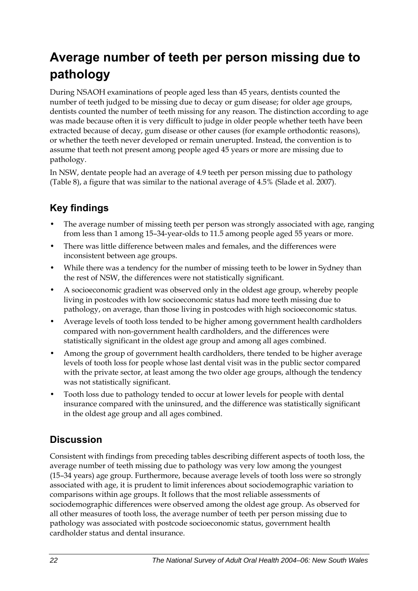# <span id="page-29-0"></span>**Average number of teeth per person missing due to pathology**

During NSAOH examinations of people aged less than 45 years, dentists counted the number of teeth judged to be missing due to decay or gum disease; for older age groups, dentists counted the number of teeth missing for any reason. The distinction according to age was made because often it is very difficult to judge in older people whether teeth have been extracted because of decay, gum disease or other causes (for example orthodontic reasons), or whether the teeth never developed or remain unerupted. Instead, the convention is to assume that teeth not present among people aged 45 years or more are missing due to pathology.

In NSW, dentate people had an average of 4.9 teeth per person missing due to pathology (Table 8[\), a figure that was similar to the national average of 4.5% \(Slade et al. 2007\).](#page-30-0) 

### **Key findings**

- The average number of missing teeth per person was strongly associated with age, ranging from less than 1 among 15–34-year-olds to 11.5 among people aged 55 years or more.
- There was little difference between males and females, and the differences were inconsistent between age groups.
- While there was a tendency for the number of missing teeth to be lower in Sydney than the rest of NSW, the differences were not statistically significant.
- A socioeconomic gradient was observed only in the oldest age group, whereby people living in postcodes with low socioeconomic status had more teeth missing due to pathology, on average, than those living in postcodes with high socioeconomic status.
- Average levels of tooth loss tended to be higher among government health cardholders compared with non-government health cardholders, and the differences were statistically significant in the oldest age group and among all ages combined.
- Among the group of government health cardholders, there tended to be higher average levels of tooth loss for people whose last dental visit was in the public sector compared with the private sector, at least among the two older age groups, although the tendency was not statistically significant.
- Tooth loss due to pathology tended to occur at lower levels for people with dental insurance compared with the uninsured, and the difference was statistically significant in the oldest age group and all ages combined.

### **Discussion**

Consistent with findings from preceding tables describing different aspects of tooth loss, the average number of teeth missing due to pathology was very low among the youngest (15–34 years) age group. Furthermore, because average levels of tooth loss were so strongly associated with age, it is prudent to limit inferences about sociodemographic variation to comparisons within age groups. It follows that the most reliable assessments of sociodemographic differences were observed among the oldest age group. As observed for all other measures of tooth loss, the average number of teeth per person missing due to pathology was associated with postcode socioeconomic status, government health cardholder status and dental insurance.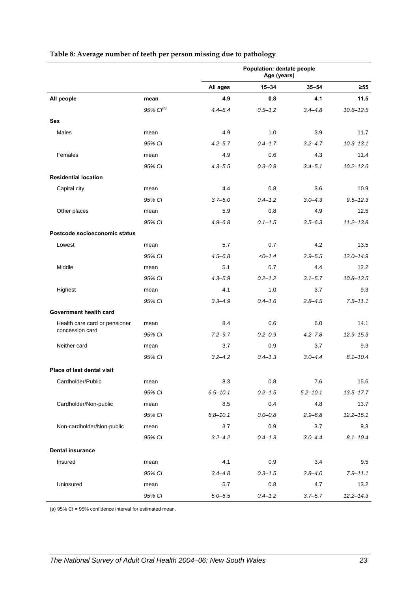|                                   |                | Population: dentate people<br>Age (years) |             |              |               |
|-----------------------------------|----------------|-------------------------------------------|-------------|--------------|---------------|
|                                   |                | All ages                                  | $15 - 34$   | $35 - 54$    | $\geq 55$     |
| All people                        | mean           | 4.9                                       | 0.8         | 4.1          | 11.5          |
|                                   | 95% $CI^{(a)}$ | $4.4 - 5.4$                               | $0.5 - 1.2$ | $3.4 - 4.8$  | $10.6 - 12.5$ |
| <b>Sex</b>                        |                |                                           |             |              |               |
| Males                             | mean           | 4.9                                       | 1.0         | 3.9          | 11.7          |
|                                   | 95% CI         | $4.2 - 5.7$                               | $0.4 - 1.7$ | $3.2 - 4.7$  | $10.3 - 13.1$ |
| Females                           | mean           | 4.9                                       | 0.6         | 4.3          | 11.4          |
|                                   | 95% CI         | $4.3 - 5.5$                               | $0.3 - 0.9$ | $3.4 - 5.1$  | $10.2 - 12.6$ |
| <b>Residential location</b>       |                |                                           |             |              |               |
| Capital city                      | mean           | 4.4                                       | 0.8         | 3.6          | 10.9          |
|                                   | 95% CI         | $3.7 - 5.0$                               | $0.4 - 1.2$ | $3.0 - 4.3$  | $9.5 - 12.3$  |
| Other places                      | mean           | 5.9                                       | 0.8         | 4.9          | 12.5          |
|                                   | 95% CI         | $4.9 - 6.8$                               | $0.1 - 1.5$ | $3.5 - 6.3$  | $11.2 - 13.8$ |
| Postcode socioeconomic status     |                |                                           |             |              |               |
| Lowest                            | mean           | 5.7                                       | 0.7         | 4.2          | 13.5          |
|                                   | 95% CI         | $4.5 - 6.8$                               | $<0-1.4$    | $2.9 - 5.5$  | $12.0 - 14.9$ |
| Middle                            | mean           | 5.1                                       | 0.7         | 4.4          | 12.2          |
|                                   | 95% CI         | $4.3 - 5.9$                               | $0.2 - 1.2$ | $3.1 - 5.7$  | $10.8 - 13.5$ |
| Highest                           | mean           | 4.1                                       | 1.0         | 3.7          | 9.3           |
|                                   | 95% CI         | $3.3 - 4.9$                               | $0.4 - 1.6$ | $2.8 - 4.5$  | $7.5 - 11.1$  |
| Government health card            |                |                                           |             |              |               |
| Health care card or pensioner     | mean           | 8.4                                       | 0.6         | 6.0          | 14.1          |
| concession card                   | 95% CI         | $7.2 - 9.7$                               | $0.2 - 0.9$ | $4.2 - 7.8$  | $12.9 - 15.3$ |
| Neither card                      | mean           | 3.7                                       | 0.9         | 3.7          | 9.3           |
|                                   | 95% CI         | $3.2 - 4.2$                               | $0.4 - 1.3$ | $3.0 - 4.4$  | $8.1 - 10.4$  |
| <b>Place of last dental visit</b> |                |                                           |             |              |               |
| Cardholder/Public                 | mean           | 8.3                                       | 0.8         | 7.6          | 15.6          |
|                                   | 95% CI         | $6.5 - 10.1$                              | $0.2 - 1.5$ | $5.2 - 10.1$ | $13.5 - 17.7$ |
| Cardholder/Non-public             | mean           | 8.5                                       | 0.4         | 4.8          | 13.7          |
|                                   | 95% CI         | $6.8 - 10.1$                              | $0.0 - 0.8$ | $2.9 - 6.8$  | $12.2 - 15.1$ |
| Non-cardholder/Non-public         | mean           | 3.7                                       | 0.9         | 3.7          | 9.3           |
|                                   | 95% CI         | $3.2 - 4.2$                               | $0.4 - 1.3$ | $3.0 - 4.4$  | $8.1 - 10.4$  |
| <b>Dental insurance</b>           |                |                                           |             |              |               |
| Insured                           | mean           | 4.1                                       | 0.9         | 3.4          | 9.5           |
|                                   | 95% CI         | $3.4 - 4.8$                               | $0.3 - 1.5$ | $2.8 - 4.0$  | $7.9 - 11.1$  |
| Uninsured                         | mean           | 5.7                                       | 0.8         | 4.7          | 13.2          |
|                                   | 95% CI         | $5.0 - 6.5$                               | $0.4 - 1.2$ | $3.7 - 5.7$  | $12.2 - 14.3$ |

#### <span id="page-30-0"></span>**Table 8: Average number of teeth per person missing due to pathology**

(a) 95% CI = 95% confidence interval for estimated mean.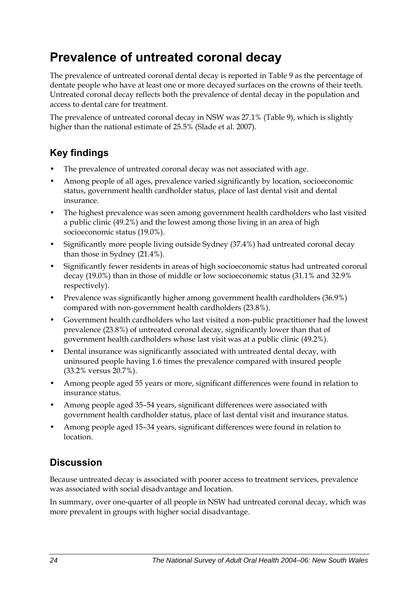## <span id="page-31-0"></span>**Prevalence of untreated coronal decay**

The prevalence of untreated coronal dental decay is reported in Table 9 as the percentage of dentate people who have at least one or more decayed surfaces on the crowns of their teeth. Untreated coronal decay reflects both the prevalence of dental decay in the population and access to dental care for treatment.

The prevalence of untreated coronal decay in NSW was 27.1% (Table 9[\), which is slightly](#page-32-0)  [higher than the national estimate of 25.5% \(Slade et al. 2007\).](#page-32-0) 

### **Key findings**

- The prevalence of untreated coronal decay was not associated with age.
- Among people of all ages, prevalence varied significantly by location, socioeconomic status, government health cardholder status, place of last dental visit and dental insurance.
- The highest prevalence was seen among government health cardholders who last visited a public clinic (49.2%) and the lowest among those living in an area of high socioeconomic status (19.0%).
- Significantly more people living outside Sydney (37.4%) had untreated coronal decay than those in Sydney (21.4%).
- Significantly fewer residents in areas of high socioeconomic status had untreated coronal decay (19.0%) than in those of middle or low socioeconomic status (31.1% and 32.9% respectively).
- Prevalence was significantly higher among government health cardholders (36.9%) compared with non-government health cardholders (23.8%).
- Government health cardholders who last visited a non-public practitioner had the lowest prevalence (23.8%) of untreated coronal decay, significantly lower than that of government health cardholders whose last visit was at a public clinic (49.2%).
- Dental insurance was significantly associated with untreated dental decay, with uninsured people having 1.6 times the prevalence compared with insured people (33.2% versus 20.7%).
- Among people aged 55 years or more, significant differences were found in relation to insurance status.
- Among people aged 35–54 years, significant differences were associated with government health cardholder status, place of last dental visit and insurance status.
- Among people aged 15–34 years, significant differences were found in relation to location.

### **Discussion**

Because untreated decay is associated with poorer access to treatment services, prevalence was associated with social disadvantage and location*.* 

In summary, over one-quarter of all people in NSW had untreated coronal decay, which was more prevalent in groups with higher social disadvantage.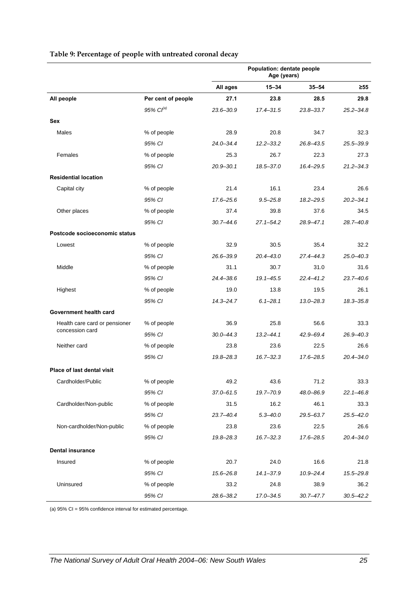<span id="page-32-0"></span>

|                                   |                    | Population: dentate people<br>Age (years) |               |               |               |
|-----------------------------------|--------------------|-------------------------------------------|---------------|---------------|---------------|
|                                   |                    | All ages                                  | 15-34         | $35 - 54$     | $\geq 55$     |
| All people                        | Per cent of people | 27.1                                      | 23.8          | 28.5          | 29.8          |
|                                   | $95\%$ $Cl^{(a)}$  | $23.6 - 30.9$                             | $17.4 - 31.5$ | $23.8 - 33.7$ | $25.2 - 34.8$ |
| Sex                               |                    |                                           |               |               |               |
| Males                             | % of people        | 28.9                                      | 20.8          | 34.7          | 32.3          |
|                                   | 95% CI             | $24.0 - 34.4$                             | $12.2 - 33.2$ | 26.8-43.5     | 25.5-39.9     |
| Females                           | % of people        | 25.3                                      | 26.7          | 22.3          | 27.3          |
|                                   | 95% CI             | $20.9 - 30.1$                             | 18.5-37.0     | 16.4-29.5     | $21.2 - 34.3$ |
| <b>Residential location</b>       |                    |                                           |               |               |               |
| Capital city                      | % of people        | 21.4                                      | 16.1          | 23.4          | 26.6          |
|                                   | 95% CI             | 17.6-25.6                                 | $9.5 - 25.8$  | $18.2 - 29.5$ | $20.2 - 34.1$ |
| Other places                      | % of people        | 37.4                                      | 39.8          | 37.6          | 34.5          |
|                                   | 95% CI             | $30.7 - 44.6$                             | $27.1 - 54.2$ | 28.9-47.1     | $28.7 - 40.8$ |
| Postcode socioeconomic status     |                    |                                           |               |               |               |
| Lowest                            | % of people        | 32.9                                      | 30.5          | 35.4          | 32.2          |
|                                   | 95% CI             | $26.6 - 39.9$                             | $20.4 - 43.0$ | 27.4-44.3     | $25.0 - 40.3$ |
| Middle                            | % of people        | 31.1                                      | 30.7          | 31.0          | 31.6          |
|                                   | 95% CI             | 24.4-38.6                                 | $19.1 - 45.5$ | $22.4 - 41.2$ | $23.7 - 40.6$ |
| Highest                           | % of people        | 19.0                                      | 13.8          | 19.5          | 26.1          |
|                                   | 95% CI             | 14.3-24.7                                 | $6.1 - 28.1$  | 13.0–28.3     | $18.3 - 35.8$ |
| Government health card            |                    |                                           |               |               |               |
| Health care card or pensioner     | % of people        | 36.9                                      | 25.8          | 56.6          | 33.3          |
| concession card                   | 95% CI             | $30.0 - 44.3$                             | $13.2 - 44.1$ | 42.9-69.4     | $26.9 - 40.3$ |
| Neither card                      | % of people        | 23.8                                      | 23.6          | 22.5          | 26.6          |
|                                   | 95% CI             | 19.8-28.3                                 | $16.7 - 32.3$ | 17.6-28.5     | $20.4 - 34.0$ |
| <b>Place of last dental visit</b> |                    |                                           |               |               |               |
| Cardholder/Public                 | % of people        | 49.2                                      | 43.6          | 71.2          | 33.3          |
|                                   | 95% CI             | $37.0 - 61.5$                             | 19.7-70.9     | 48.0-86.9     | $22.1 - 46.8$ |
| Cardholder/Non-public             | % of people        | 31.5                                      | 16.2          | 46.1          | 33.3          |
|                                   | 95% CI             | $23.7 - 40.4$                             | $5.3 - 40.0$  | 29.5-63.7     | $25.5 - 42.0$ |
| Non-cardholder/Non-public         | % of people        | 23.8                                      | 23.6          | 22.5          | 26.6          |
|                                   | 95% CI             | 19.8-28.3                                 | $16.7 - 32.3$ | 17.6-28.5     | $20.4 - 34.0$ |
| <b>Dental insurance</b>           |                    |                                           |               |               |               |
| Insured                           | % of people        | 20.7                                      | 24.0          | 16.6          | 21.8          |
|                                   | 95% CI             | 15.6-26.8                                 | $14.1 - 37.9$ | $10.9 - 24.4$ | 15.5-29.8     |
| Uninsured                         | % of people        | 33.2                                      | 24.8          | 38.9          | 36.2          |
|                                   | 95% CI             | 28.6-38.2                                 | 17.0-34.5     | $30.7 - 47.7$ | $30.5 - 42.2$ |

#### **Table 9: Percentage of people with untreated coronal decay**

(a) 95% CI = 95% confidence interval for estimated percentage.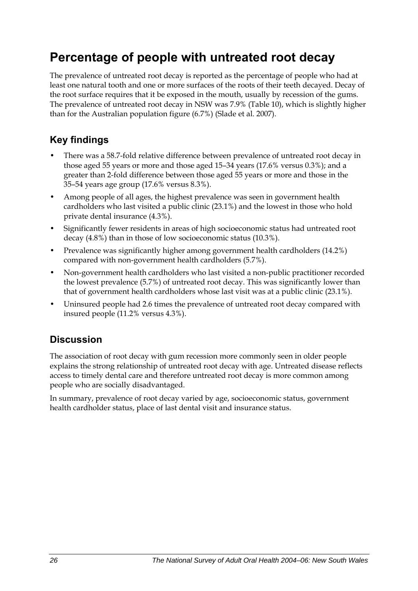## <span id="page-33-0"></span>**Percentage of people with untreated root decay**

The prevalence of untreated root decay is reported as the percentage of people who had at least one natural tooth and one or more surfaces of the roots of their teeth decayed. Decay of the root surface requires that it be exposed in the mouth, usually by recession of the gums. The prevalence of untreated root decay in NSW was 7.9% (Table 1[0\), which is slightly higher](#page-34-0)  [than for the Australian population figure \(6.7%\) \(Slade et al. 2007\).](#page-34-0) 

### **Key findings**

- There was a 58.7-fold relative difference between prevalence of untreated root decay in those aged 55 years or more and those aged 15–34 years (17.6% versus 0.3%); and a greater than 2-fold difference between those aged 55 years or more and those in the 35–54 years age group (17.6% versus 8.3%).
- Among people of all ages, the highest prevalence was seen in government health cardholders who last visited a public clinic (23.1%) and the lowest in those who hold private dental insurance (4.3%).
- Significantly fewer residents in areas of high socioeconomic status had untreated root decay (4.8%) than in those of low socioeconomic status (10.3%).
- Prevalence was significantly higher among government health cardholders (14.2%) compared with non-government health cardholders (5.7%).
- Non-government health cardholders who last visited a non-public practitioner recorded the lowest prevalence (5.7%) of untreated root decay. This was significantly lower than that of government health cardholders whose last visit was at a public clinic (23.1%).
- Uninsured people had 2.6 times the prevalence of untreated root decay compared with insured people (11.2% versus 4.3%).

### **Discussion**

The association of root decay with gum recession more commonly seen in older people explains the strong relationship of untreated root decay with age. Untreated disease reflects access to timely dental care and therefore untreated root decay is more common among people who are socially disadvantaged.

In summary, prevalence of root decay varied by age, socioeconomic status, government health cardholder status, place of last dental visit and insurance status.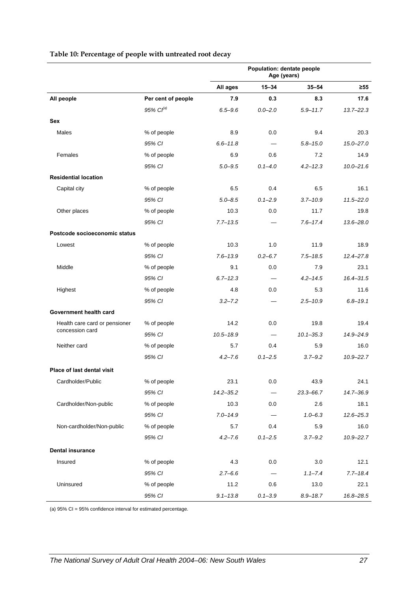|                                   |                       | Population: dentate people<br>Age (years) |             |               |               |
|-----------------------------------|-----------------------|-------------------------------------------|-------------|---------------|---------------|
|                                   |                       | All ages                                  | $15 - 34$   | $35 - 54$     | ≥55           |
| All people                        | Per cent of people    | 7.9                                       | 0.3         | 8.3           | 17.6          |
|                                   | 95% Cl <sup>(a)</sup> | $6.5 - 9.6$                               | $0.0 - 2.0$ | $5.9 - 11.7$  | $13.7 - 22.3$ |
| <b>Sex</b>                        |                       |                                           |             |               |               |
| Males                             | % of people           | 8.9                                       | 0.0         | 9.4           | 20.3          |
|                                   | 95% CI                | $6.6 - 11.8$                              |             | $5.8 - 15.0$  | $15.0 - 27.0$ |
| Females                           | % of people           | 6.9                                       | 0.6         | 7.2           | 14.9          |
|                                   | 95% CI                | $5.0 - 9.5$                               | $0.1 - 4.0$ | $4.2 - 12.3$  | $10.0 - 21.6$ |
| <b>Residential location</b>       |                       |                                           |             |               |               |
| Capital city                      | % of people           | 6.5                                       | 0.4         | 6.5           | 16.1          |
|                                   | 95% CI                | $5.0 - 8.5$                               | $0.1 - 2.9$ | $3.7 - 10.9$  | $11.5 - 22.0$ |
| Other places                      | % of people           | 10.3                                      | 0.0         | 11.7          | 19.8          |
|                                   | 95% CI                | $7.7 - 13.5$                              |             | $7.6 - 17.4$  | $13.6 - 28.0$ |
| Postcode socioeconomic status     |                       |                                           |             |               |               |
| Lowest                            | % of people           | 10.3                                      | 1.0         | 11.9          | 18.9          |
|                                   | 95% CI                | $7.6 - 13.9$                              | $0.2 - 6.7$ | $7.5 - 18.5$  | $12.4 - 27.8$ |
| Middle                            | % of people           | 9.1                                       | 0.0         | 7.9           | 23.1          |
|                                   | 95% CI                | $6.7 - 12.3$                              |             | $4.2 - 14.5$  | $16.4 - 31.5$ |
| Highest                           | % of people           | 4.8                                       | 0.0         | 5.3           | 11.6          |
|                                   | 95% CI                | $3.2 - 7.2$                               |             | $2.5 - 10.9$  | $6.8 - 19.1$  |
| Government health card            |                       |                                           |             |               |               |
| Health care card or pensioner     | % of people           | 14.2                                      | 0.0         | 19.8          | 19.4          |
| concession card                   | 95% CI                | $10.5 - 18.9$                             |             | $10.1 - 35.3$ | 14.9-24.9     |
| Neither card                      | % of people           | 5.7                                       | 0.4         | 5.9           | 16.0          |
|                                   | 95% CI                | $4.2 - 7.6$                               | $0.1 - 2.5$ | $3.7 - 9.2$   | $10.9 - 22.7$ |
| <b>Place of last dental visit</b> |                       |                                           |             |               |               |
| Cardholder/Public                 | % of people           | 23.1                                      | $0.0\,$     | 43.9          | 24.1          |
|                                   | 95% CI                | $14.2 - 35.2$                             |             | $23.3 - 66.7$ | 14.7-36.9     |
| Cardholder/Non-public             | % of people           | 10.3                                      | 0.0         | 2.6           | 18.1          |
|                                   | 95% CI                | $7.0 - 14.9$                              |             | $1.0 - 6.3$   | $12.6 - 25.3$ |
| Non-cardholder/Non-public         | % of people           | 5.7                                       | 0.4         | 5.9           | 16.0          |
|                                   | 95% CI                | $4.2 - 7.6$                               | $0.1 - 2.5$ | $3.7 - 9.2$   | $10.9 - 22.7$ |
| <b>Dental insurance</b>           |                       |                                           |             |               |               |
| Insured                           | % of people           | 4.3                                       | 0.0         | 3.0           | 12.1          |
|                                   | 95% CI                | $2.7 - 6.6$                               |             | $1.1 - 7.4$   | $7.7 - 18.4$  |
| Uninsured                         | % of people           | 11.2                                      | 0.6         | 13.0          | 22.1          |
|                                   | 95% CI                | $9.1 - 13.8$                              | $0.1 - 3.9$ | $8.9 - 18.7$  | 16.8-28.5     |

#### <span id="page-34-0"></span>**Table 10: Percentage of people with untreated root decay**

(a) 95% CI = 95% confidence interval for estimated percentage.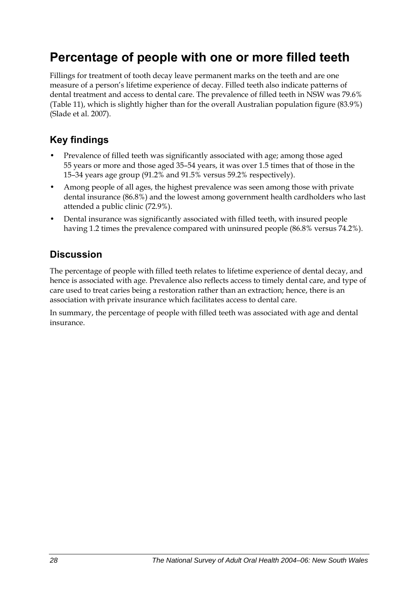## <span id="page-35-0"></span>**Percentage of people with one or more filled teeth**

Fillings for treatment of tooth decay leave permanent marks on the teeth and are one measure of a person's lifetime experience of decay. Filled teeth also indicate patterns of dental treatment and access to dental care. The prevalence of filled teeth in NSW was 79.6% (Table 1[1\), which is slightly higher than for the overall Australian population figure \(83.9%\)](#page-36-0)  [\(Slade et al. 2007\).](#page-36-0) 

### **Key findings**

- Prevalence of filled teeth was significantly associated with age; among those aged 55 years or more and those aged 35–54 years, it was over 1.5 times that of those in the 15–34 years age group (91.2% and 91.5% versus 59.2% respectively).
- Among people of all ages, the highest prevalence was seen among those with private dental insurance (86.8%) and the lowest among government health cardholders who last attended a public clinic (72.9%).
- Dental insurance was significantly associated with filled teeth, with insured people having 1.2 times the prevalence compared with uninsured people (86.8% versus 74.2%).

### **Discussion**

The percentage of people with filled teeth relates to lifetime experience of dental decay, and hence is associated with age. Prevalence also reflects access to timely dental care, and type of care used to treat caries being a restoration rather than an extraction; hence, there is an association with private insurance which facilitates access to dental care.

In summary, the percentage of people with filled teeth was associated with age and dental insurance.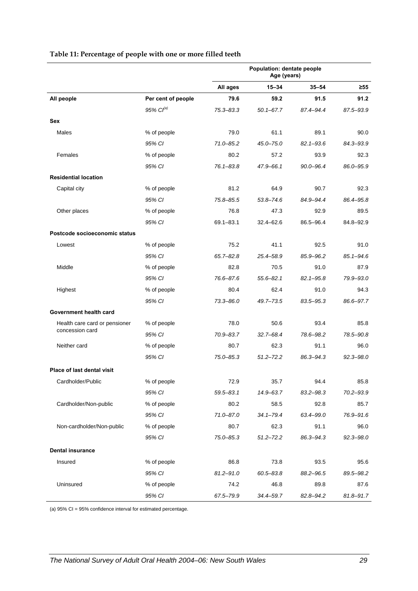|                               |                       | Population: dentate people<br>Age (years) |               |               |               |
|-------------------------------|-----------------------|-------------------------------------------|---------------|---------------|---------------|
|                               |                       | All ages                                  | $15 - 34$     | $35 - 54$     | $\geq 55$     |
| All people                    | Per cent of people    | 79.6                                      | 59.2          | 91.5          | 91.2          |
|                               | 95% Cl <sup>(a)</sup> | $75.3 - 83.3$                             | $50.1 - 67.7$ | 87.4-94.4     | 87.5-93.9     |
| Sex                           |                       |                                           |               |               |               |
| Males                         | % of people           | 79.0                                      | 61.1          | 89.1          | 90.0          |
|                               | 95% CI                | $71.0 - 85.2$                             | $45.0 - 75.0$ | $82.1 - 93.6$ | 84.3-93.9     |
| Females                       | % of people           | 80.2                                      | 57.2          | 93.9          | 92.3          |
|                               | 95% CI                | $76.1 - 83.8$                             | 47.9-66.1     | $90.0 - 96.4$ | 86.0-95.9     |
| <b>Residential location</b>   |                       |                                           |               |               |               |
| Capital city                  | % of people           | 81.2                                      | 64.9          | 90.7          | 92.3          |
|                               | 95% CI                | 75.8-85.5                                 | $53.8 - 74.6$ | 84.9-94.4     | 86.4-95.8     |
| Other places                  | % of people           | 76.8                                      | 47.3          | 92.9          | 89.5          |
|                               | 95% CI                | $69.1 - 83.1$                             | $32.4 - 62.6$ | 86.5-96.4     | 84.8-92.9     |
| Postcode socioeconomic status |                       |                                           |               |               |               |
| Lowest                        | % of people           | 75.2                                      | 41.1          | 92.5          | 91.0          |
|                               | 95% CI                | $65.7 - 82.8$                             | 25.4-58.9     | 85.9-96.2     | $85.1 - 94.6$ |
| Middle                        | % of people           | 82.8                                      | 70.5          | 91.0          | 87.9          |
|                               | 95% CI                | 76.6-87.6                                 | $55.6 - 82.1$ | $82.1 - 95.8$ | 79.9-93.0     |
| Highest                       | % of people           | 80.4                                      | 62.4          | 91.0          | 94.3          |
|                               | 95% CI                | $73.3 - 86.0$                             | 49.7-73.5     | 83.5-95.3     | 86.6-97.7     |
| Government health card        |                       |                                           |               |               |               |
| Health care card or pensioner | % of people           | 78.0                                      | 50.6          | 93.4          | 85.8          |
| concession card               | 95% CI                | 70.9-83.7                                 | $32.7 - 68.4$ | 78.6-98.2     | 78.5-90.8     |
| Neither card                  | % of people           | 80.7                                      | 62.3          | 91.1          | 96.0          |
|                               | 95% CI                | $75.0 - 85.3$                             | $51.2 - 72.2$ | 86.3-94.3     | $92.3 - 98.0$ |
| Place of last dental visit    |                       |                                           |               |               |               |
| Cardholder/Public             | % of people           | 72.9                                      | 35.7          | 94.4          | 85.8          |
|                               | 95% CI                | $59.5 - 83.1$                             | 14.9-63.7     | 83.2-98.3     | 70.2-93.9     |
| Cardholder/Non-public         | % of people           | 80.2                                      | 58.5          | 92.8          | 85.7          |
|                               | 95% CI                | 71.0-87.0                                 | $34.1 - 79.4$ | 63.4-99.0     | 76.9-91.6     |
| Non-cardholder/Non-public     | % of people           | 80.7                                      | 62.3          | 91.1          | 96.0          |
|                               | 95% CI                | 75.0-85.3                                 | $51.2 - 72.2$ | 86.3-94.3     | $92.3 - 98.0$ |
| <b>Dental insurance</b>       |                       |                                           |               |               |               |
| Insured                       | % of people           | 86.8                                      | 73.8          | 93.5          | 95.6          |
|                               | 95% CI                | $81.2 - 91.0$                             | $60.5 - 83.8$ | 88.2-96.5     | 89.5-98.2     |
| Uninsured                     | % of people           | 74.2                                      | 46.8          | 89.8          | 87.6          |
|                               | 95% CI                | 67.5-79.9                                 | 34.4-59.7     | 82.8-94.2     | 81.8-91.7     |

#### **Table 11: Percentage of people with one or more filled teeth**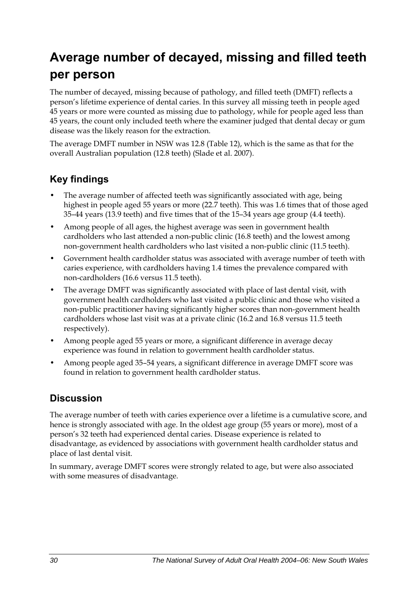# **Average number of decayed, missing and filled teeth per person**

The number of decayed, missing because of pathology, and filled teeth (DMFT) reflects a person's lifetime experience of dental caries. In this survey all missing teeth in people aged 45 years or more were counted as missing due to pathology, while for people aged less than 45 years, the count only included teeth where the examiner judged that dental decay or gum disease was the likely reason for the extraction.

The average DMFT number in NSW was 12.8 (Table 1[2\), which is the same as that for the](#page-38-0)  [overall Australian population \(12.8 teeth\) \(Slade et al. 2007\).](#page-38-0) 

### **Key findings**

- The average number of affected teeth was significantly associated with age, being highest in people aged 55 years or more (22.7 teeth). This was 1.6 times that of those aged 35–44 years (13.9 teeth) and five times that of the 15–34 years age group (4.4 teeth).
- Among people of all ages, the highest average was seen in government health cardholders who last attended a non-public clinic (16.8 teeth) and the lowest among non-government health cardholders who last visited a non-public clinic (11.5 teeth).
- Government health cardholder status was associated with average number of teeth with caries experience, with cardholders having 1.4 times the prevalence compared with non-cardholders (16.6 versus 11.5 teeth).
- The average DMFT was significantly associated with place of last dental visit, with government health cardholders who last visited a public clinic and those who visited a non-public practitioner having significantly higher scores than non-government health cardholders whose last visit was at a private clinic (16.2 and 16.8 versus 11.5 teeth respectively).
- Among people aged 55 years or more, a significant difference in average decay experience was found in relation to government health cardholder status.
- Among people aged 35–54 years, a significant difference in average DMFT score was found in relation to government health cardholder status.

### **Discussion**

The average number of teeth with caries experience over a lifetime is a cumulative score, and hence is strongly associated with age. In the oldest age group (55 years or more), most of a person's 32 teeth had experienced dental caries. Disease experience is related to disadvantage, as evidenced by associations with government health cardholder status and place of last dental visit.

In summary, average DMFT scores were strongly related to age, but were also associated with some measures of disadvantage.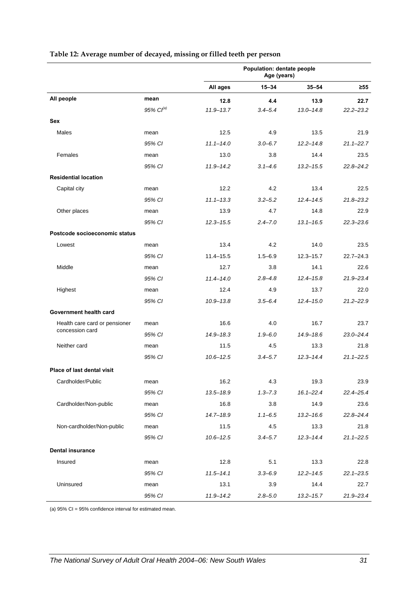|                                   |                | Population: dentate people<br>Age (years) |             |               |               |
|-----------------------------------|----------------|-------------------------------------------|-------------|---------------|---------------|
|                                   |                | All ages                                  | $15 - 34$   | $35 - 54$     | $\geq 55$     |
| All people                        | mean           | 12.8                                      | 4.4         | 13.9          | 22.7          |
|                                   | 95% $Cl^{(a)}$ | $11.9 - 13.7$                             | $3.4 - 5.4$ | $13.0 - 14.8$ | $22.2 - 23.2$ |
| Sex                               |                |                                           |             |               |               |
| Males                             | mean           | 12.5                                      | 4.9         | 13.5          | 21.9          |
|                                   | 95% CI         | $11.1 - 14.0$                             | $3.0 - 6.7$ | $12.2 - 14.8$ | $21.1 - 22.7$ |
| Females                           | mean           | 13.0                                      | 3.8         | 14.4          | 23.5          |
|                                   | 95% CI         | $11.9 - 14.2$                             | $3.1 - 4.6$ | $13.2 - 15.5$ | $22.8 - 24.2$ |
| <b>Residential location</b>       |                |                                           |             |               |               |
| Capital city                      | mean           | 12.2                                      | 4.2         | 13.4          | 22.5          |
|                                   | 95% CI         | $11.1 - 13.3$                             | $3.2 - 5.2$ | $12.4 - 14.5$ | $21.8 - 23.2$ |
| Other places                      | mean           | 13.9                                      | 4.7         | 14.8          | 22.9          |
|                                   | 95% CI         | $12.3 - 15.5$                             | $2.4 - 7.0$ | $13.1 - 16.5$ | $22.3 - 23.6$ |
| Postcode socioeconomic status     |                |                                           |             |               |               |
| Lowest                            | mean           | 13.4                                      | 4.2         | 14.0          | 23.5          |
|                                   | 95% CI         | $11.4 - 15.5$                             | $1.5 - 6.9$ | $12.3 - 15.7$ | $22.7 - 24.3$ |
| Middle                            | mean           | 12.7                                      | 3.8         | 14.1          | 22.6          |
|                                   | 95% CI         | $11.4 - 14.0$                             | $2.8 - 4.8$ | $12.4 - 15.8$ | $21.9 - 23.4$ |
| Highest                           | mean           | 12.4                                      | 4.9         | 13.7          | 22.0          |
|                                   | 95% CI         | $10.9 - 13.8$                             | $3.5 - 6.4$ | $12.4 - 15.0$ | $21.2 - 22.9$ |
| Government health card            |                |                                           |             |               |               |
| Health care card or pensioner     | mean           | 16.6                                      | 4.0         | 16.7          | 23.7          |
| concession card                   | 95% CI         | $14.9 - 18.3$                             | $1.9 - 6.0$ | $14.9 - 18.6$ | $23.0 - 24.4$ |
| Neither card                      | mean           | 11.5                                      | 4.5         | 13.3          | 21.8          |
|                                   | 95% CI         | $10.6 - 12.5$                             | $3.4 - 5.7$ | $12.3 - 14.4$ | $21.1 - 22.5$ |
| <b>Place of last dental visit</b> |                |                                           |             |               |               |
| Cardholder/Public                 | mean           | 16.2                                      | 4.3         | 19.3          | 23.9          |
|                                   | 95% CI         | $13.5 - 18.9$                             | $1.3 - 7.3$ | $16.1 - 22.4$ | 22.4-25.4     |
| Cardholder/Non-public             | mean           | 16.8                                      | 3.8         | 14.9          | 23.6          |
|                                   | 95% CI         | $14.7 - 18.9$                             | $1.1 - 6.5$ | $13.2 - 16.6$ | $22.8 - 24.4$ |
| Non-cardholder/Non-public         | mean           | 11.5                                      | 4.5         | 13.3          | 21.8          |
|                                   | 95% CI         | $10.6 - 12.5$                             | $3.4 - 5.7$ | $12.3 - 14.4$ | $21.1 - 22.5$ |
| <b>Dental insurance</b>           |                |                                           |             |               |               |
| Insured                           | mean           | 12.8                                      | 5.1         | 13.3          | 22.8          |
|                                   | 95% CI         | $11.5 - 14.1$                             | $3.3 - 6.9$ | $12.2 - 14.5$ | $22.1 - 23.5$ |
| Uninsured                         | mean           | 13.1                                      | 3.9         | 14.4          | 22.7          |
|                                   | 95% CI         | $11.9 - 14.2$                             | $2.8 - 5.0$ | $13.2 - 15.7$ | 21.9-23.4     |

#### <span id="page-38-0"></span>**Table 12: Average number of decayed, missing or filled teeth per person**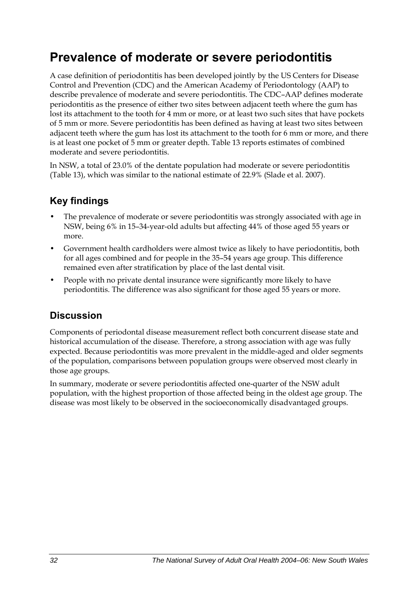## **Prevalence of moderate or severe periodontitis**

A case definition of periodontitis has been developed jointly by the US Centers for Disease Control and Prevention (CDC) and the American Academy of Periodontology (AAP) to describe prevalence of moderate and severe periodontitis. The CDC–AAP defines moderate periodontitis as the presence of either two sites between adjacent teeth where the gum has lost its attachment to the tooth for 4 mm or more, or at least two such sites that have pockets of 5 mm or more. Severe periodontitis has been defined as having at least two sites between adjacent teeth where the gum has lost its attachment to the tooth for 6 mm or more, and there is at least one pocket of 5 mm or greater depth. Table 13 reports estimates of combined moderate and severe periodontitis.

In NSW, a total of 23.0% of the dentate population had moderate or severe periodontitis (Table 1[3\), which was similar to the national estimate of 22.9% \(Slade et al. 2007\).](#page-40-0) 

## **Key findings**

- The prevalence of moderate or severe periodontitis was strongly associated with age in NSW, being 6% in 15–34-year-old adults but affecting 44% of those aged 55 years or more.
- Government health cardholders were almost twice as likely to have periodontitis, both for all ages combined and for people in the 35–54 years age group. This difference remained even after stratification by place of the last dental visit.
- People with no private dental insurance were significantly more likely to have periodontitis. The difference was also significant for those aged 55 years or more.

### **Discussion**

Components of periodontal disease measurement reflect both concurrent disease state and historical accumulation of the disease. Therefore, a strong association with age was fully expected. Because periodontitis was more prevalent in the middle-aged and older segments of the population, comparisons between population groups were observed most clearly in those age groups.

In summary, moderate or severe periodontitis affected one-quarter of the NSW adult population, with the highest proportion of those affected being in the oldest age group. The disease was most likely to be observed in the socioeconomically disadvantaged groups.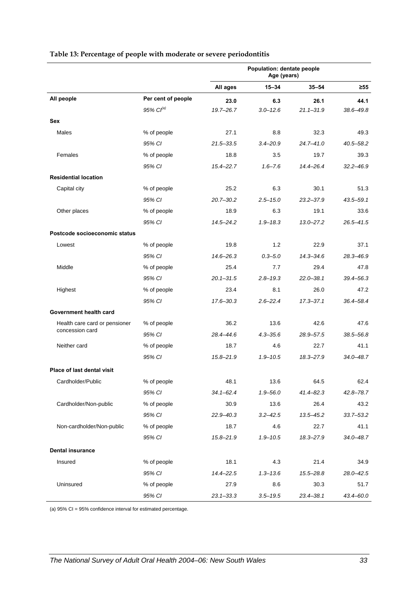|                                   |                    | Population: dentate people<br>Age (years) |              |               |               |
|-----------------------------------|--------------------|-------------------------------------------|--------------|---------------|---------------|
|                                   |                    | All ages                                  | 15-34        | $35 - 54$     | $\geq 55$     |
| All people                        | Per cent of people | 23.0                                      | 6.3          | 26.1          | 44.1          |
|                                   | $95\%$ $Cl^{(a)}$  | $19.7 - 26.7$                             | $3.0 - 12.6$ | $21.1 - 31.9$ | 38.6-49.8     |
| <b>Sex</b>                        |                    |                                           |              |               |               |
| Males                             | % of people        | 27.1                                      | 8.8          | 32.3          | 49.3          |
|                                   | 95% CI             | $21.5 - 33.5$                             | $3.4 - 20.9$ | $24.7 - 41.0$ | $40.5 - 58.2$ |
| Females                           | % of people        | 18.8                                      | 3.5          | 19.7          | 39.3          |
|                                   | 95% CI             | $15.4 - 22.7$                             | $1.6 - 7.6$  | $14.4 - 26.4$ | $32.2 - 46.9$ |
| <b>Residential location</b>       |                    |                                           |              |               |               |
| Capital city                      | % of people        | 25.2                                      | 6.3          | 30.1          | 51.3          |
|                                   | 95% CI             | $20.7 - 30.2$                             | $2.5 - 15.0$ | $23.2 - 37.9$ | 43.5-59.1     |
| Other places                      | % of people        | 18.9                                      | 6.3          | 19.1          | 33.6          |
|                                   | 95% CI             | $14.5 - 24.2$                             | $1.9 - 18.3$ | $13.0 - 27.2$ | $26.5 - 41.5$ |
| Postcode socioeconomic status     |                    |                                           |              |               |               |
| Lowest                            | % of people        | 19.8                                      | 1.2          | 22.9          | 37.1          |
|                                   | 95% CI             | $14.6 - 26.3$                             | $0.3 - 5.0$  | $14.3 - 34.6$ | 28.3-46.9     |
| Middle                            | % of people        | 25.4                                      | 7.7          | 29.4          | 47.8          |
|                                   | 95% CI             | $20.1 - 31.5$                             | $2.8 - 19.3$ | $22.0 - 38.1$ | $39.4 - 56.3$ |
| Highest                           | % of people        | 23.4                                      | 8.1          | 26.0          | 47.2          |
|                                   | 95% CI             | $17.6 - 30.3$                             | $2.6 - 22.4$ | $17.3 - 37.1$ | 36.4-58.4     |
| Government health card            |                    |                                           |              |               |               |
| Health care card or pensioner     | % of people        | 36.2                                      | 13.6         | 42.6          | 47.6          |
| concession card                   | 95% CI             | 28.4-44.6                                 | $4.3 - 35.6$ | 28.9-57.5     | $38.5 - 56.8$ |
| Neither card                      | % of people        | 18.7                                      | 4.6          | 22.7          | 41.1          |
|                                   | 95% CI             | $15.8 - 21.9$                             | $1.9 - 10.5$ | 18.3-27.9     | $34.0 - 48.7$ |
| <b>Place of last dental visit</b> |                    |                                           |              |               |               |
| Cardholder/Public                 | % of people        | 48.1                                      | 13.6         | 64.5          | 62.4          |
|                                   | 95% CI             | $34.1 - 62.4$                             | $1.9 - 56.0$ | $41.4 - 82.3$ | $42.8 - 78.7$ |
| Cardholder/Non-public             | % of people        | 30.9                                      | 13.6         | 26.4          | 43.2          |
|                                   | 95% CI             | $22.9 - 40.3$                             | $3.2 - 42.5$ | 13.5-45.2     | $33.7 - 53.2$ |
| Non-cardholder/Non-public         | % of people        | 18.7                                      | 4.6          | 22.7          | 41.1          |
|                                   | 95% CI             | $15.8 - 21.9$                             | $1.9 - 10.5$ | 18.3-27.9     | $34.0 - 48.7$ |
| <b>Dental insurance</b>           |                    |                                           |              |               |               |
| Insured                           | % of people        | 18.1                                      | 4.3          | 21.4          | 34.9          |
|                                   | 95% CI             | 14.4-22.5                                 | $1.3 - 13.6$ | 15.5-28.8     | $28.0 - 42.5$ |
| Uninsured                         | % of people        | 27.9                                      | 8.6          | 30.3          | 51.7          |
|                                   | 95% CI             | $23.1 - 33.3$                             | $3.5 - 19.5$ | $23.4 - 38.1$ | 43.4-60.0     |

#### <span id="page-40-0"></span>**Table 13: Percentage of people with moderate or severe periodontitis**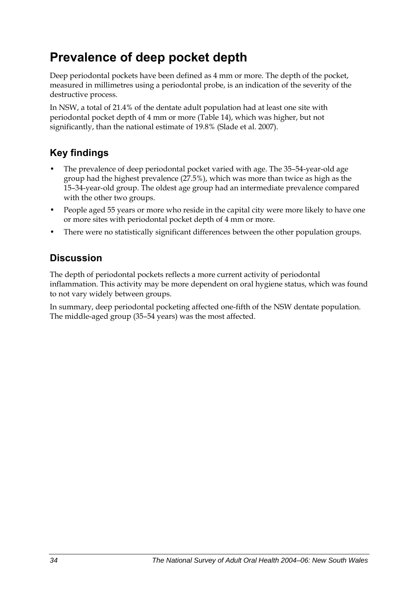## **Prevalence of deep pocket depth**

Deep periodontal pockets have been defined as 4 mm or more. The depth of the pocket, measured in millimetres using a periodontal probe, is an indication of the severity of the destructive process.

In NSW, a total of 21.4% of the dentate adult population had at least one site with periodontal pocket depth of 4 mm or more (Table 1[4\), which was higher, but not](#page-42-0)  [significantly, than the national estimate of 19.8% \(Slade et al. 2007\).](#page-42-0) 

## **Key findings**

- The prevalence of deep periodontal pocket varied with age. The 35–54-year-old age group had the highest prevalence (27.5%), which was more than twice as high as the 15–34-year-old group. The oldest age group had an intermediate prevalence compared with the other two groups.
- People aged 55 years or more who reside in the capital city were more likely to have one or more sites with periodontal pocket depth of 4 mm or more.
- There were no statistically significant differences between the other population groups.

## **Discussion**

The depth of periodontal pockets reflects a more current activity of periodontal inflammation. This activity may be more dependent on oral hygiene status, which was found to not vary widely between groups.

In summary, deep periodontal pocketing affected one-fifth of the NSW dentate population. The middle-aged group (35–54 years) was the most affected.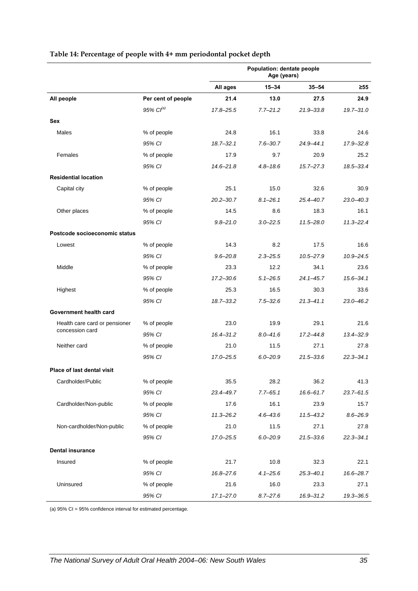|                                   |                       | Population: dentate people<br>Age (years) |              |               |               |
|-----------------------------------|-----------------------|-------------------------------------------|--------------|---------------|---------------|
|                                   |                       | All ages                                  | $15 - 34$    | $35 - 54$     | $\geq 55$     |
| All people                        | Per cent of people    | 21.4                                      | 13.0         | 27.5          | 24.9          |
|                                   | 95% Cl <sup>(a)</sup> | $17.8 - 25.5$                             | $7.7 - 21.2$ | $21.9 - 33.8$ | $19.7 - 31.0$ |
| <b>Sex</b>                        |                       |                                           |              |               |               |
| Males                             | % of people           | 24.8                                      | 16.1         | 33.8          | 24.6          |
|                                   | 95% CI                | $18.7 - 32.1$                             | $7.6 - 30.7$ | $24.9 - 44.1$ | 17.9-32.8     |
| Females                           | % of people           | 17.9                                      | 9.7          | 20.9          | 25.2          |
|                                   | 95% CI                | $14.6 - 21.8$                             | $4.8 - 18.6$ | $15.7 - 27.3$ | 18.5-33.4     |
| <b>Residential location</b>       |                       |                                           |              |               |               |
| Capital city                      | % of people           | 25.1                                      | 15.0         | 32.6          | 30.9          |
|                                   | 95% CI                | $20.2 - 30.7$                             | $8.1 - 26.1$ | $25.4 - 40.7$ | $23.0 - 40.3$ |
| Other places                      | % of people           | 14.5                                      | 8.6          | 18.3          | 16.1          |
|                                   | 95% CI                | $9.8 - 21.0$                              | $3.0 - 22.5$ | $11.5 - 28.0$ | $11.3 - 22.4$ |
| Postcode socioeconomic status     |                       |                                           |              |               |               |
| Lowest                            | % of people           | 14.3                                      | 8.2          | 17.5          | 16.6          |
|                                   | 95% CI                | $9.6 - 20.8$                              | $2.3 - 25.5$ | $10.5 - 27.9$ | $10.9 - 24.5$ |
| Middle                            | % of people           | 23.3                                      | 12.2         | 34.1          | 23.6          |
|                                   | 95% CI                | $17.2 - 30.6$                             | $5.1 - 26.5$ | $24.1 - 45.7$ | $15.6 - 34.1$ |
| Highest                           | % of people           | 25.3                                      | 16.5         | 30.3          | 33.6          |
|                                   | 95% CI                | $18.7 - 33.2$                             | $7.5 - 32.6$ | $21.3 - 41.1$ | $23.0 - 46.2$ |
| Government health card            |                       |                                           |              |               |               |
| Health care card or pensioner     | % of people           | 23.0                                      | 19.9         | 29.1          | 21.6          |
| concession card                   | 95% CI                | $16.4 - 31.2$                             | $8.0 - 41.6$ | $17.2 - 44.8$ | $13.4 - 32.9$ |
| Neither card                      | % of people           | 21.0                                      | 11.5         | 27.1          | 27.8          |
|                                   | 95% CI                | 17.0-25.5                                 | $6.0 - 20.9$ | $21.5 - 33.6$ | $22.3 - 34.1$ |
| <b>Place of last dental visit</b> |                       |                                           |              |               |               |
| Cardholder/Public                 | % of people           | 35.5                                      | 28.2         | 36.2          | 41.3          |
|                                   | 95% CI                | 23.4-49.7                                 | $7.7 - 65.1$ | 16.6-61.7     | $23.7 - 61.5$ |
| Cardholder/Non-public             | % of people           | 17.6                                      | 16.1         | 23.9          | 15.7          |
|                                   | 95% CI                | $11.3 - 26.2$                             | $4.6 - 43.6$ | $11.5 - 43.2$ | $8.6 - 26.9$  |
| Non-cardholder/Non-public         | % of people           | 21.0                                      | 11.5         | 27.1          | 27.8          |
|                                   | 95% CI                | 17.0–25.5                                 | $6.0 - 20.9$ | $21.5 - 33.6$ | $22.3 - 34.1$ |
| <b>Dental insurance</b>           |                       |                                           |              |               |               |
| Insured                           | % of people           | 21.7                                      | 10.8         | 32.3          | 22.1          |
|                                   | 95% CI                | 16.8-27.6                                 | $4.1 - 25.6$ | $25.3 - 40.1$ | 16.6-28.7     |
| Uninsured                         | % of people           | 21.6                                      | 16.0         | 23.3          | 27.1          |
|                                   | 95% CI                | $17.1 - 27.0$                             | $8.7 - 27.6$ | 16.9-31.2     | 19.3-36.5     |

#### <span id="page-42-0"></span>**Table 14: Percentage of people with 4+ mm periodontal pocket depth**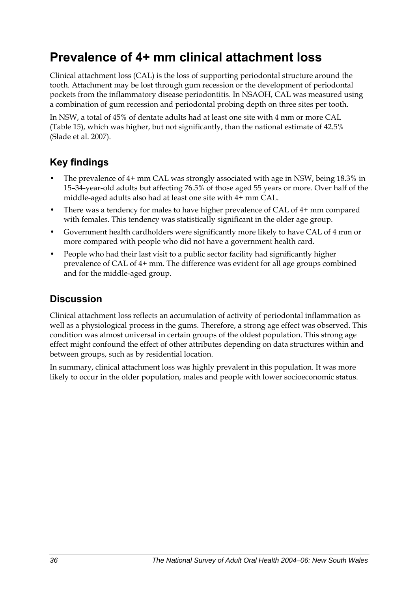## **Prevalence of 4+ mm clinical attachment loss**

Clinical attachment loss (CAL) is the loss of supporting periodontal structure around the tooth. Attachment may be lost through gum recession or the development of periodontal pockets from the inflammatory disease periodontitis. In NSAOH, CAL was measured using a combination of gum recession and periodontal probing depth on three sites per tooth.

In NSW, a total of 45% of dentate adults had at least one site with 4 mm or more CAL (Table 1[5\), which was higher, but not significantly, than the national estimate of 42.5%](#page-44-0)  [\(Slade et al. 2007\).](#page-44-0) 

## **Key findings**

- The prevalence of 4+ mm CAL was strongly associated with age in NSW, being 18.3% in 15–34-year-old adults but affecting 76.5% of those aged 55 years or more. Over half of the middle-aged adults also had at least one site with 4+ mm CAL.
- There was a tendency for males to have higher prevalence of CAL of 4+ mm compared with females. This tendency was statistically significant in the older age group.
- Government health cardholders were significantly more likely to have CAL of 4 mm or more compared with people who did not have a government health card.
- People who had their last visit to a public sector facility had significantly higher prevalence of CAL of 4+ mm. The difference was evident for all age groups combined and for the middle-aged group.

### **Discussion**

Clinical attachment loss reflects an accumulation of activity of periodontal inflammation as well as a physiological process in the gums. Therefore, a strong age effect was observed. This condition was almost universal in certain groups of the oldest population. This strong age effect might confound the effect of other attributes depending on data structures within and between groups, such as by residential location.

In summary, clinical attachment loss was highly prevalent in this population. It was more likely to occur in the older population, males and people with lower socioeconomic status.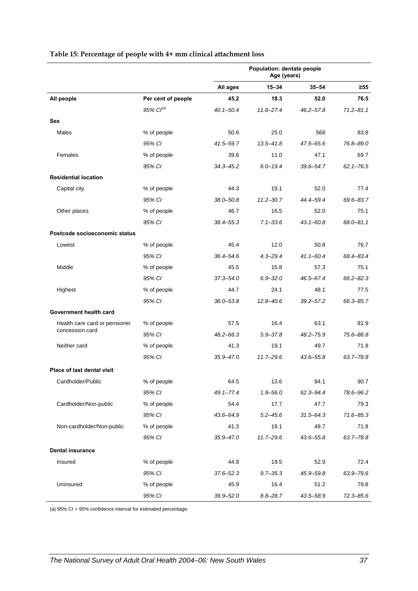|                               |                    | Population: dentate people<br>Age (years) |               |               |               |
|-------------------------------|--------------------|-------------------------------------------|---------------|---------------|---------------|
|                               |                    | All ages                                  | 15-34         | $35 - 54$     | ≥55           |
| All people                    | Per cent of people | 45.2                                      | 18.3          | 52.0          | 76.5          |
|                               | 95% $Cl^{(a)}$     | $40.1 - 50.4$                             | $11.8 - 27.4$ | $46.2 - 57.8$ | $71.2 - 81.1$ |
| <b>Sex</b>                    |                    |                                           |               |               |               |
| Males                         | % of people        | 50.6                                      | 25.0          | 568           | 83.8          |
|                               | 95% CI             | 41.5-59.7                                 | $13.5 - 41.8$ | $47.5 - 65.6$ | 76.8-89.0     |
| Females                       | % of people        | 39.6                                      | 11.0          | 47.1          | 69.7          |
|                               | 95% CI             | $34.3 - 45.2$                             | $6.0 - 19.4$  | 39.6-54.7     | $62.1 - 76.5$ |
| <b>Residential location</b>   |                    |                                           |               |               |               |
| Capital city                  | % of people        | 44.3                                      | 19.1          | 52.0          | 77.4          |
|                               | 95% CI             | $38.0 - 50.8$                             | $11.2 - 30.7$ | 44.4-59.4     | 69.6-83.7     |
| Other places                  | % of people        | 46.7                                      | 16.5          | 52.0          | 75.1          |
|                               | 95% CI             | $38.4 - 55.3$                             | $7.1 - 33.6$  | $43.1 - 60.8$ | 68.0-81.1     |
| Postcode socioeconomic status |                    |                                           |               |               |               |
| Lowest                        | % of people        | 45.4                                      | 12.0          | 50.8          | 76.7          |
|                               | 95% CI             | $36.4 - 54.6$                             | $4.3 - 29.4$  | $41.1 - 60.4$ | 68.4-83.4     |
| Middle                        | % of people        | 45.5                                      | 15.8          | 57.3          | 75.1          |
|                               | 95% CI             | $37.3 - 54.0$                             | $6.9 - 32.0$  | 46.5-67.4     | $66.2 - 82.3$ |
| Highest                       | % of people        | 44.7                                      | 24.1          | 48.1          | 77.5          |
|                               | 95% CI             | $36.0 - 53.8$                             | $12.8 - 40.6$ | $39.2 - 57.2$ | 66.3-85.7     |
| Government health card        |                    |                                           |               |               |               |
| Health care card or pensioner | % of people        | 57.5                                      | 16.4          | 63.1          | 81.9          |
| concession card               | 95% CI             | $48.2 - 66.3$                             | $5.9 - 37.8$  | $48.2 - 75.9$ | 75.6-86.8     |
| Neither card                  | % of people        | 41.3                                      | 19.1          | 49.7          | 71.8          |
|                               | 95% CI             | $35.9 - 47.0$                             | $11.7 - 29.6$ | $43.6 - 55.8$ | 63.7-78.8     |
| Place of last dental visit    |                    |                                           |               |               |               |
| Cardholder/Public             | % of people        | 64.5                                      | 13.6          | 84.1          | 90.7          |
|                               | 95% CI             | $49.1 - 77.4$                             | $1.9 - 56.0$  | 62.3-94.4     | 78.6-96.2     |
| Cardholder/Non-public         | % of people        | 54.4                                      | 17.7          | 47.7          | 79.3          |
|                               | 95% CI             | 43.6-64.9                                 | $5.2 - 45.6$  | $31.5 - 64.3$ | 71.6-85.3     |
| Non-cardholder/Non-public     | % of people        | 41.3                                      | 19.1          | 49.7          | 71.8          |
|                               | 95% CI             | $35.9 - 47.0$                             | $11.7 - 29.6$ | $43.6 - 55.8$ | $63.7 - 78.8$ |
| <b>Dental insurance</b>       |                    |                                           |               |               |               |
| Insured                       | % of people        | 44.8                                      | 19.5          | 52.9          | 72.4          |
|                               | 95% CI             | $37.6 - 52.3$                             | $9.7 - 35.3$  | 45.9-59.8     | 63.9-79.6     |
| Uninsured                     | % of people        | 45.9                                      | 16.4          | 51.2          | 79.8          |
|                               | 95% CI             | $39.9 - 52.0$                             | $8.8 - 28.7$  | 43.5-58.9     | 72.3-85.6     |

#### <span id="page-44-0"></span>**Table 15: Percentage of people with 4+ mm clinical attachment loss**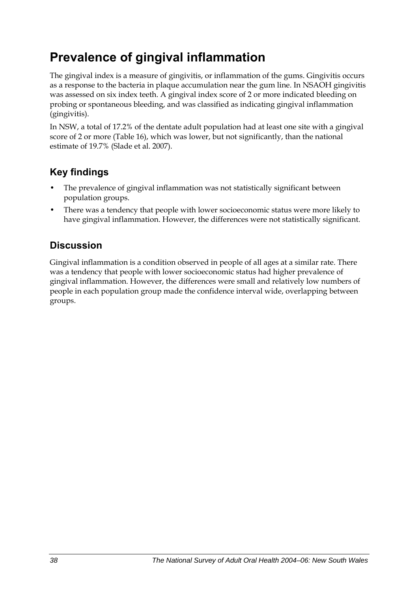## **Prevalence of gingival inflammation**

The gingival index is a measure of gingivitis, or inflammation of the gums. Gingivitis occurs as a response to the bacteria in plaque accumulation near the gum line. In NSAOH gingivitis was assessed on six index teeth. A gingival index score of 2 or more indicated bleeding on probing or spontaneous bleeding, and was classified as indicating gingival inflammation (gingivitis).

In NSW, a total of 17.2% of the dentate adult population had at least one site with a gingival score of 2 or more (Table 16[\), which was lower, but not significantly, than the national](#page-46-0)  [estimate of 19.7% \(Slade et al. 2007\).](#page-46-0) 

## **Key findings**

- The prevalence of gingival inflammation was not statistically significant between population groups.
- There was a tendency that people with lower socioeconomic status were more likely to have gingival inflammation. However, the differences were not statistically significant.

### **Discussion**

Gingival inflammation is a condition observed in people of all ages at a similar rate. There was a tendency that people with lower socioeconomic status had higher prevalence of gingival inflammation. However, the differences were small and relatively low numbers of people in each population group made the confidence interval wide, overlapping between groups.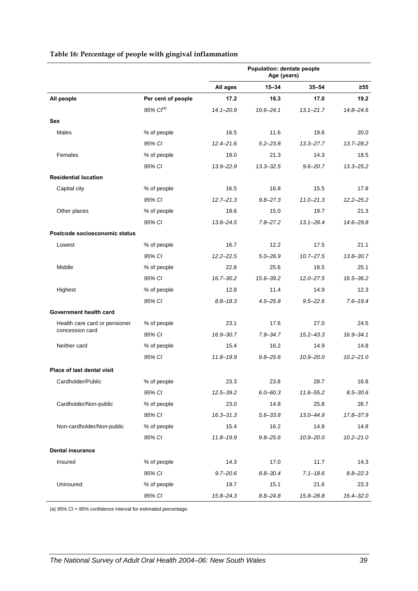<span id="page-46-0"></span>

|                               |                    | Population: dentate people<br>Age (years) |               |               |               |
|-------------------------------|--------------------|-------------------------------------------|---------------|---------------|---------------|
|                               |                    | All ages                                  | $15 - 34$     | $35 - 54$     | $\geq 55$     |
| All people                    | Per cent of people | 17.2                                      | 16.3          | 17.0          | 19.2          |
|                               | 95% $Cl^{(a)}$     | $14.1 - 20.9$                             | $10.6 - 24.1$ | $13.1 - 21.7$ | $14.8 - 24.6$ |
| Sex                           |                    |                                           |               |               |               |
| Males                         | % of people        | 16.5                                      | 11.6          | 19.6          | 20.0          |
|                               | 95% CI             | $12.4 - 21.6$                             | $5.2 - 23.8$  | $13.3 - 27.7$ | $13.7 - 28.2$ |
| Females                       | % of people        | 18.0                                      | 21.3          | 14.3          | 18.5          |
|                               | 95% CI             | $13.9 - 22.9$                             | $13.3 - 32.5$ | $9.6 - 20.7$  | $13.3 - 25.2$ |
| <b>Residential location</b>   |                    |                                           |               |               |               |
| Capital city                  | % of people        | 16.5                                      | 16.8          | 15.5          | 17.8          |
|                               | 95% CI             | $12.7 - 21.3$                             | $9.8 - 27.3$  | $11.0 - 21.3$ | $12.2 - 25.2$ |
| Other places                  | % of people        | 18.6                                      | 15.0          | 19.7          | 21.3          |
|                               | 95% CI             | $13.8 - 24.5$                             | $7.8 - 27.2$  | $13.1 - 28.4$ | 14.6-29.8     |
| Postcode socioeconomic status |                    |                                           |               |               |               |
| Lowest                        | % of people        | 16.7                                      | 12.2          | 17.5          | 21.1          |
|                               | 95% CI             | $12.2 - 22.5$                             | $5.0 - 26.9$  | $10.7 - 27.5$ | $13.8 - 30.7$ |
| Middle                        | % of people        | 22.8                                      | 25.6          | 18.5          | 25.1          |
|                               | 95% CI             | $16.7 - 30.2$                             | 15.6-39.2     | $12.0 - 27.5$ | $16.5 - 36.2$ |
| Highest                       | % of people        | 12.8                                      | 11.4          | 14.9          | 12.3          |
|                               | 95% CI             | $8.8 - 18.3$                              | $4.5 - 25.8$  | $9.5 - 22.6$  | $7.6 - 19.4$  |
| Government health card        |                    |                                           |               |               |               |
| Health care card or pensioner | % of people        | 23.1                                      | 17.6          | 27.0          | 24.5          |
| concession card               | 95% CI             | 16.9-30.7                                 | $7.9 - 34.7$  | $15.2 - 43.3$ | $16.9 - 34.1$ |
| Neither card                  | % of people        | 15.4                                      | 16.2          | 14.9          | 14.8          |
|                               | 95% CI             | 11.8-19.9                                 | $9.8 - 25.6$  | $10.9 - 20.0$ | $10.2 - 21.0$ |
| Place of last dental visit    |                    |                                           |               |               |               |
| Cardholder/Public             | % of people        | 23.3                                      | 23.8          | 28.7          | 16.8          |
|                               | 95% CI             | 12.5-39.2                                 | $6.0 - 60.3$  | 11.6-55.2     | $8.5 - 30.6$  |
| Cardholder/Non-public         | % of people        | 23.0                                      | 14.8          | 25.8          | 26.7          |
|                               | 95% CI             | $16.3 - 31.3$                             | $5.6 - 33.8$  | 13.0-44.9     | 17.8-37.9     |
| Non-cardholder/Non-public     | % of people        | 15.4                                      | 16.2          | 14.9          | 14.8          |
|                               | 95% CI             | $11.8 - 19.9$                             | $9.8 - 25.6$  | $10.9 - 20.0$ | $10.2 - 21.0$ |
| <b>Dental insurance</b>       |                    |                                           |               |               |               |
| Insured                       | % of people        | 14.3                                      | 17.0          | 11.7          | 14.3          |
|                               | 95% CI             | $9.7 - 20.6$                              | $8.8 - 30.4$  | $7.1 - 18.6$  | $8.8 - 22.3$  |
| Uninsured                     | % of people        | 19.7                                      | 15.1          | 21.6          | 23.3          |
|                               | 95% CI             | 15.8-24.3                                 | $8.8 - 24.8$  | 15.8-28.8     | $16.4 - 32.0$ |

#### **Table 16: Percentage of people with gingival inflammation**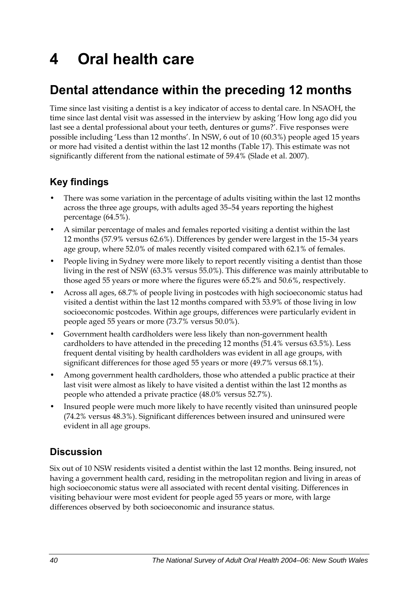# **4 Oral health care**

## **Dental attendance within the preceding 12 months**

Time since last visiting a dentist is a key indicator of access to dental care. In NSAOH, the time since last dental visit was assessed in the interview by asking 'How long ago did you last see a dental professional about your teeth, dentures or gums?'. Five responses were possible including 'Less than 12 months'. In NSW, 6 out of 10 (60.3%) people aged 15 years or more had visited a dentist within the last 12 months (Table 1[7\). This estimate was not](#page-48-0)  [significantly different from the national estimate of 59.4% \(Slade et al. 2007\).](#page-48-0) 

## **Key findings**

- There was some variation in the percentage of adults visiting within the last 12 months across the three age groups, with adults aged 35–54 years reporting the highest percentage (64.5%).
- A similar percentage of males and females reported visiting a dentist within the last 12 months (57.9% versus 62.6%). Differences by gender were largest in the 15–34 years age group, where 52.0% of males recently visited compared with 62.1% of females.
- People living in Sydney were more likely to report recently visiting a dentist than those living in the rest of NSW (63.3% versus 55.0%). This difference was mainly attributable to those aged 55 years or more where the figures were 65.2% and 50.6%, respectively.
- Across all ages, 68.7% of people living in postcodes with high socioeconomic status had visited a dentist within the last 12 months compared with 53.9% of those living in low socioeconomic postcodes. Within age groups, differences were particularly evident in people aged 55 years or more (73.7% versus 50.0%).
- Government health cardholders were less likely than non-government health cardholders to have attended in the preceding 12 months (51.4% versus 63.5%). Less frequent dental visiting by health cardholders was evident in all age groups, with significant differences for those aged 55 years or more (49.7% versus 68.1%).
- Among government health cardholders, those who attended a public practice at their last visit were almost as likely to have visited a dentist within the last 12 months as people who attended a private practice (48.0% versus 52.7%).
- Insured people were much more likely to have recently visited than uninsured people (74.2% versus 48.3%). Significant differences between insured and uninsured were evident in all age groups.

### **Discussion**

Six out of 10 NSW residents visited a dentist within the last 12 months. Being insured, not having a government health card, residing in the metropolitan region and living in areas of high socioeconomic status were all associated with recent dental visiting. Differences in visiting behaviour were most evident for people aged 55 years or more, with large differences observed by both socioeconomic and insurance status.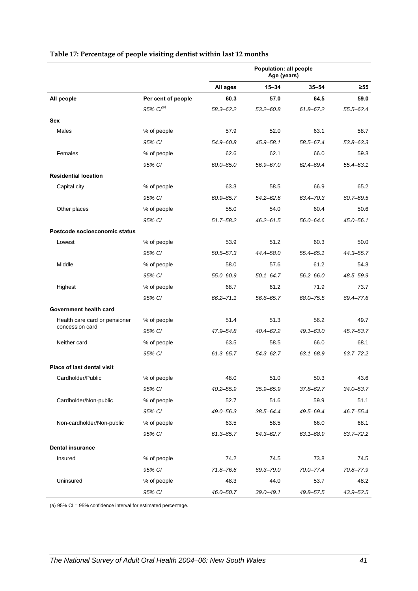|                                   |                       | Population: all people<br>Age (years) |               |               |               |
|-----------------------------------|-----------------------|---------------------------------------|---------------|---------------|---------------|
|                                   |                       | All ages                              | $15 - 34$     | $35 - 54$     | ≥55           |
| All people                        | Per cent of people    | 60.3                                  | 57.0          | 64.5          | 59.0          |
|                                   | 95% Cl <sup>(a)</sup> | $58.3 - 62.2$                         | $53.2 - 60.8$ | 61.8-67.2     | $55.5 - 62.4$ |
| Sex                               |                       |                                       |               |               |               |
| Males                             | % of people           | 57.9                                  | 52.0          | 63.1          | 58.7          |
|                                   | 95% CI                | $54.9 - 60.8$                         | 45.9-58.1     | 58.5-67.4     | $53.8 - 63.3$ |
| Females                           | % of people           | 62.6                                  | 62.1          | 66.0          | 59.3          |
|                                   | 95% CI                | $60.0 - 65.0$                         | 56.9-67.0     | 62.4-69.4     | $55.4 - 63.1$ |
| <b>Residential location</b>       |                       |                                       |               |               |               |
| Capital city                      | % of people           | 63.3                                  | 58.5          | 66.9          | 65.2          |
|                                   | 95% CI                | 60.9-65.7                             | $54.2 - 62.6$ | 63.4-70.3     | $60.7 - 69.5$ |
| Other places                      | % of people           | 55.0                                  | 54.0          | 60.4          | 50.6          |
|                                   | 95% CI                | $51.7 - 58.2$                         | $46.2 - 61.5$ | $56.0 - 64.6$ | $45.0 - 56.1$ |
| Postcode socioeconomic status     |                       |                                       |               |               |               |
| Lowest                            | % of people           | 53.9                                  | 51.2          | 60.3          | 50.0          |
|                                   | 95% CI                | $50.5 - 57.3$                         | 44.4-58.0     | $55.4 - 65.1$ | 44.3-55.7     |
| Middle                            | % of people           | 58.0                                  | 57.6          | 61.2          | 54.3          |
|                                   | 95% CI                | 55.0-60.9                             | $50.1 - 64.7$ | $56.2 - 66.0$ | 48.5-59.9     |
| Highest                           | % of people           | 68.7                                  | 61.2          | 71.9          | 73.7          |
|                                   | 95% CI                | $66.2 - 71.1$                         | 56.6-65.7     | 68.0-75.5     | 69.4-77.6     |
| Government health card            |                       |                                       |               |               |               |
| Health care card or pensioner     | % of people           | 51.4                                  | 51.3          | 56.2          | 49.7          |
| concession card                   | 95% CI                | 47.9-54.8                             | $40.4 - 62.2$ | $49.1 - 63.0$ | $45.7 - 53.7$ |
| Neither card                      | % of people           | 63.5                                  | 58.5          | 66.0          | 68.1          |
|                                   | 95% CI                | $61.3 - 65.7$                         | 54.3-62.7     | $63.1 - 68.9$ | $63.7 - 72.2$ |
| <b>Place of last dental visit</b> |                       |                                       |               |               |               |
| Cardholder/Public                 | % of people           | 48.0                                  | 51.0          | 50.3          | 43.6          |
|                                   | 95% CI                | $40.2 - 55.9$                         | $35.9 - 65.9$ | $37.8 - 62.7$ | $34.0 - 53.7$ |
| Cardholder/Non-public             | % of people           | 52.7                                  | 51.6          | 59.9          | 51.1          |
|                                   | 95% CI                | $49.0 - 56.3$                         | 38.5-64.4     | 49.5-69.4     | $46.7 - 55.4$ |
| Non-cardholder/Non-public         | % of people           | 63.5                                  | 58.5          | 66.0          | 68.1          |
|                                   | 95% CI                | $61.3 - 65.7$                         | $54.3 - 62.7$ | $63.1 - 68.9$ | $63.7 - 72.2$ |
| <b>Dental insurance</b>           |                       |                                       |               |               |               |
| Insured                           | % of people           | 74.2                                  | 74.5          | 73.8          | 74.5          |
|                                   | 95% CI                | $71.8 - 76.6$                         | 69.3-79.0     | $70.0 - 77.4$ | 70.8-77.9     |
| Uninsured                         | % of people           | 48.3                                  | 44.0          | 53.7          | 48.2          |
|                                   | 95% CI                | 46.0-50.7                             | $39.0 - 49.1$ | 49.8-57.5     | 43.9-52.5     |

#### <span id="page-48-0"></span>**Table 17: Percentage of people visiting dentist within last 12 months**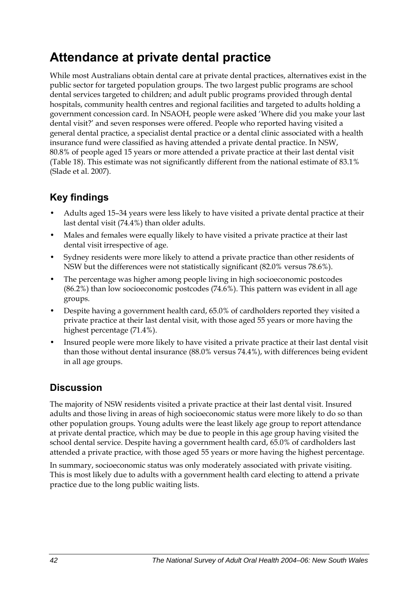## **Attendance at private dental practice**

While most Australians obtain dental care at private dental practices, alternatives exist in the public sector for targeted population groups. The two largest public programs are school dental services targeted to children; and adult public programs provided through dental hospitals, community health centres and regional facilities and targeted to adults holding a government concession card. In NSAOH, people were asked 'Where did you make your last dental visit?' and seven responses were offered. People who reported having visited a general dental practice, a specialist dental practice or a dental clinic associated with a health insurance fund were classified as having attended a private dental practice. In NSW, 80.8% of people aged 15 years or more attended a private practice at their last dental visit (Table 1[8\). This estimate was not significantly different from the national estimate of 83.1%](#page-50-0)  [\(Slade et al. 2007\).](#page-50-0) 

## **Key findings**

- Adults aged 15–34 years were less likely to have visited a private dental practice at their last dental visit (74.4%) than older adults.
- Males and females were equally likely to have visited a private practice at their last dental visit irrespective of age.
- Sydney residents were more likely to attend a private practice than other residents of NSW but the differences were not statistically significant (82.0% versus 78.6%).
- The percentage was higher among people living in high socioeconomic postcodes (86.2%) than low socioeconomic postcodes (74.6%). This pattern was evident in all age groups.
- Despite having a government health card, 65.0% of cardholders reported they visited a private practice at their last dental visit, with those aged 55 years or more having the highest percentage (71.4%).
- Insured people were more likely to have visited a private practice at their last dental visit than those without dental insurance (88.0% versus 74.4%), with differences being evident in all age groups.

## **Discussion**

The majority of NSW residents visited a private practice at their last dental visit. Insured adults and those living in areas of high socioeconomic status were more likely to do so than other population groups. Young adults were the least likely age group to report attendance at private dental practice, which may be due to people in this age group having visited the school dental service. Despite having a government health card, 65.0% of cardholders last attended a private practice, with those aged 55 years or more having the highest percentage.

In summary, socioeconomic status was only moderately associated with private visiting. This is most likely due to adults with a government health card electing to attend a private practice due to the long public waiting lists.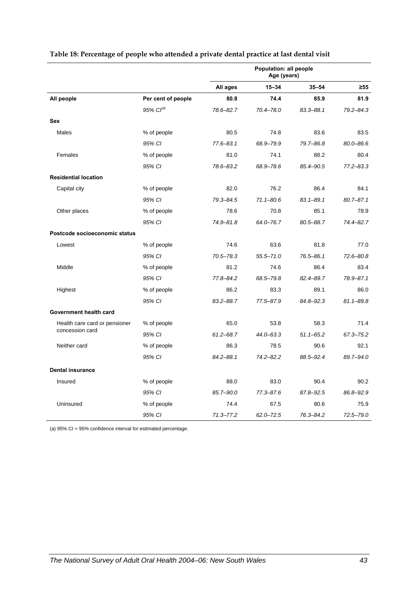|                               |                    | Population: all people<br>Age (years) |               |               |               |
|-------------------------------|--------------------|---------------------------------------|---------------|---------------|---------------|
|                               |                    | All ages                              | $15 - 34$     | $35 - 54$     | $\geq 55$     |
| All people                    | Per cent of people | 80.8                                  | 74.4          | 85.9          | 81.9          |
|                               | 95% $Cl^{(a)}$     | 78.6-82.7                             | 70.4-78.0     | 83.3-88.1     | 79.2-84.3     |
| Sex                           |                    |                                       |               |               |               |
| Males                         | % of people        | 80.5                                  | 74.8          | 83.6          | 83.5          |
|                               | 95% CI             | $77.6 - 83.1$                         | 68.9-79.9     | 79.7-86.8     | $80.0 - 86.6$ |
| Females                       | % of people        | 81.0                                  | 74.1          | 88.2          | 80.4          |
|                               | 95% CI             | 78.6-83.2                             | 68.9-78.6     | 85.4-90.5     | $77.2 - 83.3$ |
| <b>Residential location</b>   |                    |                                       |               |               |               |
| Capital city                  | % of people        | 82.0                                  | 76.2          | 86.4          | 84.1          |
|                               | 95% CI             | $79.3 - 84.5$                         | $71.1 - 80.6$ | $83.1 - 89.1$ | $80.7 - 87.1$ |
| Other places                  | % of people        | 78.6                                  | 70.8          | 85.1          | 78.9          |
|                               | 95% CI             | 74.9-81.8                             | 64.0-76.7     | 80.5-88.7     | 74.4-82.7     |
| Postcode socioeconomic status |                    |                                       |               |               |               |
| Lowest                        | % of people        | 74.6                                  | 63.6          | 81.8          | 77.0          |
|                               | 95% CI             | $70.5 - 78.3$                         | $55.5 - 71.0$ | 76.5-86.1     | 72.6-80.8     |
| Middle                        | % of people        | 81.2                                  | 74.6          | 86.4          | 83.4          |
|                               | 95% CI             | $77.8 - 84.2$                         | 68.5-79.8     | 82.4-89.7     | 78.9-87.1     |
| Highest                       | % of people        | 86.2                                  | 83.3          | 89.1          | 86.0          |
|                               | 95% CI             | $83.2 - 88.7$                         | 77.5-87.9     | 84.8-92.3     | $81.1 - 89.8$ |
| Government health card        |                    |                                       |               |               |               |
| Health care card or pensioner | % of people        | 65.0                                  | 53.8          | 58.3          | 71.4          |
| concession card               | 95% CI             | $61.2 - 68.7$                         | $44.0 - 63.3$ | $51.1 - 65.2$ | 67.3-75.2     |
| Neither card                  | % of people        | 86.3                                  | 78.5          | 90.6          | 92.1          |
|                               | 95% CI             | $84.2 - 88.1$                         | $74.2 - 82.2$ | 88.5-92.4     | 89.7-94.0     |
| <b>Dental insurance</b>       |                    |                                       |               |               |               |
| Insured                       | % of people        | 88.0                                  | 83.0          | 90.4          | 90.2          |
|                               | 95% CI             | 85.7-90.0                             | $77.3 - 87.6$ | 87.8-92.5     | 86.8-92.9     |
| Uninsured                     | % of people        | 74.4                                  | 67.5          | 80.6          | 75.9          |
|                               | 95% CI             | $71.3 - 77.2$                         | $62.0 - 72.5$ | $76.3 - 84.2$ | $72.5 - 79.0$ |

#### <span id="page-50-0"></span>**Table 18: Percentage of people who attended a private dental practice at last dental visit**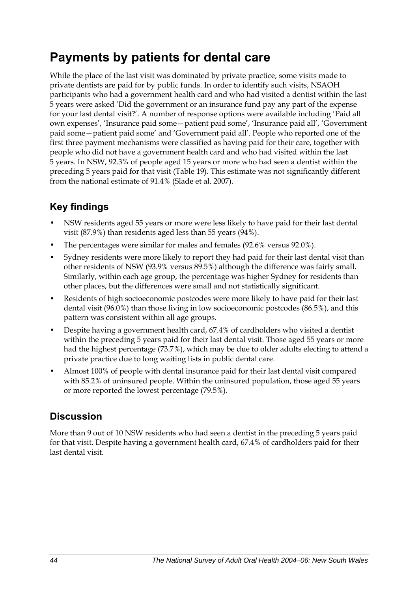## **Payments by patients for dental care**

While the place of the last visit was dominated by private practice, some visits made to private dentists are paid for by public funds. In order to identify such visits, NSAOH participants who had a government health card and who had visited a dentist within the last 5 years were asked 'Did the government or an insurance fund pay any part of the expense for your last dental visit?'. A number of response options were available including 'Paid all own expenses', 'Insurance paid some—patient paid some', 'Insurance paid all', 'Government paid some—patient paid some' and 'Government paid all'. People who reported one of the first three payment mechanisms were classified as having paid for their care, together with people who did not have a government health card and who had visited within the last 5 years. In NSW, 92.3% of people aged 15 years or more who had seen a dentist within the preceding 5 years paid for that visit (Table 19[\). This estimate was not significantly different](#page-52-0)  [from the national estimate of 91.4% \(Slade et al. 2007\).](#page-52-0) 

## **Key findings**

- NSW residents aged 55 years or more were less likely to have paid for their last dental visit (87.9%) than residents aged less than 55 years (94%).
- The percentages were similar for males and females (92.6% versus 92.0%).
- Sydney residents were more likely to report they had paid for their last dental visit than other residents of NSW (93.9% versus 89.5%) although the difference was fairly small. Similarly, within each age group, the percentage was higher Sydney for residents than other places, but the differences were small and not statistically significant.
- Residents of high socioeconomic postcodes were more likely to have paid for their last dental visit (96.0%) than those living in low socioeconomic postcodes (86.5%), and this pattern was consistent within all age groups.
- Despite having a government health card, 67.4% of cardholders who visited a dentist within the preceding 5 years paid for their last dental visit. Those aged 55 years or more had the highest percentage (73.7%), which may be due to older adults electing to attend a private practice due to long waiting lists in public dental care.
- Almost 100% of people with dental insurance paid for their last dental visit compared with 85.2% of uninsured people. Within the uninsured population, those aged 55 years or more reported the lowest percentage (79.5%).

### **Discussion**

More than 9 out of 10 NSW residents who had seen a dentist in the preceding 5 years paid for that visit. Despite having a government health card, 67.4% of cardholders paid for their last dental visit.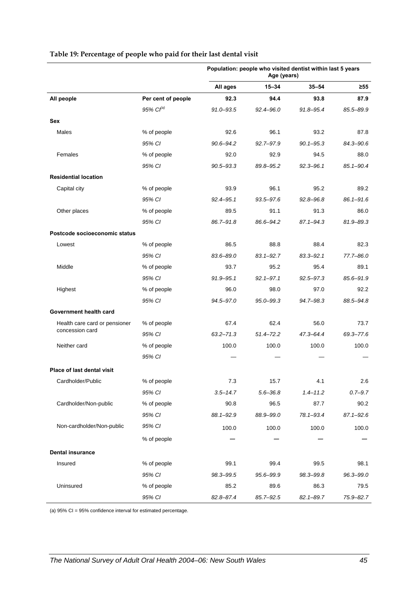|                                   |                    | Population: people who visited dentist within last 5 years<br>Age (years) |               |               |               |
|-----------------------------------|--------------------|---------------------------------------------------------------------------|---------------|---------------|---------------|
|                                   |                    | All ages                                                                  | $15 - 34$     | $35 - 54$     | ≥55           |
| All people                        | Per cent of people | 92.3                                                                      | 94.4          | 93.8          | 87.9          |
|                                   | 95% $Cl^{(a)}$     | $91.0 - 93.5$                                                             | $92.4 - 96.0$ | 91.8-95.4     | 85.5-89.9     |
| Sex                               |                    |                                                                           |               |               |               |
| Males                             | % of people        | 92.6                                                                      | 96.1          | 93.2          | 87.8          |
|                                   | 95% CI             | $90.6 - 94.2$                                                             | $92.7 - 97.9$ | $90.1 - 95.3$ | 84.3-90.6     |
| Females                           | % of people        | 92.0                                                                      | 92.9          | 94.5          | 88.0          |
|                                   | 95% CI             | $90.5 - 93.3$                                                             | 89.8-95.2     | $92.3 - 96.1$ | $85.1 - 90.4$ |
| <b>Residential location</b>       |                    |                                                                           |               |               |               |
| Capital city                      | % of people        | 93.9                                                                      | 96.1          | 95.2          | 89.2          |
|                                   | 95% CI             | $92.4 - 95.1$                                                             | 93.5-97.6     | $92.8 - 96.8$ | $86.1 - 91.6$ |
| Other places                      | % of people        | 89.5                                                                      | 91.1          | 91.3          | 86.0          |
|                                   | 95% CI             | 86.7-91.8                                                                 | 86.6-94.2     | 87.1-94.3     | 81.9-89.3     |
| Postcode socioeconomic status     |                    |                                                                           |               |               |               |
| Lowest                            | % of people        | 86.5                                                                      | 88.8          | 88.4          | 82.3          |
|                                   | 95% CI             | 83.6-89.0                                                                 | $83.1 - 92.7$ | $83.3 - 92.1$ | 77.7-86.0     |
| Middle                            | % of people        | 93.7                                                                      | 95.2          | 95.4          | 89.1          |
|                                   | 95% CI             | $91.9 - 95.1$                                                             | $92.1 - 97.1$ | $92.5 - 97.3$ | 85.6-91.9     |
| Highest                           | % of people        | 96.0                                                                      | 98.0          | 97.0          | 92.2          |
|                                   | 95% CI             | 94.5-97.0                                                                 | $95.0 - 99.3$ | 94.7-98.3     | 88.5-94.8     |
| Government health card            |                    |                                                                           |               |               |               |
| Health care card or pensioner     | % of people        | 67.4                                                                      | 62.4          | 56.0          | 73.7          |
| concession card                   | 95% CI             | $63.2 - 71.3$                                                             | $51.4 - 72.2$ | 47.3-64.4     | 69.3-77.6     |
| Neither card                      | % of people        | 100.0                                                                     | 100.0         | 100.0         | 100.0         |
|                                   | 95% CI             |                                                                           |               |               |               |
| <b>Place of last dental visit</b> |                    |                                                                           |               |               |               |
| Cardholder/Public                 | % of people        | $7.3$                                                                     | 15.7          | 4.1           | 2.6           |
|                                   | 95% CI             | $3.5 - 14.7$                                                              | $5.6 - 36.8$  | $1.4 - 11.2$  | $0.7 - 9.7$   |
| Cardholder/Non-public             | % of people        | 90.8                                                                      | 96.5          | 87.7          | 90.2          |
|                                   | 95% CI             | 88.1-92.9                                                                 | 88.9-99.0     | 78.1-93.4     | $87.1 - 92.6$ |
| Non-cardholder/Non-public         | 95% CI             | 100.0                                                                     | 100.0         | 100.0         | 100.0         |
|                                   | % of people        |                                                                           |               |               |               |
| <b>Dental insurance</b>           |                    |                                                                           |               |               |               |
| Insured                           | % of people        | 99.1                                                                      | 99.4          | 99.5          | 98.1          |
|                                   | 95% CI             | 98.3-99.5                                                                 | 95.6-99.9     | 98.3-99.8     | 96.3-99.0     |
| Uninsured                         | % of people        | 85.2                                                                      | 89.6          | 86.3          | 79.5          |
|                                   | 95% CI             | 82.8-87.4                                                                 | $85.7 - 92.5$ | $82.1 - 89.7$ | 75.9-82.7     |

#### <span id="page-52-0"></span>**Table 19: Percentage of people who paid for their last dental visit**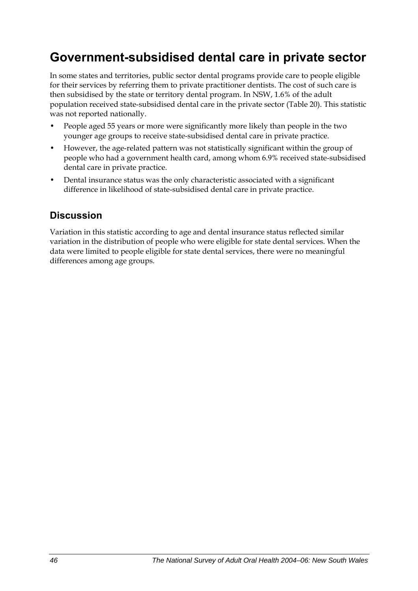## **Government-subsidised dental care in private sector**

In some states and territories, public sector dental programs provide care to people eligible for their services by referring them to private practitioner dentists. The cost of such care is then subsidised by the state or territory dental program. In NSW, 1.6% of the adult population received state-subsidised dental care in the private sector [\(Table 20\)](#page-54-0). This statistic was not reported nationally.

- People aged 55 years or more were significantly more likely than people in the two younger age groups to receive state-subsidised dental care in private practice.
- However, the age-related pattern was not statistically significant within the group of people who had a government health card, among whom 6.9% received state-subsidised dental care in private practice.
- Dental insurance status was the only characteristic associated with a significant difference in likelihood of state-subsidised dental care in private practice.

### **Discussion**

Variation in this statistic according to age and dental insurance status reflected similar variation in the distribution of people who were eligible for state dental services. When the data were limited to people eligible for state dental services, there were no meaningful differences among age groups.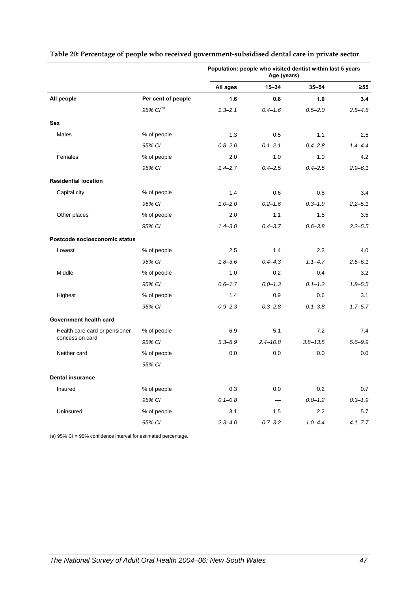|                               |                       | Population: people who visited dentist within last 5 years<br>Age (years) |              |              |             |
|-------------------------------|-----------------------|---------------------------------------------------------------------------|--------------|--------------|-------------|
|                               |                       | All ages                                                                  | $15 - 34$    | $35 - 54$    | $\geq 55$   |
| All people                    | Per cent of people    | 1.6                                                                       | 0.8          | 1.0          | 3.4         |
|                               | 95% Cl <sup>(a)</sup> | $1.3 - 2.1$                                                               | $0.4 - 1.6$  | $0.5 - 2.0$  | $2.5 - 4.6$ |
| Sex                           |                       |                                                                           |              |              |             |
| Males                         | % of people           | 1.3                                                                       | 0.5          | 1.1          | 2.5         |
|                               | 95% CI                | $0.8 - 2.0$                                                               | $0.1 - 2.1$  | $0.4 - 2.8$  | $1.4 - 4.4$ |
| Females                       | % of people           | 2.0                                                                       | 1.0          | 1.0          | 4.2         |
|                               | 95% CI                | $1.4 - 2.7$                                                               | $0.4 - 2.5$  | $0.4 - 2.5$  | $2.9 - 6.1$ |
| <b>Residential location</b>   |                       |                                                                           |              |              |             |
| Capital city                  | % of people           | 1.4                                                                       | 0.6          | 0.8          | 3.4         |
|                               | 95% CI                | $1.0 - 2.0$                                                               | $0.2 - 1.6$  | $0.3 - 1.9$  | $2.2 - 5.1$ |
| Other places                  | % of people           | 2.0                                                                       | 1.1          | 1.5          | 3.5         |
|                               | 95% CI                | $1.4 - 3.0$                                                               | $0.4 - 3.7$  | $0.6 - 3.8$  | $2.2 - 5.5$ |
| Postcode socioeconomic status |                       |                                                                           |              |              |             |
| Lowest                        | % of people           | 2.5                                                                       | 1.4          | 2.3          | 4.0         |
|                               | 95% CI                | $1.8 - 3.6$                                                               | $0.4 - 4.3$  | $1.1 - 4.7$  | $2.5 - 6.1$ |
| Middle                        | % of people           | 1.0                                                                       | 0.2          | 0.4          | 3.2         |
|                               | 95% CI                | $0.6 - 1.7$                                                               | $0.0 - 1.3$  | $0.1 - 1.2$  | $1.8 - 5.5$ |
| Highest                       | % of people           | 1.4                                                                       | 0.9          | 0.6          | 3.1         |
|                               | 95% CI                | $0.9 - 2.3$                                                               | $0.3 - 2.8$  | $0.1 - 3.8$  | $1.7 - 5.7$ |
| Government health card        |                       |                                                                           |              |              |             |
| Health care card or pensioner | % of people           | 6.9                                                                       | 5.1          | 7.2          | 7.4         |
| concession card               | 95% CI                | $5.3 - 8.9$                                                               | $2.4 - 10.8$ | $3.8 - 13.5$ | $5.6 - 9.9$ |
| Neither card                  | % of people           | 0.0                                                                       | 0.0          | 0.0          | 0.0         |
|                               | 95% CI                |                                                                           |              |              |             |
| <b>Dental insurance</b>       |                       |                                                                           |              |              |             |
| Insured                       | % of people           | 0.3                                                                       | 0.0          | 0.2          | 0.7         |
|                               | 95% CI                | $0.1 - 0.8$                                                               |              | $0.0 - 1.2$  | $0.3 - 1.9$ |
| Uninsured                     | % of people           | 3.1                                                                       | 1.5          | 2.2          | 5.7         |
|                               | 95% CI                | $2.3 - 4.0$                                                               | $0.7 - 3.2$  | $1.0 - 4.4$  | $4.1 - 7.7$ |

#### <span id="page-54-0"></span>**Table 20: Percentage of people who received government-subsidised dental care in private sector**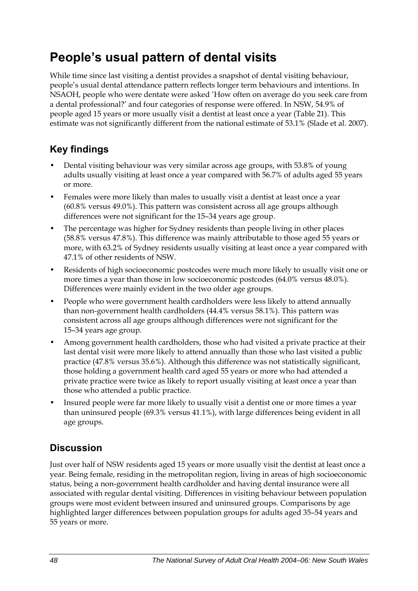## **People's usual pattern of dental visits**

While time since last visiting a dentist provides a snapshot of dental visiting behaviour, people's usual dental attendance pattern reflects longer term behaviours and intentions. In NSAOH, people who were dentate were asked 'How often on average do you seek care from a dental professional?' and four categories of response were offered. In NSW, 54.9% of people aged 15 years or more usually visit a dentist at least once a year (Table 21). This estimate was not significantly different from the national estimate of 53.1% (Slade et al. 2007).

## **Key findings**

- Dental visiting behaviour was very similar across age groups, with 53.8% of young adults usually visiting at least once a year compared with 56.7% of adults aged 55 years or more.
- Females were more likely than males to usually visit a dentist at least once a year (60.8% versus 49.0%). This pattern was consistent across all age groups although differences were not significant for the 15–34 years age group.
- The percentage was higher for Sydney residents than people living in other places (58.8% versus 47.8%). This difference was mainly attributable to those aged 55 years or more, with 63.2% of Sydney residents usually visiting at least once a year compared with 47.1% of other residents of NSW.
- Residents of high socioeconomic postcodes were much more likely to usually visit one or more times a year than those in low socioeconomic postcodes (64.0% versus 48.0%). Differences were mainly evident in the two older age groups.
- People who were government health cardholders were less likely to attend annually than non-government health cardholders (44.4% versus 58.1%). This pattern was consistent across all age groups although differences were not significant for the 15–34 years age group.
- Among government health cardholders, those who had visited a private practice at their last dental visit were more likely to attend annually than those who last visited a public practice (47.8% versus 35.6%). Although this difference was not statistically significant, those holding a government health card aged 55 years or more who had attended a private practice were twice as likely to report usually visiting at least once a year than those who attended a public practice.
- Insured people were far more likely to usually visit a dentist one or more times a year than uninsured people (69.3% versus 41.1%), with large differences being evident in all age groups.

## **Discussion**

Just over half of NSW residents aged 15 years or more usually visit the dentist at least once a year. Being female, residing in the metropolitan region, living in areas of high socioeconomic status, being a non-government health cardholder and having dental insurance were all associated with regular dental visiting. Differences in visiting behaviour between population groups were most evident between insured and uninsured groups. Comparisons by age highlighted larger differences between population groups for adults aged 35–54 years and 55 years or more.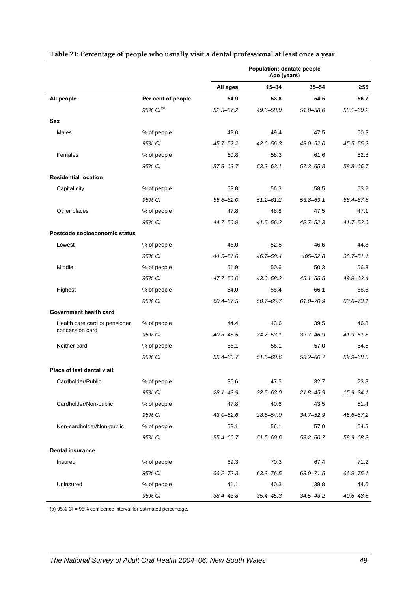|                                                  |                    | Population: dentate people<br>Age (years) |               |               |               |
|--------------------------------------------------|--------------------|-------------------------------------------|---------------|---------------|---------------|
|                                                  |                    | All ages                                  | $15 - 34$     | $35 - 54$     | $\geq 55$     |
| All people                                       | Per cent of people | 54.9                                      | 53.8          | 54.5          | 56.7          |
|                                                  | 95% $Cl^{(a)}$     | $52.5 - 57.2$                             | 49.6-58.0     | $51.0 - 58.0$ | $53.1 - 60.2$ |
| Sex                                              |                    |                                           |               |               |               |
| Males                                            | % of people        | 49.0                                      | 49.4          | 47.5          | 50.3          |
|                                                  | 95% CI             | $45.7 - 52.2$                             | $42.6 - 56.3$ | $43.0 - 52.0$ | 45.5–55.2     |
| Females                                          | % of people        | 60.8                                      | 58.3          | 61.6          | 62.8          |
|                                                  | 95% CI             | 57.8-63.7                                 | $53.3 - 63.1$ | $57.3 - 65.8$ | 58.8-66.7     |
| <b>Residential location</b>                      |                    |                                           |               |               |               |
| Capital city                                     | % of people        | 58.8                                      | 56.3          | 58.5          | 63.2          |
|                                                  | 95% CI             | $55.6 - 62.0$                             | $51.2 - 61.2$ | $53.8 - 63.1$ | 58.4-67.8     |
| Other places                                     | % of people        | 47.8                                      | 48.8          | 47.5          | 47.1          |
|                                                  | 95% CI             | 44.7-50.9                                 | $41.5 - 56.2$ | $42.7 - 52.3$ | $41.7 - 52.6$ |
| Postcode socioeconomic status                    |                    |                                           |               |               |               |
| Lowest                                           | % of people        | 48.0                                      | 52.5          | 46.6          | 44.8          |
|                                                  | 95% CI             | 44.5-51.6                                 | 46.7-58.4     | $405 - 52.8$  | $38.7 - 51.1$ |
| Middle                                           | % of people        | 51.9                                      | 50.6          | 50.3          | 56.3          |
|                                                  | 95% CI             | 47.7-56.0                                 | $43.0 - 58.2$ | $45.1 - 55.5$ | 49.9-62.4     |
| Highest                                          | % of people        | 64.0                                      | 58.4          | 66.1          | 68.6          |
|                                                  | 95% CI             | 60.4-67.5                                 | $50.7 - 65.7$ | 61.0-70.9     | $63.6 - 73.1$ |
| Government health card                           |                    |                                           |               |               |               |
| Health care card or pensioner<br>concession card | % of people        | 44.4                                      | 43.6          | 39.5          | 46.8          |
|                                                  | 95% CI             | $40.3 - 48.5$                             | $34.7 - 53.1$ | $32.7 - 46.9$ | $41.9 - 51.8$ |
| Neither card                                     | % of people        | 58.1                                      | 56.1          | 57.0          | 64.5          |
|                                                  | 95% CI             | 55.4-60.7                                 | $51.5 - 60.6$ | $53.2 - 60.7$ | 59.9-68.8     |
| Place of last dental visit                       |                    |                                           |               |               |               |
| Cardholder/Public                                | % of people        | 35.6                                      | 47.5          | 32.7          | 23.8          |
|                                                  | 95% CI             | 28.1-43.9                                 | $32.5 - 63.0$ | $21.8 - 45.9$ | $15.9 - 34.1$ |
| Cardholder/Non-public                            | % of people        | 47.8                                      | 40.6          | 43.5          | 51.4          |
|                                                  | 95% CI             | $43.0 - 52.6$                             | $28.5 - 54.0$ | $34.7 - 52.9$ | $45.6 - 57.2$ |
| Non-cardholder/Non-public                        | % of people        | 58.1                                      | 56.1          | 57.0          | 64.5          |
|                                                  | 95% CI             | 55.4-60.7                                 | $51.5 - 60.6$ | $53.2 - 60.7$ | 59.9-68.8     |
| <b>Dental insurance</b>                          |                    |                                           |               |               |               |
| Insured                                          | % of people        | 69.3                                      | 70.3          | 67.4          | 71.2          |
|                                                  | 95% CI             | $66.2 - 72.3$                             | 63.3-76.5     | $63.0 - 71.5$ | 66.9-75.1     |
| Uninsured                                        | % of people        | 41.1                                      | 40.3          | 38.8          | 44.6          |
|                                                  | 95% CI             | $38.4 - 43.8$                             | $35.4 - 45.3$ | $34.5 - 43.2$ | 40.6-48.8     |

#### **Table 21: Percentage of people who usually visit a dental professional at least once a year**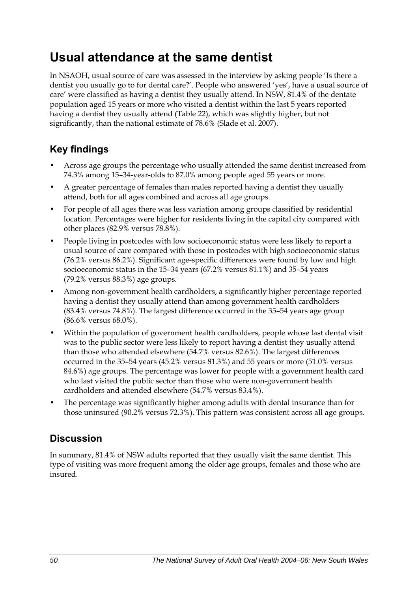## **Usual attendance at the same dentist**

In NSAOH, usual source of care was assessed in the interview by asking people 'Is there a dentist you usually go to for dental care?'. People who answered 'yes', have a usual source of care' were classified as having a dentist they usually attend. In NSW, 81.4% of the dentate population aged 15 years or more who visited a dentist within the last 5 years reported having a dentist they usually attend (Table 22[\), which was slightly higher, but not](#page-58-0)  [significantly, than the national estimate of 78.6% \(Slade et al. 2007\).](#page-58-0) 

## **Key findings**

- Across age groups the percentage who usually attended the same dentist increased from 74.3% among 15–34-year-olds to 87.0% among people aged 55 years or more.
- A greater percentage of females than males reported having a dentist they usually attend, both for all ages combined and across all age groups.
- For people of all ages there was less variation among groups classified by residential location. Percentages were higher for residents living in the capital city compared with other places (82.9% versus 78.8%).
- People living in postcodes with low socioeconomic status were less likely to report a usual source of care compared with those in postcodes with high socioeconomic status (76.2% versus 86.2%). Significant age-specific differences were found by low and high socioeconomic status in the 15–34 years (67.2% versus 81.1%) and 35–54 years (79.2% versus 88.3%) age groups.
- Among non-government health cardholders, a significantly higher percentage reported having a dentist they usually attend than among government health cardholders (83.4% versus 74.8%). The largest difference occurred in the 35–54 years age group (86.6% versus 68.0%).
- Within the population of government health cardholders, people whose last dental visit was to the public sector were less likely to report having a dentist they usually attend than those who attended elsewhere (54.7% versus 82.6%). The largest differences occurred in the 35–54 years (45.2% versus 81.3%) and 55 years or more (51.0% versus 84.6%) age groups. The percentage was lower for people with a government health card who last visited the public sector than those who were non-government health cardholders and attended elsewhere (54.7% versus 83.4%).
- The percentage was significantly higher among adults with dental insurance than for those uninsured (90.2% versus 72.3%). This pattern was consistent across all age groups.

### **Discussion**

In summary, 81.4% of NSW adults reported that they usually visit the same dentist. This type of visiting was more frequent among the older age groups, females and those who are insured.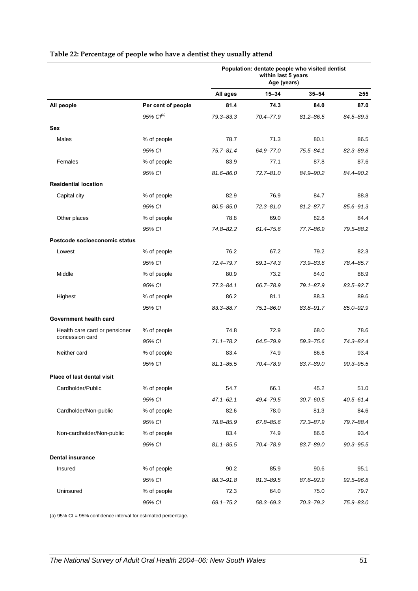|                               |                    | Population: dentate people who visited dentist<br>within last 5 years<br>Age (years) |               |               |               |
|-------------------------------|--------------------|--------------------------------------------------------------------------------------|---------------|---------------|---------------|
|                               |                    | All ages                                                                             | $15 - 34$     | $35 - 54$     | $\geq 55$     |
| All people                    | Per cent of people | 81.4                                                                                 | 74.3          | 84.0          | 87.0          |
|                               | $95\%$ $Cl^{(a)}$  | $79.3 - 83.3$                                                                        | 70.4-77.9     | $81.2 - 86.5$ | 84.5-89.3     |
| <b>Sex</b>                    |                    |                                                                                      |               |               |               |
| Males                         | % of people        | 78.7                                                                                 | 71.3          | 80.1          | 86.5          |
|                               | 95% CI             | $75.7 - 81.4$                                                                        | 64.9-77.0     | $75.5 - 84.1$ | 82.3-89.8     |
| Females                       | % of people        | 83.9                                                                                 | 77.1          | 87.8          | 87.6          |
|                               | 95% CI             | $81.6 - 86.0$                                                                        | $72.7 - 81.0$ | 84.9-90.2     | 84.4-90.2     |
| <b>Residential location</b>   |                    |                                                                                      |               |               |               |
| Capital city                  | % of people        | 82.9                                                                                 | 76.9          | 84.7          | 88.8          |
|                               | 95% CI             | $80.5 - 85.0$                                                                        | $72.3 - 81.0$ | $81.2 - 87.7$ | 85.6-91.3     |
| Other places                  | % of people        | 78.8                                                                                 | 69.0          | 82.8          | 84.4          |
|                               | 95% CI             | $74.8 - 82.2$                                                                        | $61.4 - 75.6$ | 77.7-86.9     | 79.5-88.2     |
| Postcode socioeconomic status |                    |                                                                                      |               |               |               |
| Lowest                        | % of people        | 76.2                                                                                 | 67.2          | 79.2          | 82.3          |
|                               | 95% CI             | 72.4-79.7                                                                            | $59.1 - 74.3$ | 73.9-83.6     | 78.4-85.7     |
| Middle                        | % of people        | 80.9                                                                                 | 73.2          | 84.0          | 88.9          |
|                               | 95% CI             | $77.3 - 84.1$                                                                        | 66.7-78.9     | 79.1-87.9     | 83.5-92.7     |
| Highest                       | % of people        | 86.2                                                                                 | 81.1          | 88.3          | 89.6          |
|                               | 95% CI             | 83.3-88.7                                                                            | $75.1 - 86.0$ | 83.8-91.7     | 85.0-92.9     |
| Government health card        |                    |                                                                                      |               |               |               |
| Health care card or pensioner | % of people        | 74.8                                                                                 | 72.9          | 68.0          | 78.6          |
| concession card               | 95% CI             | $71.1 - 78.2$                                                                        | 64.5-79.9     | $59.3 - 75.6$ | 74.3-82.4     |
| Neither card                  | % of people        | 83.4                                                                                 | 74.9          | 86.6          | 93.4          |
|                               | 95% CI             | $81.1 - 85.5$                                                                        | 70.4-78.9     | 83.7-89.0     | $90.3 - 95.5$ |
| Place of last dental visit    |                    |                                                                                      |               |               |               |
| Cardholder/Public             | % of people        | 54.7                                                                                 | 66.1          | 45.2          | 51.0          |
|                               | 95% CI             | $47.1 - 62.1$                                                                        | 49.4-79.5     | $30.7 - 60.5$ | $40.5 - 61.4$ |
| Cardholder/Non-public         | % of people        | 82.6                                                                                 | 78.0          | 81.3          | 84.6          |
|                               | 95% CI             | 78.8-85.9                                                                            | 67.8-85.6     | $72.3 - 87.9$ | 79.7-88.4     |
| Non-cardholder/Non-public     | % of people        | 83.4                                                                                 | 74.9          | 86.6          | 93.4          |
|                               | 95% CI             | $81.1 - 85.5$                                                                        | 70.4-78.9     | 83.7-89.0     | $90.3 - 95.5$ |
| <b>Dental insurance</b>       |                    |                                                                                      |               |               |               |
| Insured                       | % of people        | 90.2                                                                                 | 85.9          | 90.6          | 95.1          |
|                               | 95% CI             | 88.3-91.8                                                                            | $81.3 - 89.5$ | 87.6-92.9     | $92.5 - 96.8$ |
| Uninsured                     | % of people        | 72.3                                                                                 | 64.0          | 75.0          | 79.7          |
|                               | 95% CI             | $69.1 - 75.2$                                                                        | 58.3-69.3     | 70.3-79.2     | 75.9-83.0     |

#### <span id="page-58-0"></span>**Table 22: Percentage of people who have a dentist they usually attend**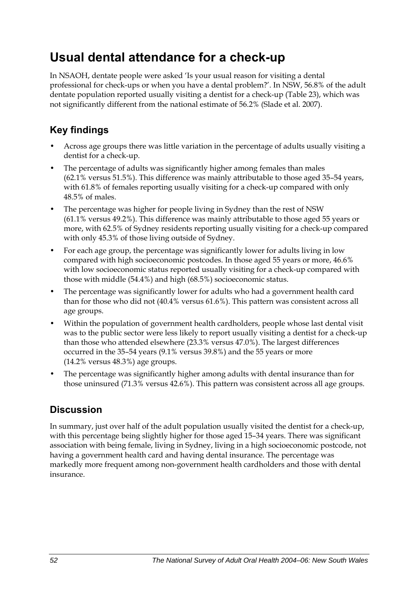## **Usual dental attendance for a check-up**

In NSAOH, dentate people were asked 'Is your usual reason for visiting a dental professional for check-ups or when you have a dental problem?'. In NSW, 56.8% of the adult dentate population reported usually visiting a dentist for a check-up ([Table 23](#page-60-0)), which was not significantly different from the national estimate of 56.2% (Slade et al. 2007).

## **Key findings**

- Across age groups there was little variation in the percentage of adults usually visiting a dentist for a check-up.
- The percentage of adults was significantly higher among females than males (62.1% versus 51.5%). This difference was mainly attributable to those aged 35–54 years, with 61.8% of females reporting usually visiting for a check-up compared with only 48.5% of males.
- The percentage was higher for people living in Sydney than the rest of NSW (61.1% versus 49.2%). This difference was mainly attributable to those aged 55 years or more, with 62.5% of Sydney residents reporting usually visiting for a check-up compared with only 45.3% of those living outside of Sydney.
- For each age group, the percentage was significantly lower for adults living in low compared with high socioeconomic postcodes. In those aged 55 years or more, 46.6% with low socioeconomic status reported usually visiting for a check-up compared with those with middle (54.4%) and high (68.5%) socioeconomic status.
- The percentage was significantly lower for adults who had a government health card than for those who did not (40.4% versus 61.6%). This pattern was consistent across all age groups.
- Within the population of government health cardholders, people whose last dental visit was to the public sector were less likely to report usually visiting a dentist for a check-up than those who attended elsewhere (23.3% versus 47.0%). The largest differences occurred in the 35–54 years (9.1% versus 39.8%) and the 55 years or more (14.2% versus 48.3%) age groups.
- The percentage was significantly higher among adults with dental insurance than for those uninsured (71.3% versus 42.6%). This pattern was consistent across all age groups.

## **Discussion**

In summary, just over half of the adult population usually visited the dentist for a check-up, with this percentage being slightly higher for those aged 15–34 years. There was significant association with being female, living in Sydney, living in a high socioeconomic postcode, not having a government health card and having dental insurance. The percentage was markedly more frequent among non-government health cardholders and those with dental insurance.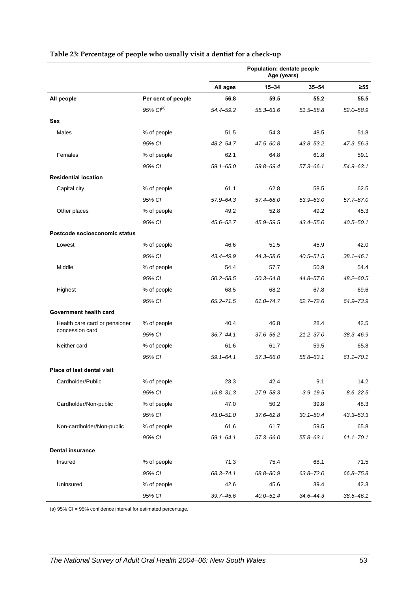|                                   |                    | Population: dentate people<br>Age (years) |               |               |               |
|-----------------------------------|--------------------|-------------------------------------------|---------------|---------------|---------------|
|                                   |                    | All ages                                  | $15 - 34$     | $35 - 54$     | $\geq 55$     |
| All people                        | Per cent of people | 56.8                                      | 59.5          | 55.2          | 55.5          |
|                                   | $95\%$ $Cl^{(a)}$  | 54.4-59.2                                 | 55.3-63.6     | $51.5 - 58.8$ | 52.0-58.9     |
| Sex                               |                    |                                           |               |               |               |
| Males                             | % of people        | 51.5                                      | 54.3          | 48.5          | 51.8          |
|                                   | 95% CI             | $48.2 - 54.7$                             | 47.5-60.8     | 43.8-53.2     | 47.3-56.3     |
| Females                           | % of people        | 62.1                                      | 64.8          | 61.8          | 59.1          |
|                                   | 95% CI             | $59.1 - 65.0$                             | 59.8-69.4     | $57.3 - 66.1$ | 54.9-63.1     |
| <b>Residential location</b>       |                    |                                           |               |               |               |
| Capital city                      | % of people        | 61.1                                      | 62.8          | 58.5          | 62.5          |
|                                   | 95% CI             | $57.9 - 64.3$                             | 57.4-68.0     | $53.9 - 63.0$ | 57.7-67.0     |
| Other places                      | % of people        | 49.2                                      | 52.8          | 49.2          | 45.3          |
|                                   | 95% CI             | $45.6 - 52.7$                             | 45.9-59.5     | 43.4-55.0     | $40.5 - 50.1$ |
| Postcode socioeconomic status     |                    |                                           |               |               |               |
| Lowest                            | % of people        | 46.6                                      | 51.5          | 45.9          | 42.0          |
|                                   | 95% CI             | 43.4-49.9                                 | 44.3-58.6     | $40.5 - 51.5$ | $38.1 - 46.1$ |
| Middle                            | % of people        | 54.4                                      | 57.7          | 50.9          | 54.4          |
|                                   | 95% CI             | $50.2 - 58.5$                             | $50.3 - 64.8$ | 44.8-57.0     | 48.2-60.5     |
| Highest                           | % of people        | 68.5                                      | 68.2          | 67.8          | 69.6          |
|                                   | 95% CI             | $65.2 - 71.5$                             | 61.0-74.7     | $62.7 - 72.6$ | 64.9-73.9     |
| Government health card            |                    |                                           |               |               |               |
| Health care card or pensioner     | % of people        | 40.4                                      | 46.8          | 28.4          | 42.5          |
| concession card                   | 95% CI             | $36.7 - 44.1$                             | 37.6-56.2     | $21.2 - 37.0$ | 38.3-46.9     |
| Neither card                      | % of people        | 61.6                                      | 61.7          | 59.5          | 65.8          |
|                                   | 95% CI             | $59.1 - 64.1$                             | $57.3 - 66.0$ | $55.8 - 63.1$ | $61.1 - 70.1$ |
| <b>Place of last dental visit</b> |                    |                                           |               |               |               |
| Cardholder/Public                 | % of people        | 23.3                                      | 42.4          | 9.1           | 14.2          |
|                                   | 95% CI             | 16.8-31.3                                 | 27.9-58.3     | $3.9 - 19.5$  | $8.6 - 22.5$  |
| Cardholder/Non-public             | % of people        | 47.0                                      | 50.2          | 39.8          | 48.3          |
|                                   | 95% CI             | $43.0 - 51.0$                             | $37.6 - 62.8$ | $30.1 - 50.4$ | $43.3 - 53.3$ |
| Non-cardholder/Non-public         | % of people        | 61.6                                      | 61.7          | 59.5          | 65.8          |
|                                   | 95% CI             | $59.1 - 64.1$                             | $57.3 - 66.0$ | $55.8 - 63.1$ | $61.1 - 70.1$ |
| <b>Dental insurance</b>           |                    |                                           |               |               |               |
| Insured                           | % of people        | 71.3                                      | 75.4          | 68.1          | 71.5          |
|                                   | 95% CI             | 68.3-74.1                                 | 68.8-80.9     | $63.8 - 72.0$ | 66.8-75.8     |
| Uninsured                         | % of people        | 42.6                                      | 45.6          | 39.4          | 42.3          |
|                                   | 95% CI             | $39.7 - 45.6$                             | $40.0 - 51.4$ | 34.6-44.3     | $38.5 - 46.1$ |

#### <span id="page-60-0"></span>**Table 23: Percentage of people who usually visit a dentist for a check-up**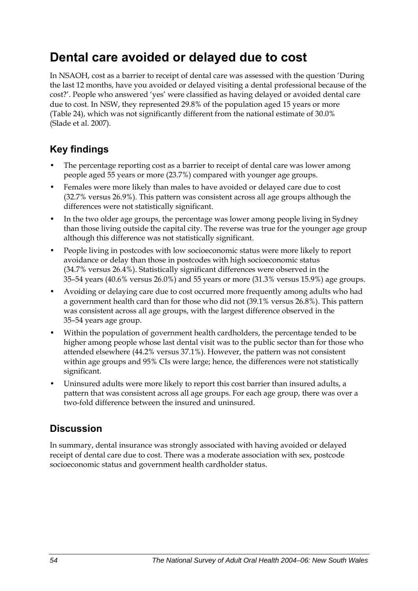## **Dental care avoided or delayed due to cost**

In NSAOH, cost as a barrier to receipt of dental care was assessed with the question 'During the last 12 months, have you avoided or delayed visiting a dental professional because of the cost?'. People who answered 'yes' were classified as having delayed or avoided dental care due to cost. In NSW, they represented 29.8% of the population aged 15 years or more (Table 2[4\), which was not significantly different from the national estimate of 30.0%](#page-62-0)  [\(Slade et al. 2007\).](#page-62-0) 

### **Key findings**

- The percentage reporting cost as a barrier to receipt of dental care was lower among people aged 55 years or more (23.7%) compared with younger age groups.
- Females were more likely than males to have avoided or delayed care due to cost (32.7% versus 26.9%). This pattern was consistent across all age groups although the differences were not statistically significant.
- In the two older age groups, the percentage was lower among people living in Sydney than those living outside the capital city. The reverse was true for the younger age group although this difference was not statistically significant.
- People living in postcodes with low socioeconomic status were more likely to report avoidance or delay than those in postcodes with high socioeconomic status (34.7% versus 26.4%). Statistically significant differences were observed in the 35–54 years (40.6% versus 26.0%) and 55 years or more (31.3% versus 15.9%) age groups.
- Avoiding or delaying care due to cost occurred more frequently among adults who had a government health card than for those who did not (39.1% versus 26.8%). This pattern was consistent across all age groups, with the largest difference observed in the 35–54 years age group.
- Within the population of government health cardholders, the percentage tended to be higher among people whose last dental visit was to the public sector than for those who attended elsewhere (44.2% versus 37.1%). However, the pattern was not consistent within age groups and 95% CIs were large; hence, the differences were not statistically significant.
- Uninsured adults were more likely to report this cost barrier than insured adults, a pattern that was consistent across all age groups. For each age group, there was over a two-fold difference between the insured and uninsured.

### **Discussion**

In summary, dental insurance was strongly associated with having avoided or delayed receipt of dental care due to cost. There was a moderate association with sex, postcode socioeconomic status and government health cardholder status.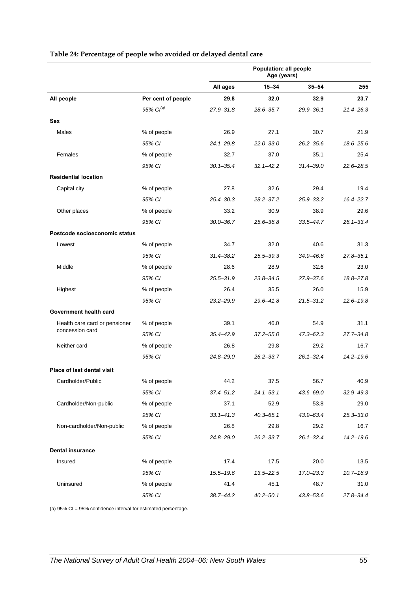|                                                                  |                    | Population: all people<br>Age (years) |               |               |               |
|------------------------------------------------------------------|--------------------|---------------------------------------|---------------|---------------|---------------|
|                                                                  |                    | All ages                              | $15 - 34$     | $35 - 54$     | ≥55           |
| All people                                                       | Per cent of people | 29.8                                  | 32.0          | 32.9          | 23.7          |
|                                                                  | $95\%$ $Cl^{(a)}$  | $27.9 - 31.8$                         | 28.6-35.7     | $29.9 - 36.1$ | 21.4-26.3     |
| <b>Sex</b>                                                       |                    |                                       |               |               |               |
| Males                                                            | % of people        | 26.9                                  | 27.1          | 30.7          | 21.9          |
|                                                                  | 95% CI             | $24.1 - 29.8$                         | 22.0-33.0     | $26.2 - 35.6$ | 18.6-25.6     |
| Females                                                          | % of people        | 32.7                                  | 37.0          | 35.1          | 25.4          |
|                                                                  | 95% CI             | $30.1 - 35.4$                         | $32.1 - 42.2$ | $31.4 - 39.0$ | 22.6-28.5     |
| <b>Residential location</b>                                      |                    |                                       |               |               |               |
| Capital city                                                     | % of people        | 27.8                                  | 32.6          | 29.4          | 19.4          |
|                                                                  | 95% CI             | $25.4 - 30.3$                         | $28.2 - 37.2$ | 25.9-33.2     | 16.4-22.7     |
| Other places                                                     | % of people        | 33.2                                  | 30.9          | 38.9          | 29.6          |
|                                                                  | 95% CI             | $30.0 - 36.7$                         | 25.6-36.8     | $33.5 - 44.7$ | $26.1 - 33.4$ |
| Postcode socioeconomic status                                    |                    |                                       |               |               |               |
| Lowest                                                           | % of people        | 34.7                                  | 32.0          | 40.6          | 31.3          |
|                                                                  | 95% CI             | $31.4 - 38.2$                         | 25.5–39.3     | $34.9 - 46.6$ | $27.8 - 35.1$ |
| Middle                                                           | % of people        | 28.6                                  | 28.9          | 32.6          | 23.0          |
|                                                                  | 95% CI             | $25.5 - 31.9$                         | 23.8-34.5     | 27.9-37.6     | 18.8-27.8     |
| Highest                                                          | % of people        | 26.4                                  | 35.5          | 26.0          | 15.9          |
|                                                                  | 95% CI             | $23.2 - 29.9$                         | 29.6-41.8     | $21.5 - 31.2$ | $12.6 - 19.8$ |
| Government health card                                           |                    |                                       |               |               |               |
| Health care card or pensioner<br>concession card<br>Neither card | % of people        | 39.1                                  | 46.0          | 54.9          | 31.1          |
|                                                                  | 95% CI             | $35.4 - 42.9$                         | $37.2 - 55.0$ | $47.3 - 62.3$ | $27.7 - 34.8$ |
|                                                                  | % of people        | 26.8                                  | 29.8          | 29.2          | 16.7          |
|                                                                  | 95% CI             | $24.8 - 29.0$                         | $26.2 - 33.7$ | $26.1 - 32.4$ | $14.2 - 19.6$ |
| <b>Place of last dental visit</b>                                |                    |                                       |               |               |               |
| Cardholder/Public                                                | % of people        | 44.2                                  | 37.5          | 56.7          | 40.9          |
|                                                                  | 95% CI             | $37.4 - 51.2$                         | $24.1 - 53.1$ | 43.6-69.0     | $32.9 - 49.3$ |
| Cardholder/Non-public                                            | % of people        | 37.1                                  | 52.9          | 53.8          | 29.0          |
|                                                                  | 95% CI             | $33.1 - 41.3$                         | $40.3 - 65.1$ | 43.9-63.4     | $25.3 - 33.0$ |
| Non-cardholder/Non-public                                        | % of people        | 26.8                                  | 29.8          | 29.2          | 16.7          |
|                                                                  | 95% CI             | 24.8-29.0                             | $26.2 - 33.7$ | $26.1 - 32.4$ | $14.2 - 19.6$ |
| <b>Dental insurance</b>                                          |                    |                                       |               |               |               |
| Insured                                                          | % of people        | 17.4                                  | 17.5          | 20.0          | 13.5          |
|                                                                  | 95% CI             | $15.5 - 19.6$                         | $13.5 - 22.5$ | $17.0 - 23.3$ | $10.7 - 16.9$ |
| Uninsured                                                        | % of people        | 41.4                                  | 45.1          | 48.7          | 31.0          |
|                                                                  | 95% CI             | 38.7-44.2                             | $40.2 - 50.1$ | 43.8-53.6     | 27.8-34.4     |

#### <span id="page-62-0"></span>**Table 24: Percentage of people who avoided or delayed dental care**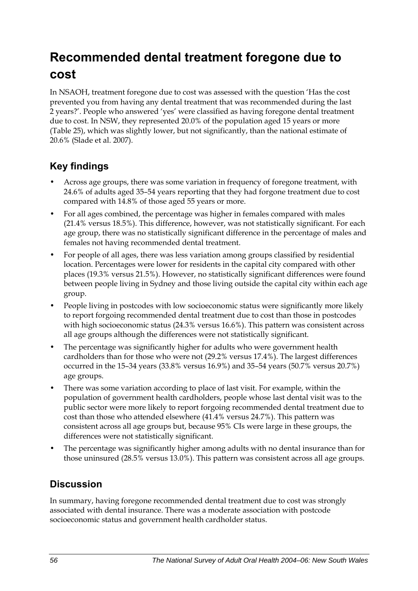## **Recommended dental treatment foregone due to cost**

In NSAOH, treatment foregone due to cost was assessed with the question 'Has the cost prevented you from having any dental treatment that was recommended during the last 2 years?'. People who answered 'yes' were classified as having foregone dental treatment due to cost. In NSW, they represented 20.0% of the population aged 15 years or more (Table 2[5\), which was slightly lower, but not significantly, than the national estimate of](#page-64-0)  [20.6% \(Slade et al. 2007\).](#page-64-0) 

### **Key findings**

- Across age groups, there was some variation in frequency of foregone treatment, with 24.6% of adults aged 35–54 years reporting that they had forgone treatment due to cost compared with 14.8% of those aged 55 years or more.
- For all ages combined, the percentage was higher in females compared with males (21.4% versus 18.5%). This difference, however, was not statistically significant. For each age group, there was no statistically significant difference in the percentage of males and females not having recommended dental treatment.
- For people of all ages, there was less variation among groups classified by residential location. Percentages were lower for residents in the capital city compared with other places (19.3% versus 21.5%). However, no statistically significant differences were found between people living in Sydney and those living outside the capital city within each age group.
- People living in postcodes with low socioeconomic status were significantly more likely to report forgoing recommended dental treatment due to cost than those in postcodes with high socioeconomic status (24.3% versus 16.6%). This pattern was consistent across all age groups although the differences were not statistically significant.
- The percentage was significantly higher for adults who were government health cardholders than for those who were not (29.2% versus 17.4%). The largest differences occurred in the 15–34 years (33.8% versus 16.9%) and 35–54 years (50.7% versus 20.7%) age groups.
- There was some variation according to place of last visit. For example, within the population of government health cardholders, people whose last dental visit was to the public sector were more likely to report forgoing recommended dental treatment due to cost than those who attended elsewhere (41.4% versus 24.7%). This pattern was consistent across all age groups but, because 95% CIs were large in these groups, the differences were not statistically significant.
- The percentage was significantly higher among adults with no dental insurance than for those uninsured (28.5% versus 13.0%). This pattern was consistent across all age groups.

### **Discussion**

In summary, having foregone recommended dental treatment due to cost was strongly associated with dental insurance. There was a moderate association with postcode socioeconomic status and government health cardholder status.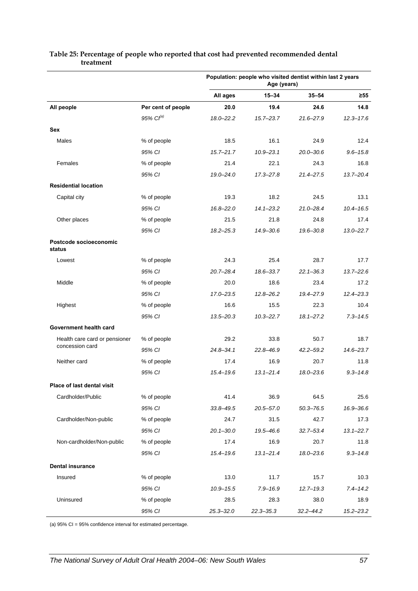|                                                  |                       | Population: people who visited dentist within last 2 years<br>Age (years) |               |               |               |
|--------------------------------------------------|-----------------------|---------------------------------------------------------------------------|---------------|---------------|---------------|
|                                                  |                       | All ages                                                                  | $15 - 34$     | $35 - 54$     | $\geq 55$     |
| All people                                       | Per cent of people    | 20.0                                                                      | 19.4          | 24.6          | 14.8          |
|                                                  | 95% Cl <sup>(a)</sup> | $18.0 - 22.2$                                                             | $15.7 - 23.7$ | $21.6 - 27.9$ | $12.3 - 17.6$ |
| Sex                                              |                       |                                                                           |               |               |               |
| Males                                            | % of people           | 18.5                                                                      | 16.1          | 24.9          | 12.4          |
|                                                  | 95% CI                | $15.7 - 21.7$                                                             | $10.9 - 23.1$ | $20.0 - 30.6$ | $9.6 - 15.8$  |
| Females                                          | % of people           | 21.4                                                                      | 22.1          | 24.3          | 16.8          |
|                                                  | 95% CI                | $19.0 - 24.0$                                                             | 17.3-27.8     | $21.4 - 27.5$ | $13.7 - 20.4$ |
| <b>Residential location</b>                      |                       |                                                                           |               |               |               |
| Capital city                                     | % of people           | 19.3                                                                      | 18.2          | 24.5          | 13.1          |
|                                                  | 95% CI                | $16.8 - 22.0$                                                             | $14.1 - 23.2$ | $21.0 - 28.4$ | $10.4 - 16.5$ |
| Other places                                     | % of people           | 21.5                                                                      | 21.8          | 24.8          | 17.4          |
|                                                  | 95% CI                | $18.2 - 25.3$                                                             | 14.9-30.6     | 19.6-30.8     | $13.0 - 22.7$ |
| Postcode socioeconomic<br>status                 |                       |                                                                           |               |               |               |
| Lowest                                           | % of people           | 24.3                                                                      | 25.4          | 28.7          | 17.7          |
|                                                  | 95% CI                | $20.7 - 28.4$                                                             | 18.6-33.7     | $22.1 - 36.3$ | $13.7 - 22.6$ |
| Middle                                           | % of people           | 20.0                                                                      | 18.6          | 23.4          | 17.2          |
|                                                  | 95% CI                | 17.0-23.5                                                                 | $12.8 - 26.2$ | 19.4-27.9     | $12.4 - 23.3$ |
| Highest                                          | % of people           | 16.6                                                                      | 15.5          | 22.3          | 10.4          |
|                                                  | 95% CI                | $13.5 - 20.3$                                                             | $10.3 - 22.7$ | $18.1 - 27.2$ | $7.3 - 14.5$  |
| Government health card                           |                       |                                                                           |               |               |               |
| Health care card or pensioner<br>concession card | % of people           | 29.2                                                                      | 33.8          | 50.7          | 18.7          |
|                                                  | 95% CI                | $24.8 - 34.1$                                                             | 22.8-46.9     | $42.2 - 59.2$ | 14.6-23.7     |
| Neither card                                     | % of people           | 17.4                                                                      | 16.9          | 20.7          | 11.8          |
|                                                  | 95% CI                | 15.4-19.6                                                                 | $13.1 - 21.4$ | $18.0 - 23.6$ | $9.3 - 14.8$  |
| Place of last dental visit                       |                       |                                                                           |               |               |               |
| Cardholder/Public                                | % of people           | 41.4                                                                      | 36.9          | 64.5          | 25.6          |
|                                                  | 95% CI                | $33.8 - 49.5$                                                             | $20.5 - 57.0$ | $50.3 - 76.5$ | 16.9-36.6     |
| Cardholder/Non-public                            | % of people           | 24.7                                                                      | 31.5          | 42.7          | 17.3          |
|                                                  | 95% CI                | $20.1 - 30.0$                                                             | 19.5-46.6     | $32.7 - 53.4$ | $13.1 - 22.7$ |
| Non-cardholder/Non-public                        | % of people           | 17.4                                                                      | 16.9          | 20.7          | 11.8          |
|                                                  | 95% CI                | 15.4-19.6                                                                 | $13.1 - 21.4$ | 18.0-23.6     | $9.3 - 14.8$  |
| <b>Dental insurance</b>                          |                       |                                                                           |               |               |               |
| Insured                                          | % of people           | 13.0                                                                      | 11.7          | 15.7          | 10.3          |
|                                                  | 95% CI                | $10.9 - 15.5$                                                             | $7.9 - 16.9$  | $12.7 - 19.3$ | $7.4 - 14.2$  |
| Uninsured                                        | % of people           | 28.5                                                                      | 28.3          | 38.0          | 18.9          |
|                                                  | 95% CI                | $25.3 - 32.0$                                                             | $22.3 - 35.3$ | $32.2 - 44.2$ | $15.2 - 23.2$ |

#### <span id="page-64-0"></span>**Table 25: Percentage of people who reported that cost had prevented recommended dental treatment**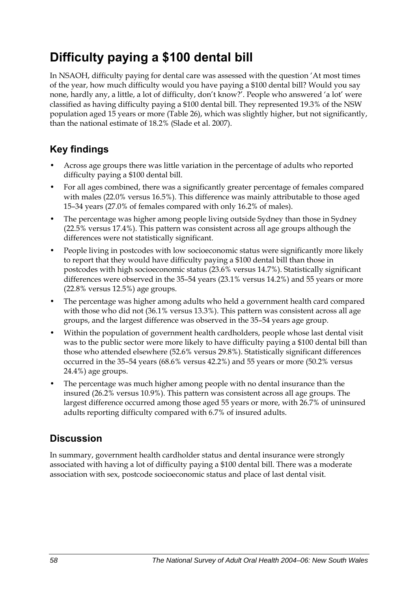## **Difficulty paying a \$100 dental bill**

In NSAOH, difficulty paying for dental care was assessed with the question 'At most times of the year, how much difficulty would you have paying a \$100 dental bill? Would you say none, hardly any, a little, a lot of difficulty, don't know?'. People who answered 'a lot' were classified as having difficulty paying a \$100 dental bill. They represented 19.3% of the NSW population aged 15 years or more [\(Table 26\)](#page-66-0), which was slightly higher, but not significantly, than the national estimate of 18.2% (Slade et al. 2007).

## **Key findings**

- Across age groups there was little variation in the percentage of adults who reported difficulty paying a \$100 dental bill.
- For all ages combined, there was a significantly greater percentage of females compared with males (22.0% versus 16.5%). This difference was mainly attributable to those aged 15–34 years (27.0% of females compared with only 16.2% of males).
- The percentage was higher among people living outside Sydney than those in Sydney (22.5% versus 17.4%). This pattern was consistent across all age groups although the differences were not statistically significant.
- People living in postcodes with low socioeconomic status were significantly more likely to report that they would have difficulty paying a \$100 dental bill than those in postcodes with high socioeconomic status (23.6% versus 14.7%). Statistically significant differences were observed in the 35–54 years (23.1% versus 14.2%) and 55 years or more (22.8% versus 12.5%) age groups.
- The percentage was higher among adults who held a government health card compared with those who did not (36.1% versus 13.3%). This pattern was consistent across all age groups, and the largest difference was observed in the 35–54 years age group.
- Within the population of government health cardholders, people whose last dental visit was to the public sector were more likely to have difficulty paying a \$100 dental bill than those who attended elsewhere (52.6% versus 29.8%). Statistically significant differences occurred in the 35–54 years (68.6% versus 42.2%) and 55 years or more (50.2% versus 24.4%) age groups.
- The percentage was much higher among people with no dental insurance than the insured (26.2% versus 10.9%). This pattern was consistent across all age groups. The largest difference occurred among those aged 55 years or more, with 26.7% of uninsured adults reporting difficulty compared with 6.7% of insured adults.

### **Discussion**

In summary, government health cardholder status and dental insurance were strongly associated with having a lot of difficulty paying a \$100 dental bill. There was a moderate association with sex, postcode socioeconomic status and place of last dental visit.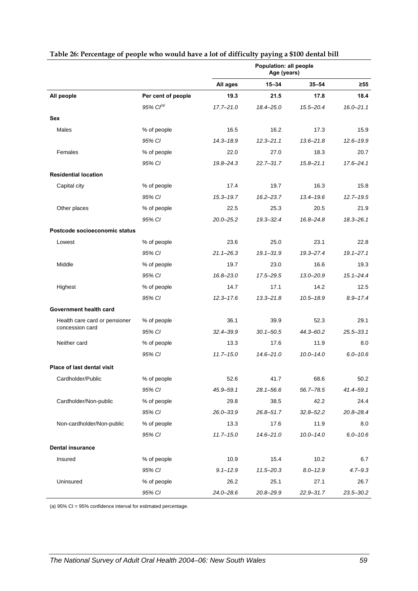<span id="page-66-0"></span>

|                                   |                    | Population: all people<br>Age (years) |               |               |               |
|-----------------------------------|--------------------|---------------------------------------|---------------|---------------|---------------|
|                                   |                    | All ages                              | $15 - 34$     | $35 - 54$     | ≥55           |
| All people                        | Per cent of people | 19.3                                  | 21.5          | 17.8          | 18.4          |
|                                   | 95% $Cl^{(a)}$     | $17.7 - 21.0$                         | $18.4 - 25.0$ | $15.5 - 20.4$ | $16.0 - 21.1$ |
| <b>Sex</b>                        |                    |                                       |               |               |               |
| Males                             | % of people        | 16.5                                  | 16.2          | 17.3          | 15.9          |
|                                   | 95% CI             | $14.3 - 18.9$                         | $12.3 - 21.1$ | $13.6 - 21.8$ | $12.6 - 19.9$ |
| Females                           | % of people        | 22.0                                  | 27.0          | 18.3          | 20.7          |
|                                   | 95% CI             | $19.8 - 24.3$                         | $22.7 - 31.7$ | $15.8 - 21.1$ | $17.6 - 24.1$ |
| <b>Residential location</b>       |                    |                                       |               |               |               |
| Capital city                      | % of people        | 17.4                                  | 19.7          | 16.3          | 15.8          |
|                                   | 95% CI             | $15.3 - 19.7$                         | $16.2 - 23.7$ | 13.4-19.6     | $12.7 - 19.5$ |
| Other places                      | % of people        | 22.5                                  | 25.3          | 20.5          | 21.9          |
|                                   | 95% CI             | $20.0 - 25.2$                         | $19.3 - 32.4$ | $16.8 - 24.8$ | $18.3 - 26.1$ |
| Postcode socioeconomic status     |                    |                                       |               |               |               |
| Lowest                            | % of people        | 23.6                                  | 25.0          | 23.1          | 22.8          |
|                                   | 95% CI             | $21.1 - 26.3$                         | $19.1 - 31.9$ | $19.3 - 27.4$ | $19.1 - 27.1$ |
| Middle                            | % of people        | 19.7                                  | 23.0          | 16.6          | 19.3          |
|                                   | 95% CI             | $16.8 - 23.0$                         | 17.5-29.5     | $13.0 - 20.9$ | $15.1 - 24.4$ |
| Highest                           | % of people        | 14.7                                  | 17.1          | 14.2          | 12.5          |
|                                   | 95% CI             | $12.3 - 17.6$                         | $13.3 - 21.8$ | $10.5 - 18.9$ | $8.9 - 17.4$  |
| Government health card            |                    |                                       |               |               |               |
| Health care card or pensioner     | % of people        | 36.1                                  | 39.9          | 52.3          | 29.1          |
| concession card                   | 95% CI             | $32.4 - 39.9$                         | $30.1 - 50.5$ | 44.3-60.2     | 25.5-33.1     |
| Neither card                      | % of people        | 13.3                                  | 17.6          | 11.9          | 8.0           |
|                                   | 95% CI             | $11.7 - 15.0$                         | $14.6 - 21.0$ | $10.0 - 14.0$ | $6.0 - 10.6$  |
| <b>Place of last dental visit</b> |                    |                                       |               |               |               |
| Cardholder/Public                 | % of people        | 52.6                                  | 41.7          | 68.6          | 50.2          |
|                                   | 95% CI             | 45.9-59.1                             | $28.1 - 56.6$ | $56.7 - 78.5$ | 41.4-59.1     |
| Cardholder/Non-public             | % of people        | 29.8                                  | 38.5          | 42.2          | 24.4          |
|                                   | 95% CI             | 26.0-33.9                             | $26.8 - 51.7$ | $32.8 - 52.2$ | 20.8-28.4     |
| Non-cardholder/Non-public         | % of people        | 13.3                                  | 17.6          | 11.9          | 8.0           |
|                                   | 95% CI             | $11.7 - 15.0$                         | $14.6 - 21.0$ | $10.0 - 14.0$ | $6.0 - 10.6$  |
| <b>Dental insurance</b>           |                    |                                       |               |               |               |
| Insured                           | % of people        | 10.9                                  | 15.4          | 10.2          | 6.7           |
|                                   | 95% CI             | $9.1 - 12.9$                          | $11.5 - 20.3$ | $8.0 - 12.9$  | $4.7 - 9.3$   |
| Uninsured                         | % of people        | 26.2                                  | 25.1          | 27.1          | 26.7          |
|                                   | 95% CI             | 24.0-28.6                             | 20.8-29.9     | $22.9 - 31.7$ | 23.5-30.2     |

#### **Table 26: Percentage of people who would have a lot of difficulty paying a \$100 dental bill**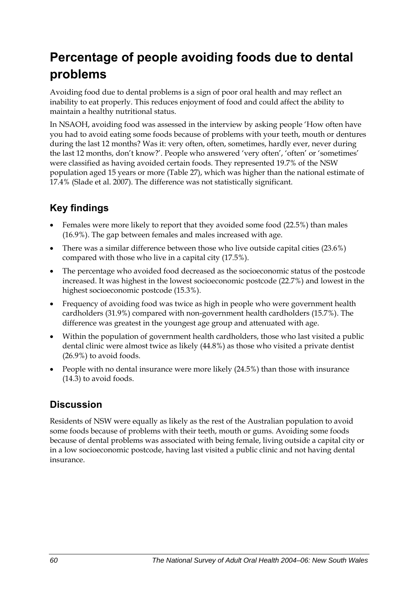## **Percentage of people avoiding foods due to dental problems**

Avoiding food due to dental problems is a sign of poor oral health and may reflect an inability to eat properly. This reduces enjoyment of food and could affect the ability to maintain a healthy nutritional status.

In NSAOH, avoiding food was assessed in the interview by asking people 'How often have you had to avoid eating some foods because of problems with your teeth, mouth or dentures during the last 12 months? Was it: very often, often, sometimes, hardly ever, never during the last 12 months, don't know?'. People who answered 'very often', 'often' or 'sometimes' were classified as having avoided certain foods. They represented 19.7% of the NSW population aged 15 years or more (Table 27[\), which was higher than the national estimate of](#page-68-0)  [17.4% \(Slade et al. 2007\). The difference was not statistically significant.](#page-68-0) 

## **Key findings**

- Females were more likely to report that they avoided some food (22.5%) than males (16.9%). The gap between females and males increased with age.
- There was a similar difference between those who live outside capital cities (23.6%) compared with those who live in a capital city (17.5%).
- The percentage who avoided food decreased as the socioeconomic status of the postcode increased. It was highest in the lowest socioeconomic postcode (22.7%) and lowest in the highest socioeconomic postcode (15.3%).
- Frequency of avoiding food was twice as high in people who were government health cardholders (31.9%) compared with non-government health cardholders (15.7%). The difference was greatest in the youngest age group and attenuated with age.
- Within the population of government health cardholders, those who last visited a public dental clinic were almost twice as likely (44.8%) as those who visited a private dentist (26.9%) to avoid foods.
- People with no dental insurance were more likely (24.5%) than those with insurance (14.3) to avoid foods.

### **Discussion**

Residents of NSW were equally as likely as the rest of the Australian population to avoid some foods because of problems with their teeth, mouth or gums. Avoiding some foods because of dental problems was associated with being female, living outside a capital city or in a low socioeconomic postcode, having last visited a public clinic and not having dental insurance.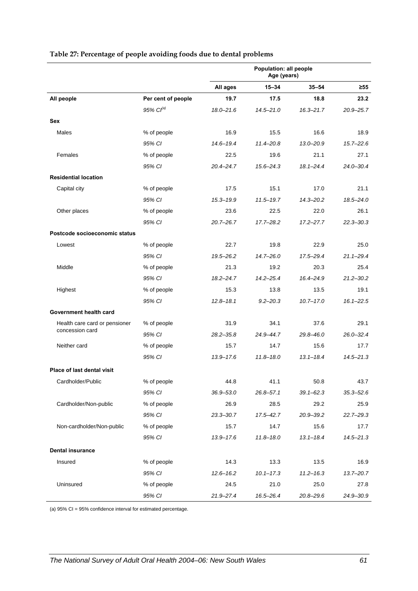|                                   |                    | Population: all people<br>Age (years) |               |               |               |
|-----------------------------------|--------------------|---------------------------------------|---------------|---------------|---------------|
|                                   |                    | All ages                              | $15 - 34$     | $35 - 54$     | $\geq 55$     |
| All people                        | Per cent of people | 19.7                                  | 17.5          | 18.8          | 23.2          |
|                                   | $95\%$ $CI^{(a)}$  | $18.0 - 21.6$                         | $14.5 - 21.0$ | $16.3 - 21.7$ | $20.9 - 25.7$ |
| <b>Sex</b>                        |                    |                                       |               |               |               |
| Males                             | % of people        | 16.9                                  | 15.5          | 16.6          | 18.9          |
|                                   | 95% CI             | $14.6 - 19.4$                         | $11.4 - 20.8$ | $13.0 - 20.9$ | $15.7 - 22.6$ |
| Females                           | % of people        | 22.5                                  | 19.6          | 21.1          | 27.1          |
|                                   | 95% CI             | $20.4 - 24.7$                         | $15.6 - 24.3$ | $18.1 - 24.4$ | $24.0 - 30.4$ |
| <b>Residential location</b>       |                    |                                       |               |               |               |
| Capital city                      | % of people        | 17.5                                  | 15.1          | 17.0          | 21.1          |
|                                   | 95% CI             | $15.3 - 19.9$                         | $11.5 - 19.7$ | $14.3 - 20.2$ | 18.5-24.0     |
| Other places                      | % of people        | 23.6                                  | 22.5          | 22.0          | 26.1          |
|                                   | 95% CI             | $20.7 - 26.7$                         | $17.7 - 28.2$ | $17.2 - 27.7$ | $22.3 - 30.3$ |
| Postcode socioeconomic status     |                    |                                       |               |               |               |
| Lowest                            | % of people        | 22.7                                  | 19.8          | 22.9          | 25.0          |
|                                   | 95% CI             | $19.5 - 26.2$                         | $14.7 - 26.0$ | 17.5-29.4     | $21.1 - 29.4$ |
| Middle                            | % of people        | 21.3                                  | 19.2          | 20.3          | 25.4          |
|                                   | 95% CI             | $18.2 - 24.7$                         | $14.2 - 25.4$ | 16.4-24.9     | $21.2 - 30.2$ |
| Highest                           | % of people        | 15.3                                  | 13.8          | 13.5          | 19.1          |
|                                   | 95% CI             | $12.8 - 18.1$                         | $9.2 - 20.3$  | $10.7 - 17.0$ | $16.1 - 22.5$ |
| Government health card            |                    |                                       |               |               |               |
| Health care card or pensioner     | % of people        | 31.9                                  | 34.1          | 37.6          | 29.1          |
| concession card                   | 95% CI             | $28.2 - 35.8$                         | 24.9-44.7     | $29.8 - 46.0$ | $26.0 - 32.4$ |
| Neither card                      | % of people        | 15.7                                  | 14.7          | 15.6          | 17.7          |
|                                   | 95% CI             | $13.9 - 17.6$                         | $11.8 - 18.0$ | $13.1 - 18.4$ | $14.5 - 21.3$ |
| <b>Place of last dental visit</b> |                    |                                       |               |               |               |
| Cardholder/Public                 | % of people        | 44.8                                  | 41.1          | 50.8          | 43.7          |
|                                   | 95% CI             | $36.9 - 53.0$                         | $26.8 - 57.1$ | $39.1 - 62.3$ | $35.3 - 52.6$ |
| Cardholder/Non-public             | % of people        | 26.9                                  | 28.5          | 29.2          | 25.9          |
|                                   | 95% CI             | $23.3 - 30.7$                         | $17.5 - 42.7$ | 20.9-39.2     | $22.7 - 29.3$ |
| Non-cardholder/Non-public         | % of people        | 15.7                                  | 14.7          | 15.6          | 17.7          |
|                                   | 95% CI             | 13.9-17.6                             | $11.8 - 18.0$ | $13.1 - 18.4$ | $14.5 - 21.3$ |
| <b>Dental insurance</b>           |                    |                                       |               |               |               |
| Insured                           | % of people        | 14.3                                  | 13.3          | 13.5          | 16.9          |
|                                   | 95% CI             | $12.6 - 16.2$                         | $10.1 - 17.3$ | $11.2 - 16.3$ | $13.7 - 20.7$ |
| Uninsured                         | % of people        | 24.5                                  | 21.0          | 25.0          | 27.8          |
|                                   | 95% CI             | 21.9-27.4                             | 16.5-26.4     | 20.8-29.6     | 24.9-30.9     |

#### <span id="page-68-0"></span>**Table 27: Percentage of people avoiding foods due to dental problems**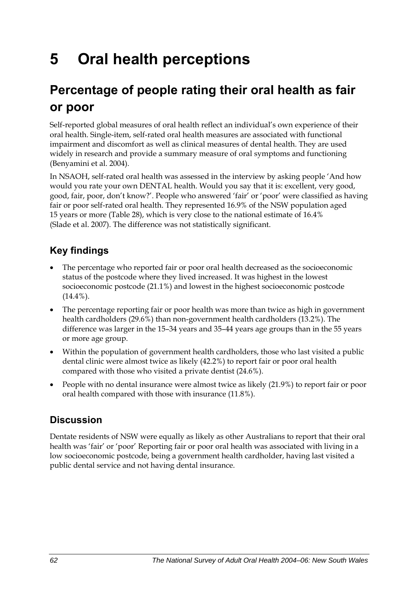# **5 Oral health perceptions**

## **Percentage of people rating their oral health as fair or poor**

Self-reported global measures of oral health reflect an individual's own experience of their oral health. Single-item, self-rated oral health measures are associated with functional impairment and discomfort as well as clinical measures of dental health. They are used widely in research and provide a summary measure of oral symptoms and functioning (Benyamini et al. 2004).

In NSAOH, self-rated oral health was assessed in the interview by asking people 'And how would you rate your own DENTAL health. Would you say that it is: excellent, very good, good, fair, poor, don't know?'. People who answered 'fair' or 'poor' were classified as having fair or poor self-rated oral health. They represented 16.9% of the NSW population aged 15 years or more [\(Table 28\)](#page-70-0), which is very close to the national estimate of 16.4% (Slade et al. 2007). The difference was not statistically significant.

## **Key findings**

- The percentage who reported fair or poor oral health decreased as the socioeconomic status of the postcode where they lived increased. It was highest in the lowest socioeconomic postcode (21.1%) and lowest in the highest socioeconomic postcode  $(14.4\%)$ .
- The percentage reporting fair or poor health was more than twice as high in government health cardholders (29.6%) than non-government health cardholders (13.2%). The difference was larger in the 15–34 years and 35–44 years age groups than in the 55 years or more age group.
- Within the population of government health cardholders, those who last visited a public dental clinic were almost twice as likely (42.2%) to report fair or poor oral health compared with those who visited a private dentist (24.6%).
- People with no dental insurance were almost twice as likely (21.9%) to report fair or poor oral health compared with those with insurance (11.8%).

## **Discussion**

Dentate residents of NSW were equally as likely as other Australians to report that their oral health was 'fair' or 'poor' Reporting fair or poor oral health was associated with living in a low socioeconomic postcode, being a government health cardholder, having last visited a public dental service and not having dental insurance.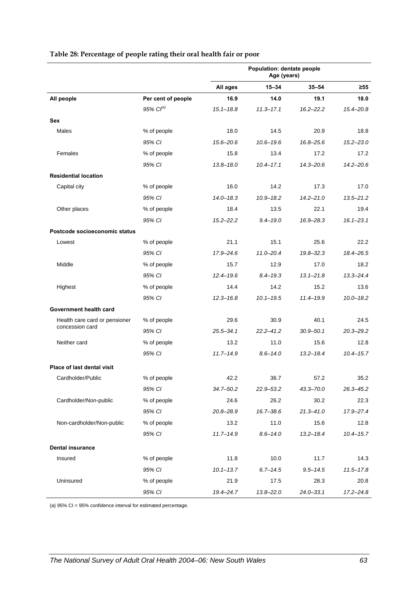<span id="page-70-0"></span>

|                               |                       | Population: dentate people<br>Age (years) |               |               |               |
|-------------------------------|-----------------------|-------------------------------------------|---------------|---------------|---------------|
|                               |                       | All ages                                  | $15 - 34$     | $35 - 54$     | $\geq 55$     |
| All people                    | Per cent of people    | 16.9                                      | 14.0          | 19.1          | 18.0          |
|                               | 95% Cl <sup>(a)</sup> | $15.1 - 18.8$                             | $11.3 - 17.1$ | $16.2 - 22.2$ | $15.4 - 20.8$ |
| <b>Sex</b>                    |                       |                                           |               |               |               |
| Males                         | % of people           | 18.0                                      | 14.5          | 20.9          | 18.8          |
|                               | 95% CI                | $15.6 - 20.6$                             | $10.6 - 19.6$ | $16.8 - 25.6$ | $15.2 - 23.0$ |
| Females                       | % of people           | 15.8                                      | 13.4          | 17.2          | 17.2          |
|                               | 95% CI                | $13.8 - 18.0$                             | $10.4 - 17.1$ | $14.3 - 20.6$ | $14.2 - 20.6$ |
| <b>Residential location</b>   |                       |                                           |               |               |               |
| Capital city                  | % of people           | 16.0                                      | 14.2          | 17.3          | 17.0          |
|                               | 95% CI                | $14.0 - 18.3$                             | $10.9 - 18.2$ | $14.2 - 21.0$ | $13.5 - 21.2$ |
| Other places                  | % of people           | 18.4                                      | 13.5          | 22.1          | 19.4          |
|                               | 95% CI                | $15.2 - 22.2$                             | $9.4 - 19.0$  | $16.9 - 28.3$ | $16.1 - 23.1$ |
| Postcode socioeconomic status |                       |                                           |               |               |               |
| Lowest                        | % of people           | 21.1                                      | 15.1          | 25.6          | 22.2          |
|                               | 95% CI                | 17.9-24.6                                 | $11.0 - 20.4$ | $19.8 - 32.3$ | 18.4-26.5     |
| Middle                        | % of people           | 15.7                                      | 12.9          | 17.0          | 18.2          |
|                               | 95% CI                | $12.4 - 19.6$                             | $8.4 - 19.3$  | $13.1 - 21.8$ | $13.3 - 24.4$ |
| Highest                       | % of people           | 14.4                                      | 14.2          | 15.2          | 13.6          |
|                               | 95% CI                | $12.3 - 16.8$                             | $10.1 - 19.5$ | $11.4 - 19.9$ | $10.0 - 18.2$ |
| Government health card        |                       |                                           |               |               |               |
| Health care card or pensioner | % of people           | 29.6                                      | 30.9          | 40.1          | 24.5          |
| concession card               | 95% CI                | $25.5 - 34.1$                             | $22.2 - 41.2$ | $30.9 - 50.1$ | $20.3 - 29.2$ |
| Neither card                  | % of people           | 13.2                                      | 11.0          | 15.6          | 12.8          |
|                               | 95% CI                | $11.7 - 14.9$                             | $8.6 - 14.0$  | $13.2 - 18.4$ | $10.4 - 15.7$ |
| Place of last dental visit    |                       |                                           |               |               |               |
| Cardholder/Public             | % of people           | 42.2                                      | 36.7          | 57.2          | 35.2          |
|                               | 95% CI                | $34.7 - 50.2$                             | 22.9-53.2     | 43.3-70.0     | 26.3-45.2     |
| Cardholder/Non-public         | % of people           | 24.6                                      | 26.2          | 30.2          | 22.3          |
|                               | 95% CI                | 20.8-28.9                                 | $16.7 - 38.6$ | $21.3 - 41.0$ | 17.9-27.4     |
| Non-cardholder/Non-public     | % of people           | 13.2                                      | 11.0          | 15.6          | 12.8          |
|                               | 95% CI                | $11.7 - 14.9$                             | $8.6 - 14.0$  | $13.2 - 18.4$ | $10.4 - 15.7$ |
| <b>Dental insurance</b>       |                       |                                           |               |               |               |
| Insured                       | % of people           | 11.8                                      | 10.0          | 11.7          | 14.3          |
|                               | 95% CI                | $10.1 - 13.7$                             | $6.7 - 14.5$  | $9.5 - 14.5$  | $11.5 - 17.8$ |
| Uninsured                     | % of people           | 21.9                                      | 17.5          | 28.3          | 20.8          |
|                               | 95% CI                | 19.4-24.7                                 | 13.8-22.0     | $24.0 - 33.1$ | $17.2 - 24.8$ |

#### **Table 28: Percentage of people rating their oral health fair or poor**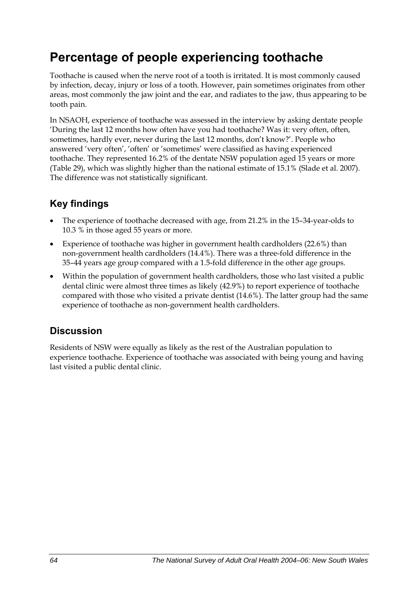## **Percentage of people experiencing toothache**

Toothache is caused when the nerve root of a tooth is irritated. It is most commonly caused by infection, decay, injury or loss of a tooth. However, pain sometimes originates from other areas, most commonly the jaw joint and the ear, and radiates to the jaw, thus appearing to be tooth pain.

In NSAOH, experience of toothache was assessed in the interview by asking dentate people 'During the last 12 months how often have you had toothache? Was it: very often, often, sometimes, hardly ever, never during the last 12 months, don't know?'. People who answered 'very often', 'often' or 'sometimes' were classified as having experienced toothache. They represented 16.2% of the dentate NSW population aged 15 years or more ([Table 29](#page-72-0)), which was slightly higher than the national estimate of 15.1% (Slade et al. 2007). The difference was not statistically significant.

## **Key findings**

- The experience of toothache decreased with age, from 21.2% in the 15-34-year-olds to 10.3 % in those aged 55 years or more.
- Experience of toothache was higher in government health cardholders (22.6%) than non-government health cardholders (14.4%). There was a three-fold difference in the 35–44 years age group compared with a 1.5-fold difference in the other age groups.
- Within the population of government health cardholders, those who last visited a public dental clinic were almost three times as likely (42.9%) to report experience of toothache compared with those who visited a private dentist (14.6%). The latter group had the same experience of toothache as non-government health cardholders.

### **Discussion**

Residents of NSW were equally as likely as the rest of the Australian population to experience toothache. Experience of toothache was associated with being young and having last visited a public dental clinic.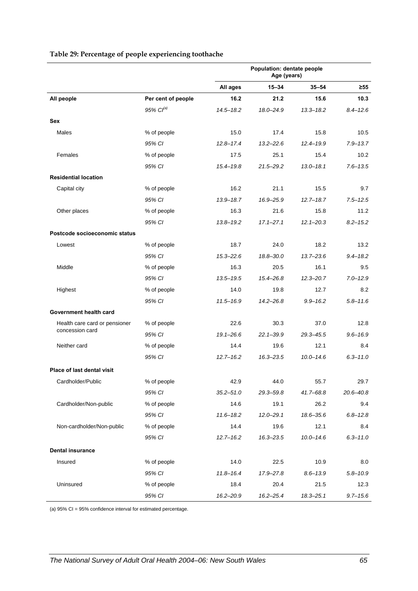|                                   |                    | Population: dentate people<br>Age (years) |               |               |               |
|-----------------------------------|--------------------|-------------------------------------------|---------------|---------------|---------------|
|                                   |                    | All ages                                  | $15 - 34$     | $35 - 54$     | ≥55           |
| All people                        | Per cent of people | 16.2                                      | 21.2          | 15.6          | 10.3          |
|                                   | 95% $Cl^{(a)}$     | $14.5 - 18.2$                             | $18.0 - 24.9$ | $13.3 - 18.2$ | $8.4 - 12.6$  |
| <b>Sex</b>                        |                    |                                           |               |               |               |
| Males                             | % of people        | 15.0                                      | 17.4          | 15.8          | 10.5          |
|                                   | 95% CI             | $12.8 - 17.4$                             | $13.2 - 22.6$ | $12.4 - 19.9$ | $7.9 - 13.7$  |
| Females                           | % of people        | 17.5                                      | 25.1          | 15.4          | 10.2          |
|                                   | 95% CI             | $15.4 - 19.8$                             | 21.5-29.2     | $13.0 - 18.1$ | $7.6 - 13.5$  |
| <b>Residential location</b>       |                    |                                           |               |               |               |
| Capital city                      | % of people        | 16.2                                      | 21.1          | 15.5          | 9.7           |
|                                   | 95% CI             | $13.9 - 18.7$                             | 16.9-25.9     | $12.7 - 18.7$ | $7.5 - 12.5$  |
| Other places                      | % of people        | 16.3                                      | 21.6          | 15.8          | 11.2          |
|                                   | 95% CI             | $13.8 - 19.2$                             | $17.1 - 27.1$ | $12.1 - 20.3$ | $8.2 - 15.2$  |
| Postcode socioeconomic status     |                    |                                           |               |               |               |
| Lowest                            | % of people        | 18.7                                      | 24.0          | 18.2          | 13.2          |
|                                   | 95% CI             | $15.3 - 22.6$                             | 18.8-30.0     | $13.7 - 23.6$ | $9.4 - 18.2$  |
| Middle                            | % of people        | 16.3                                      | 20.5          | 16.1          | 9.5           |
|                                   | 95% CI             | $13.5 - 19.5$                             | $15.4 - 26.8$ | $12.3 - 20.7$ | $7.0 - 12.9$  |
| Highest                           | % of people        | 14.0                                      | 19.8          | 12.7          | 8.2           |
|                                   | 95% CI             | $11.5 - 16.9$                             | 14.2-26.8     | $9.9 - 16.2$  | $5.8 - 11.6$  |
| Government health card            |                    |                                           |               |               |               |
| Health care card or pensioner     | % of people        | 22.6                                      | 30.3          | 37.0          | 12.8          |
| concession card                   | 95% CI             | $19.1 - 26.6$                             | $22.1 - 39.9$ | $29.3 - 45.5$ | $9.6 - 16.9$  |
| Neither card                      | % of people        | 14.4                                      | 19.6          | 12.1          | 8.4           |
|                                   | 95% CI             | $12.7 - 16.2$                             | $16.3 - 23.5$ | $10.0 - 14.6$ | $6.3 - 11.0$  |
| <b>Place of last dental visit</b> |                    |                                           |               |               |               |
| Cardholder/Public                 | % of people        | 42.9                                      | 44.0          | 55.7          | 29.7          |
|                                   | 95% CI             | $35.2 - 51.0$                             | 29.3-59.8     | $41.7 - 68.8$ | $20.6 - 40.8$ |
| Cardholder/Non-public             | % of people        | 14.6                                      | 19.1          | 26.2          | 9.4           |
|                                   | 95% CI             | $11.6 - 18.2$                             | $12.0 - 29.1$ | 18.6-35.6     | $6.8 - 12.8$  |
| Non-cardholder/Non-public         | % of people        | 14.4                                      | 19.6          | 12.1          | 8.4           |
|                                   | 95% CI             | $12.7 - 16.2$                             | $16.3 - 23.5$ | $10.0 - 14.6$ | $6.3 - 11.0$  |
| <b>Dental insurance</b>           |                    |                                           |               |               |               |
| Insured                           | % of people        | 14.0                                      | 22.5          | 10.9          | 8.0           |
|                                   | 95% CI             | $11.8 - 16.4$                             | 17.9-27.8     | $8.6 - 13.9$  | $5.8 - 10.9$  |
| Uninsured                         | % of people        | 18.4                                      | 20.4          | 21.5          | 12.3          |
|                                   | 95% CI             | 16.2-20.9                                 | 16.2-25.4     | $18.3 - 25.1$ | $9.7 - 15.6$  |

#### <span id="page-72-0"></span>**Table 29: Percentage of people experiencing toothache**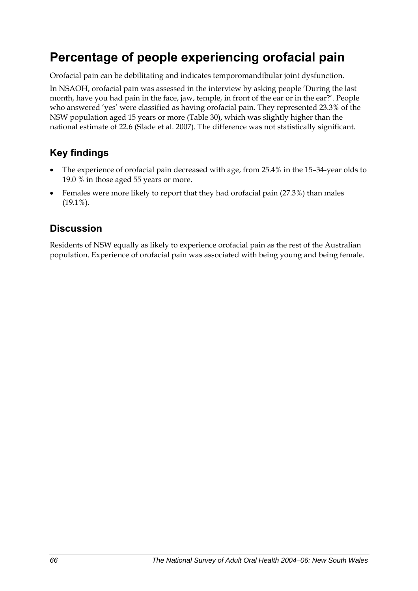## **Percentage of people experiencing orofacial pain**

Orofacial pain can be debilitating and indicates temporomandibular joint dysfunction.

In NSAOH, orofacial pain was assessed in the interview by asking people 'During the last month, have you had pain in the face, jaw, temple, in front of the ear or in the ear?'. People who answered 'yes' were classified as having orofacial pain. They represented 23.3% of the NSW population aged 15 years or more ([Table 30](#page-74-0)), which was slightly higher than the national estimate of 22.6 (Slade et al. 2007). The difference was not statistically significant.

### **Key findings**

- The experience of orofacial pain decreased with age, from 25.4% in the 15–34-year olds to 19.0 % in those aged 55 years or more.
- Females were more likely to report that they had orofacial pain (27.3%) than males (19.1%).

### **Discussion**

Residents of NSW equally as likely to experience orofacial pain as the rest of the Australian population. Experience of orofacial pain was associated with being young and being female.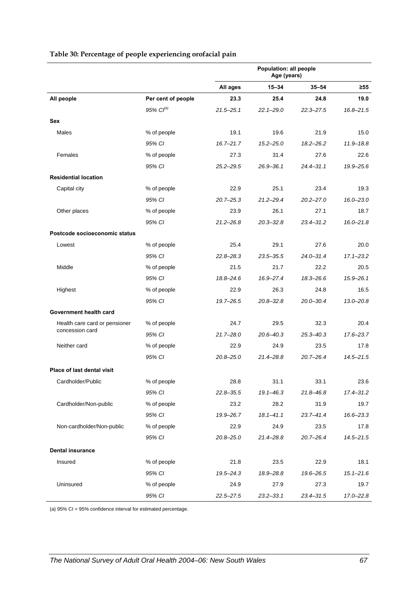|                               |                    | Population: all people<br>Age (years) |               |               |               |
|-------------------------------|--------------------|---------------------------------------|---------------|---------------|---------------|
|                               |                    | All ages                              | $15 - 34$     | $35 - 54$     | $\geq 55$     |
| All people                    | Per cent of people | 23.3                                  | 25.4          | 24.8          | 19.0          |
|                               | 95% $Cl^{(a)}$     | $21.5 - 25.1$                         | $22.1 - 29.0$ | $22.3 - 27.5$ | $16.8 - 21.5$ |
| <b>Sex</b>                    |                    |                                       |               |               |               |
| Males                         | % of people        | 19.1                                  | 19.6          | 21.9          | 15.0          |
|                               | 95% CI             | $16.7 - 21.7$                         | $15.2 - 25.0$ | $18.2 - 26.2$ | $11.9 - 18.8$ |
| Females                       | % of people        | 27.3                                  | 31.4          | 27.6          | 22.6          |
|                               | 95% CI             | $25.2 - 29.5$                         | $26.9 - 36.1$ | $24.4 - 31.1$ | 19.9-25.6     |
| <b>Residential location</b>   |                    |                                       |               |               |               |
| Capital city                  | % of people        | 22.9                                  | 25.1          | 23.4          | 19.3          |
|                               | 95% CI             | $20.7 - 25.3$                         | $21.2 - 29.4$ | $20.2 - 27.0$ | $16.0 - 23.0$ |
| Other places                  | % of people        | 23.9                                  | 26.1          | 27.1          | 18.7          |
|                               | 95% CI             | $21.2 - 26.8$                         | $20.3 - 32.8$ | $23.4 - 31.2$ | $16.0 - 21.8$ |
| Postcode socioeconomic status |                    |                                       |               |               |               |
| Lowest                        | % of people        | 25.4                                  | 29.1          | 27.6          | 20.0          |
|                               | 95% CI             | $22.8 - 28.3$                         | $23.5 - 35.5$ | $24.0 - 31.4$ | $17.1 - 23.2$ |
| Middle                        | % of people        | 21.5                                  | 21.7          | 22.2          | 20.5          |
|                               | 95% CI             | 18.8-24.6                             | 16.9-27.4     | $18.3 - 26.6$ | $15.9 - 26.1$ |
| Highest                       | % of people        | 22.9                                  | 26.3          | 24.8          | 16.5          |
|                               | 95% CI             | 19.7-26.5                             | $20.8 - 32.8$ | $20.0 - 30.4$ | $13.0 - 20.8$ |
| Government health card        |                    |                                       |               |               |               |
| Health care card or pensioner | % of people        | 24.7                                  | 29.5          | 32.3          | 20.4          |
| concession card               | 95% CI             | $21.7 - 28.0$                         | $20.6 - 40.3$ | $25.3 - 40.3$ | $17.6 - 23.7$ |
| Neither card                  | % of people        | 22.9                                  | 24.9          | 23.5          | 17.8          |
|                               | 95% CI             | $20.8 - 25.0$                         | $21.4 - 28.8$ | $20.7 - 26.4$ | $14.5 - 21.5$ |
| Place of last dental visit    |                    |                                       |               |               |               |
| Cardholder/Public             | % of people        | 28.8                                  | 31.1          | 33.1          | 23.6          |
|                               | 95% CI             | $22.8 - 35.5$                         | $19.1 - 46.3$ | $21.8 - 46.8$ | $17.4 - 31.2$ |
| Cardholder/Non-public         | % of people        | 23.2                                  | 28.2          | 31.9          | 19.7          |
|                               | 95% CI             | 19.9-26.7                             | $18.1 - 41.1$ | $23.7 - 41.4$ | 16.6-23.3     |
| Non-cardholder/Non-public     | % of people        | 22.9                                  | 24.9          | 23.5          | 17.8          |
|                               | 95% CI             | $20.8 - 25.0$                         | 21.4-28.8     | $20.7 - 26.4$ | $14.5 - 21.5$ |
| <b>Dental insurance</b>       |                    |                                       |               |               |               |
| Insured                       | % of people        | 21.8                                  | 23.5          | 22.9          | 18.1          |
|                               | 95% CI             | $19.5 - 24.3$                         | 18.9-28.8     | 19.6-26.5     | $15.1 - 21.6$ |
| Uninsured                     | % of people        | 24.9                                  | 27.9          | 27.3          | 19.7          |
|                               | 95% CI             | $22.5 - 27.5$                         | $23.2 - 33.1$ | 23.4-31.5     | 17.0-22.8     |

#### <span id="page-74-1"></span><span id="page-74-0"></span>**Table 30: Percentage of people experiencing orofacial pain**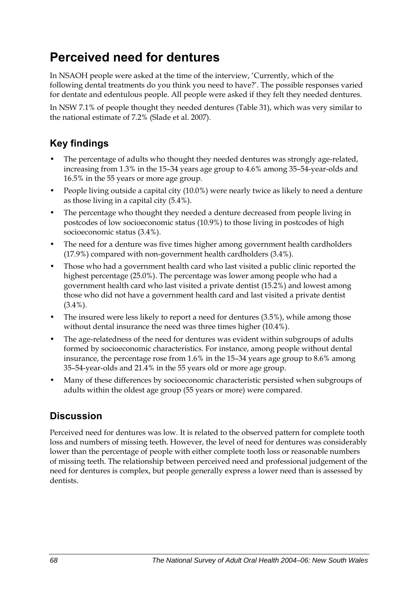## **Perceived need for dentures**

In NSAOH people were asked at the time of the interview, 'Currently, which of the following dental treatments do you think you need to have?'. The possible responses varied for dentate and edentulous people. All people were asked if they felt they needed dentures.

In NSW 7.1% of people thought they needed dentures ([Table 31](#page-76-0)), which was very similar to the national estimate of 7.2% (Slade et al. 2007).

## **Key findings**

- The percentage of adults who thought they needed dentures was strongly age-related, increasing from 1.3% in the 15–34 years age group to 4.6% among 35–54-year-olds and 16.5% in the 55 years or more age group.
- People living outside a capital city (10.0%) were nearly twice as likely to need a denture as those living in a capital city (5.4%).
- The percentage who thought they needed a denture decreased from people living in postcodes of low socioeconomic status (10.9%) to those living in postcodes of high socioeconomic status (3.4%).
- The need for a denture was five times higher among government health cardholders (17.9%) compared with non-government health cardholders (3.4%).
- Those who had a government health card who last visited a public clinic reported the highest percentage (25.0%). The percentage was lower among people who had a government health card who last visited a private dentist (15.2%) and lowest among those who did not have a government health card and last visited a private dentist  $(3.4\%)$ .
- The insured were less likely to report a need for dentures (3.5%), while among those without dental insurance the need was three times higher (10.4%).
- The age-relatedness of the need for dentures was evident within subgroups of adults formed by socioeconomic characteristics. For instance, among people without dental insurance, the percentage rose from 1.6% in the 15–34 years age group to 8.6% among 35–54-year-olds and 21.4% in the 55 years old or more age group.
- Many of these differences by socioeconomic characteristic persisted when subgroups of adults within the oldest age group (55 years or more) were compared.

### **Discussion**

Perceived need for dentures was low. It is related to the observed pattern for complete tooth loss and numbers of missing teeth. However, the level of need for dentures was considerably lower than the percentage of people with either complete tooth loss or reasonable numbers of missing teeth. The relationship between perceived need and professional judgement of the need for dentures is complex, but people generally express a lower need than is assessed by dentists.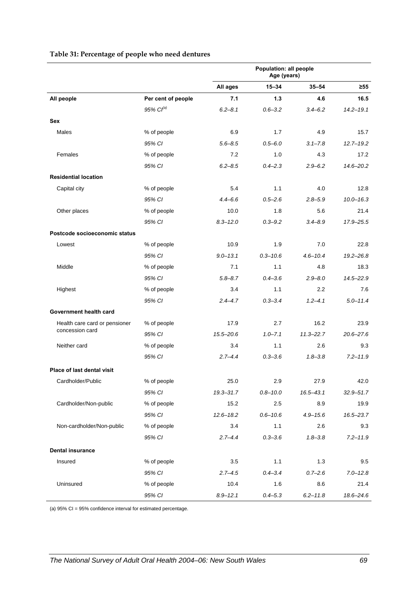<span id="page-76-0"></span>

|                               |                       | Population: all people<br>Age (years) |              |               |               |
|-------------------------------|-----------------------|---------------------------------------|--------------|---------------|---------------|
|                               |                       | All ages                              | $15 - 34$    | $35 - 54$     | $\geq 55$     |
| All people                    | Per cent of people    | 7.1                                   | 1.3          | 4.6           | 16.5          |
|                               | 95% Cl <sup>(a)</sup> | $6.2 - 8.1$                           | $0.6 - 3.2$  | $3.4 - 6.2$   | $14.2 - 19.1$ |
| <b>Sex</b>                    |                       |                                       |              |               |               |
| Males                         | % of people           | 6.9                                   | 1.7          | 4.9           | 15.7          |
|                               | 95% CI                | $5.6 - 8.5$                           | $0.5 - 6.0$  | $3.1 - 7.8$   | $12.7 - 19.2$ |
| Females                       | % of people           | 7.2                                   | 1.0          | 4.3           | 17.2          |
|                               | 95% CI                | $6.2 - 8.5$                           | $0.4 - 2.3$  | $2.9 - 6.2$   | $14.6 - 20.2$ |
| <b>Residential location</b>   |                       |                                       |              |               |               |
| Capital city                  | % of people           | 5.4                                   | 1.1          | 4.0           | 12.8          |
|                               | 95% CI                | $4.4 - 6.6$                           | $0.5 - 2.6$  | $2.8 - 5.9$   | $10.0 - 16.3$ |
| Other places                  | % of people           | 10.0                                  | 1.8          | 5.6           | 21.4          |
|                               | 95% CI                | $8.3 - 12.0$                          | $0.3 - 9.2$  | $3.4 - 8.9$   | 17.9-25.5     |
| Postcode socioeconomic status |                       |                                       |              |               |               |
| Lowest                        | % of people           | 10.9                                  | 1.9          | 7.0           | 22.8          |
|                               | 95% CI                | $9.0 - 13.1$                          | $0.3 - 10.6$ | $4.6 - 10.4$  | $19.2 - 26.8$ |
| Middle                        | % of people           | 7.1                                   | 1.1          | 4.8           | 18.3          |
|                               | 95% CI                | $5.8 - 8.7$                           | $0.4 - 3.6$  | $2.9 - 8.0$   | $14.5 - 22.9$ |
| Highest                       | % of people           | 3.4                                   | 1.1          | 2.2           | 7.6           |
|                               | 95% CI                | $2.4 - 4.7$                           | $0.3 - 3.4$  | $1, 2 - 4, 1$ | $5.0 - 11.4$  |
| Government health card        |                       |                                       |              |               |               |
| Health care card or pensioner | % of people           | 17.9                                  | 2.7          | 16.2          | 23.9          |
| concession card               | 95% CI                | $15.5 - 20.6$                         | $1.0 - 7.1$  | $11.3 - 22.7$ | $20.6 - 27.6$ |
| Neither card                  | % of people           | 3.4                                   | 1.1          | 2.6           | 9.3           |
|                               | 95% CI                | $2.7 - 4.4$                           | $0.3 - 3.6$  | $1.8 - 3.8$   | $7.2 - 11.9$  |
| Place of last dental visit    |                       |                                       |              |               |               |
| Cardholder/Public             | % of people           | 25.0                                  | 2.9          | 27.9          | 42.0          |
|                               | 95% CI                | 19.3-31.7                             | $0.8 - 10.0$ | $16.5 - 43.1$ | $32.9 - 51.7$ |
| Cardholder/Non-public         | % of people           | 15.2                                  | 2.5          | 8.9           | 19.9          |
|                               | 95% CI                | $12.6 - 18.2$                         | $0.6 - 10.6$ | $4.9 - 15.6$  | 16.5-23.7     |
| Non-cardholder/Non-public     | % of people           | 3.4                                   | 1.1          | 2.6           | 9.3           |
|                               | 95% CI                | $2.7 - 4.4$                           | $0.3 - 3.6$  | $1.8 - 3.8$   | $7.2 - 11.9$  |
| <b>Dental insurance</b>       |                       |                                       |              |               |               |
| Insured                       | % of people           | 3.5                                   | 1.1          | 1.3           | 9.5           |
|                               | 95% CI                | $2.7 - 4.5$                           | $0.4 - 3.4$  | $0.7 - 2.6$   | $7.0 - 12.8$  |
| Uninsured                     | % of people           | 10.4                                  | 1.6          | 8.6           | 21.4          |
|                               | 95% CI                | $8.9 - 12.1$                          | $0.4 - 5.3$  | $6.2 - 11.8$  | 18.6-24.6     |

#### <span id="page-76-1"></span>**Table 31: Percentage of people who need dentures**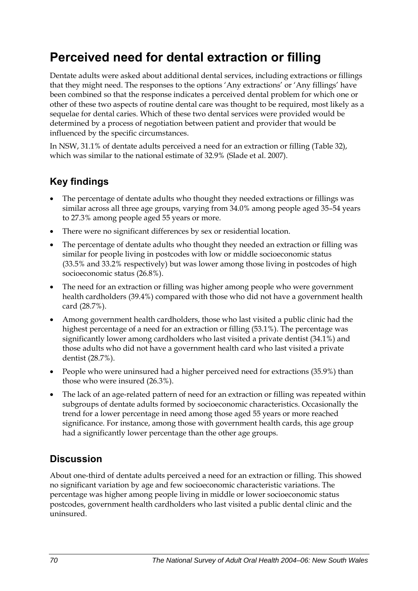## **Perceived need for dental extraction or filling**

Dentate adults were asked about additional dental services, including extractions or fillings that they might need. The responses to the options 'Any extractions' or 'Any fillings' have been combined so that the response indicates a perceived dental problem for which one or other of these two aspects of routine dental care was thought to be required, most likely as a sequelae for dental caries. Which of these two dental services were provided would be determined by a process of negotiation between patient and provider that would be influenced by the specific circumstances.

In NSW, 31.1% of dentate adults perceived a need for an extraction or filling [\(Table 32\)](#page-78-0), which was similar to the national estimate of 32.9% (Slade et al. 2007).

### **Key findings**

- The percentage of dentate adults who thought they needed extractions or fillings was similar across all three age groups, varying from 34.0% among people aged 35–54 years to 27.3% among people aged 55 years or more.
- There were no significant differences by sex or residential location.
- The percentage of dentate adults who thought they needed an extraction or filling was similar for people living in postcodes with low or middle socioeconomic status (33.5% and 33.2% respectively) but was lower among those living in postcodes of high socioeconomic status (26.8%).
- The need for an extraction or filling was higher among people who were government health cardholders (39.4%) compared with those who did not have a government health card (28.7%).
- Among government health cardholders, those who last visited a public clinic had the highest percentage of a need for an extraction or filling (53.1%). The percentage was significantly lower among cardholders who last visited a private dentist (34.1%) and those adults who did not have a government health card who last visited a private dentist (28.7%).
- People who were uninsured had a higher perceived need for extractions (35.9%) than those who were insured (26.3%).
- The lack of an age-related pattern of need for an extraction or filling was repeated within subgroups of dentate adults formed by socioeconomic characteristics. Occasionally the trend for a lower percentage in need among those aged 55 years or more reached significance. For instance, among those with government health cards, this age group had a significantly lower percentage than the other age groups.

### **Discussion**

About one-third of dentate adults perceived a need for an extraction or filling. This showed no significant variation by age and few socioeconomic characteristic variations. The percentage was higher among people living in middle or lower socioeconomic status postcodes, government health cardholders who last visited a public dental clinic and the uninsured.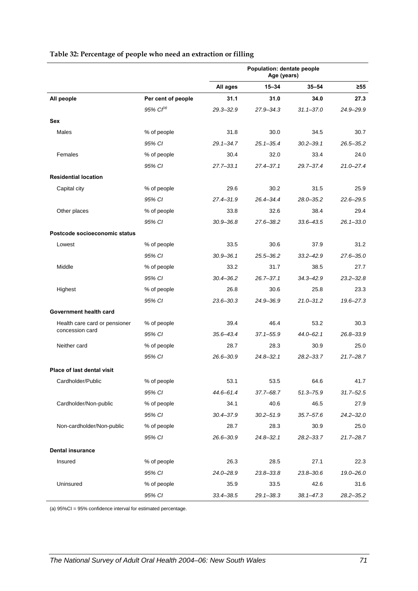|                                                  |                    | Population: dentate people<br>Age (years) |               |               |               |
|--------------------------------------------------|--------------------|-------------------------------------------|---------------|---------------|---------------|
|                                                  |                    | All ages                                  | $15 - 34$     | $35 - 54$     | ≥55           |
| All people                                       | Per cent of people | 31.1                                      | 31.0          | 34.0          | 27.3          |
|                                                  | 95% $Cl^{(a)}$     | $29.3 - 32.9$                             | $27.9 - 34.3$ | $31.1 - 37.0$ | 24.9-29.9     |
| Sex                                              |                    |                                           |               |               |               |
| Males                                            | % of people        | 31.8                                      | 30.0          | 34.5          | 30.7          |
|                                                  | 95% CI             | $29.1 - 34.7$                             | $25.1 - 35.4$ | $30.2 - 39.1$ | $26.5 - 35.2$ |
| Females                                          | % of people        | 30.4                                      | 32.0          | 33.4          | 24.0          |
|                                                  | 95% CI             | $27.7 - 33.1$                             | $27.4 - 37.1$ | $29.7 - 37.4$ | $21.0 - 27.4$ |
| <b>Residential location</b>                      |                    |                                           |               |               |               |
| Capital city                                     | % of people        | 29.6                                      | 30.2          | 31.5          | 25.9          |
|                                                  | 95% CI             | $27.4 - 31.9$                             | $26.4 - 34.4$ | $28.0 - 35.2$ | $22.6 - 29.5$ |
| Other places                                     | % of people        | 33.8                                      | 32.6          | 38.4          | 29.4          |
|                                                  | 95% CI             | $30.9 - 36.8$                             | $27.6 - 38.2$ | $33.6 - 43.5$ | $26.1 - 33.0$ |
| Postcode socioeconomic status                    |                    |                                           |               |               |               |
| Lowest                                           | % of people        | 33.5                                      | 30.6          | 37.9          | 31.2          |
|                                                  | 95% CI             | $30.9 - 36.1$                             | $25.5 - 36.2$ | $33.2 - 42.9$ | $27.6 - 35.0$ |
| Middle                                           | % of people        | 33.2                                      | 31.7          | 38.5          | 27.7          |
|                                                  | 95% CI             | $30.4 - 36.2$                             | $26.7 - 37.1$ | $34.3 - 42.9$ | $23.2 - 32.8$ |
| Highest                                          | % of people        | 26.8                                      | 30.6          | 25.8          | 23.3          |
|                                                  | 95% CI             | $23.6 - 30.3$                             | 24.9-36.9     | $21.0 - 31.2$ | $19.6 - 27.3$ |
| Government health card                           |                    |                                           |               |               |               |
| Health care card or pensioner<br>concession card | % of people        | 39.4                                      | 46.4          | 53.2          | 30.3          |
|                                                  | 95% CI             | $35.6 - 43.4$                             | $37.1 - 55.9$ | $44.0 - 62.1$ | 26.8-33.9     |
| Neither card                                     | % of people        | 28.7                                      | 28.3          | 30.9          | 25.0          |
|                                                  | 95% CI             | $26.6 - 30.9$                             | $24.8 - 32.1$ | $28.2 - 33.7$ | $21.7 - 28.7$ |
| <b>Place of last dental visit</b>                |                    |                                           |               |               |               |
| Cardholder/Public                                | % of people        | 53.1                                      | 53.5          | 64.6          | 41.7          |
|                                                  | 95% CI             | 44.6-61.4                                 | 37.7-68.7     | $51.3 - 75.9$ | $31.7 - 52.5$ |
| Cardholder/Non-public                            | % of people        | 34.1                                      | 40.6          | 46.5          | 27.9          |
|                                                  | 95% CI             | $30.4 - 37.9$                             | $30.2 - 51.9$ | $35.7 - 57.6$ | $24.2 - 32.0$ |
| Non-cardholder/Non-public                        | % of people        | 28.7                                      | 28.3          | 30.9          | 25.0          |
|                                                  | 95% CI             | 26.6-30.9                                 | $24.8 - 32.1$ | $28.2 - 33.7$ | $21.7 - 28.7$ |
| <b>Dental insurance</b>                          |                    |                                           |               |               |               |
| Insured                                          | % of people        | 26.3                                      | 28.5          | 27.1          | 22.3          |
|                                                  | 95% CI             | 24.0-28.9                                 | $23.8 - 33.8$ | $23.8 - 30.6$ | 19.0-26.0     |
| Uninsured                                        | % of people        | 35.9                                      | 33.5          | 42.6          | 31.6          |
|                                                  | 95% CI             | $33.4 - 38.5$                             | $29.1 - 38.3$ | $38.1 - 47.3$ | $28.2 - 35.2$ |

#### <span id="page-78-1"></span><span id="page-78-0"></span>**Table 32: Percentage of people who need an extraction or filling**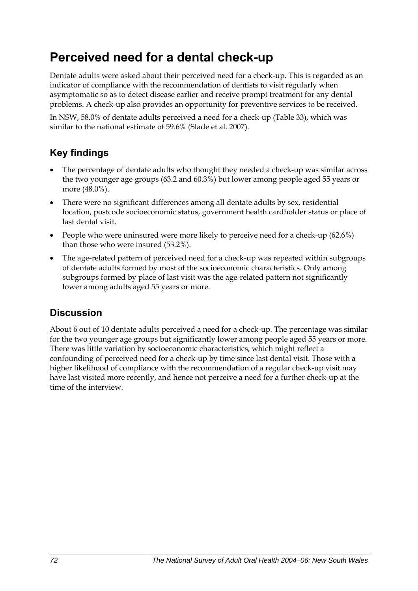## **Perceived need for a dental check-up**

Dentate adults were asked about their perceived need for a check-up. This is regarded as an indicator of compliance with the recommendation of dentists to visit regularly when asymptomatic so as to detect disease earlier and receive prompt treatment for any dental problems. A check-up also provides an opportunity for preventive services to be received.

In NSW, 58.0% of dentate adults perceived a need for a check-up (Table 33[\), which was](#page-80-0)  [similar to the national estimate of 59.6% \(Slade et al. 2007\).](#page-80-0) 

## **Key findings**

- The percentage of dentate adults who thought they needed a check-up was similar across the two younger age groups (63.2 and 60.3%) but lower among people aged 55 years or more (48.0%).
- There were no significant differences among all dentate adults by sex, residential location, postcode socioeconomic status, government health cardholder status or place of last dental visit.
- People who were uninsured were more likely to perceive need for a check-up (62.6%) than those who were insured (53.2%).
- The age-related pattern of perceived need for a check-up was repeated within subgroups of dentate adults formed by most of the socioeconomic characteristics. Only among subgroups formed by place of last visit was the age-related pattern not significantly lower among adults aged 55 years or more.

### **Discussion**

About 6 out of 10 dentate adults perceived a need for a check-up. The percentage was similar for the two younger age groups but significantly lower among people aged 55 years or more. There was little variation by socioeconomic characteristics, which might reflect a confounding of perceived need for a check-up by time since last dental visit. Those with a higher likelihood of compliance with the recommendation of a regular check-up visit may have last visited more recently, and hence not perceive a need for a further check-up at the time of the interview.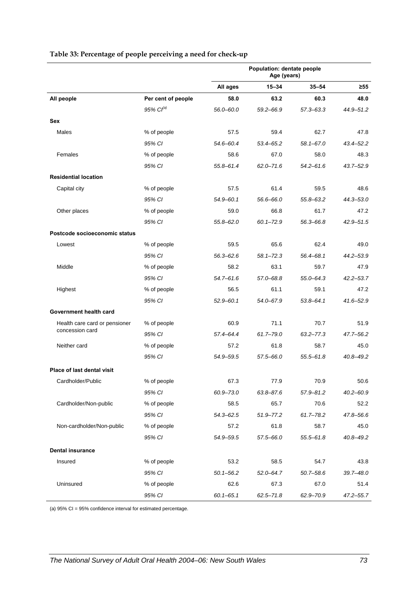<span id="page-80-0"></span>

|                               |                       | Population: dentate people<br>Age (years) |               |               |               |
|-------------------------------|-----------------------|-------------------------------------------|---------------|---------------|---------------|
|                               |                       | All ages                                  | $15 - 34$     | $35 - 54$     | $\geq 55$     |
| All people                    | Per cent of people    | 58.0                                      | 63.2          | 60.3          | 48.0          |
|                               | 95% Cl <sup>(a)</sup> | 56.0-60.0                                 | 59.2-66.9     | $57.3 - 63.3$ | 44.9-51.2     |
| Sex                           |                       |                                           |               |               |               |
| Males                         | % of people           | 57.5                                      | 59.4          | 62.7          | 47.8          |
|                               | 95% CI                | 54.6-60.4                                 | 53.4-65.2     | 58.1-67.0     | $43.4 - 52.2$ |
| Females                       | % of people           | 58.6                                      | 67.0          | 58.0          | 48.3          |
|                               | 95% CI                | 55.8-61.4                                 | $62.0 - 71.6$ | $54.2 - 61.6$ | $43.7 - 52.9$ |
| <b>Residential location</b>   |                       |                                           |               |               |               |
| Capital city                  | % of people           | 57.5                                      | 61.4          | 59.5          | 48.6          |
|                               | 95% CI                | $54.9 - 60.1$                             | 56.6-66.0     | 55.8-63.2     | 44.3-53.0     |
| Other places                  | % of people           | 59.0                                      | 66.8          | 61.7          | 47.2          |
|                               | 95% CI                | $55.8 - 62.0$                             | $60.1 - 72.9$ | 56.3-66.8     | $42.9 - 51.5$ |
| Postcode socioeconomic status |                       |                                           |               |               |               |
| Lowest                        | % of people           | 59.5                                      | 65.6          | 62.4          | 49.0          |
|                               | 95% CI                | 56.3-62.6                                 | $58.1 - 72.3$ | 56.4-68.1     | 44.2-53.9     |
| Middle                        | % of people           | 58.2                                      | 63.1          | 59.7          | 47.9          |
|                               | 95% CI                | $54.7 - 61.6$                             | 57.0-68.8     | 55.0-64.3     | $42.2 - 53.7$ |
| Highest                       | % of people           | 56.5                                      | 61.1          | 59.1          | 47.2          |
|                               | 95% CI                | $52.9 - 60.1$                             | 54.0-67.9     | $53.8 - 64.1$ | 41.6-52.9     |
| Government health card        |                       |                                           |               |               |               |
| Health care card or pensioner | % of people           | 60.9                                      | 71.1          | 70.7          | 51.9          |
| concession card               | 95% CI                | 57.4-64.4                                 | $61.7 - 79.0$ | $63.2 - 77.3$ | 47.7-56.2     |
| Neither card                  | % of people           | 57.2                                      | 61.8          | 58.7          | 45.0          |
|                               | 95% CI                | 54.9-59.5                                 | 57.5-66.0     | $55.5 - 61.8$ | $40.8 - 49.2$ |
| Place of last dental visit    |                       |                                           |               |               |               |
| Cardholder/Public             | % of people           | 67.3                                      | 77.9          | 70.9          | 50.6          |
|                               | 95% CI                | 60.9-73.0                                 | 63.8-87.6     | 57.9-81.2     | $40.2 - 60.9$ |
| Cardholder/Non-public         | % of people           | 58.5                                      | 65.7          | 70.6          | 52.2          |
|                               | 95% CI                | $54.3 - 62.5$                             | $51.9 - 77.2$ | $61.7 - 78.2$ | 47.8-56.6     |
| Non-cardholder/Non-public     | % of people           | 57.2                                      | 61.8          | 58.7          | 45.0          |
|                               | 95% CI                | 54.9-59.5                                 | 57.5–66.0     | $55.5 - 61.8$ | $40.8 - 49.2$ |
| <b>Dental insurance</b>       |                       |                                           |               |               |               |
| Insured                       | % of people           | 53.2                                      | 58.5          | 54.7          | 43.8          |
|                               | 95% CI                | $50.1 - 56.2$                             | $52.0 - 64.7$ | $50.7 - 58.6$ | 39.7-48.0     |
| Uninsured                     | % of people           | 62.6                                      | 67.3          | 67.0          | 51.4          |
|                               | 95% CI                | $60.1 - 65.1$                             | $62.5 - 71.8$ | 62.9-70.9     | $47.2 - 55.7$ |

### <span id="page-80-1"></span>**Table 33: Percentage of people perceiving a need for check-up**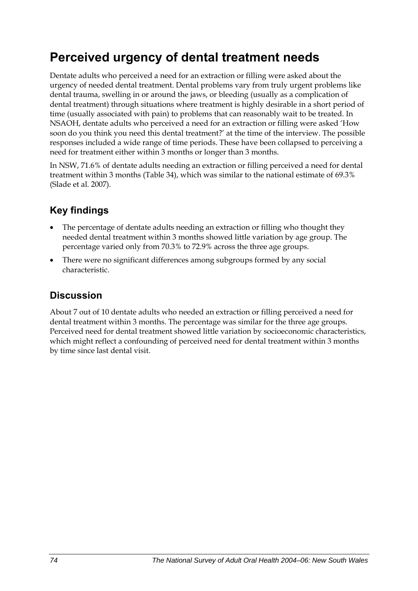## **Perceived urgency of dental treatment needs**

Dentate adults who perceived a need for an extraction or filling were asked about the urgency of needed dental treatment. Dental problems vary from truly urgent problems like dental trauma, swelling in or around the jaws, or bleeding (usually as a complication of dental treatment) through situations where treatment is highly desirable in a short period of time (usually associated with pain) to problems that can reasonably wait to be treated. In NSAOH, dentate adults who perceived a need for an extraction or filling were asked 'How soon do you think you need this dental treatment?' at the time of the interview. The possible responses included a wide range of time periods. These have been collapsed to perceiving a need for treatment either within 3 months or longer than 3 months.

In NSW, 71.6% of dentate adults needing an extraction or filling perceived a need for dental treatment within 3 months [\(Table 34\)](#page-82-0), which was similar to the national estimate of 69.3% (Slade et al. 2007).

## **Key findings**

- The percentage of dentate adults needing an extraction or filling who thought they needed dental treatment within 3 months showed little variation by age group. The percentage varied only from 70.3% to 72.9% across the three age groups.
- There were no significant differences among subgroups formed by any social characteristic.

### **Discussion**

About 7 out of 10 dentate adults who needed an extraction or filling perceived a need for dental treatment within 3 months. The percentage was similar for the three age groups. Perceived need for dental treatment showed little variation by socioeconomic characteristics, which might reflect a confounding of perceived need for dental treatment within 3 months by time since last dental visit.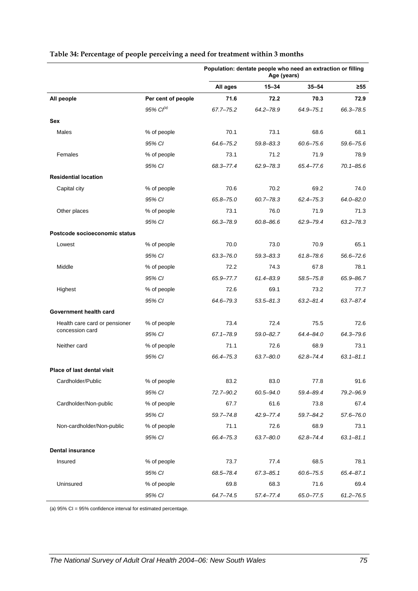|                               |                    | Population: dentate people who need an extraction or filling<br>Age (years) |               |               |               |
|-------------------------------|--------------------|-----------------------------------------------------------------------------|---------------|---------------|---------------|
|                               |                    | All ages                                                                    | $15 - 34$     | $35 - 54$     | ≥55           |
| All people                    | Per cent of people | 71.6                                                                        | 72.2          | 70.3          | 72.9          |
|                               | $95\%$ $Cl^{(a)}$  | 67.7-75.2                                                                   | 64.2-78.9     | $64.9 - 75.1$ | 66.3-78.5     |
| Sex                           |                    |                                                                             |               |               |               |
| Males                         | % of people        | 70.1                                                                        | 73.1          | 68.6          | 68.1          |
|                               | 95% CI             | 64.6-75.2                                                                   | 59.8-83.3     | $60.6 - 75.6$ | $59.6 - 75.6$ |
| Females                       | % of people        | 73.1                                                                        | 71.2          | 71.9          | 78.9          |
|                               | 95% CI             | 68.3-77.4                                                                   | $62.9 - 78.3$ | 65.4-77.6     | $70.1 - 85.6$ |
| <b>Residential location</b>   |                    |                                                                             |               |               |               |
| Capital city                  | % of people        | 70.6                                                                        | 70.2          | 69.2          | 74.0          |
|                               | 95% CI             | 65.8-75.0                                                                   | $60.7 - 78.3$ | $62.4 - 75.3$ | $64.0 - 82.0$ |
| Other places                  | % of people        | 73.1                                                                        | 76.0          | 71.9          | 71.3          |
|                               | 95% CI             | 66.3-78.9                                                                   | $60.8 - 86.6$ | 62.9-79.4     | $63.2 - 78.3$ |
| Postcode socioeconomic status |                    |                                                                             |               |               |               |
| Lowest                        | % of people        | 70.0                                                                        | 73.0          | 70.9          | 65.1          |
|                               | 95% CI             | $63.3 - 76.0$                                                               | $59.3 - 83.3$ | $61.8 - 78.6$ | $56.6 - 72.6$ |
| Middle                        | % of people        | 72.2                                                                        | 74.3          | 67.8          | 78.1          |
|                               | 95% CI             | 65.9-77.7                                                                   | 61.4-83.9     | 58.5-75.8     | 65.9-86.7     |
| Highest                       | % of people        | 72.6                                                                        | 69.1          | 73.2          | 77.7          |
|                               | 95% CI             | 64.6-79.3                                                                   | $53.5 - 81.3$ | $63.2 - 81.4$ | 63.7-87.4     |
| Government health card        |                    |                                                                             |               |               |               |
| Health care card or pensioner | % of people        | 73.4                                                                        | 72.4          | 75.5          | 72.6          |
| concession card               | 95% CI             | $67.1 - 78.9$                                                               | $59.0 - 82.7$ | 64.4-84.0     | 64.3-79.6     |
| Neither card                  | % of people        | 71.1                                                                        | 72.6          | 68.9          | 73.1          |
|                               | 95% CI             | 66.4-75.3                                                                   | $63.7 - 80.0$ | $62.8 - 74.4$ | $63.1 - 81.1$ |
| Place of last dental visit    |                    |                                                                             |               |               |               |
| Cardholder/Public             | % of people        | 83.2                                                                        | 83.0          | 77.8          | 91.6          |
|                               | 95% CI             | 72.7-90.2                                                                   | 60.5-94.0     | 59.4-89.4     | 79.2-96.9     |
| Cardholder/Non-public         | % of people        | 67.7                                                                        | 61.6          | 73.8          | 67.4          |
|                               | 95% CI             | $59.7 - 74.8$                                                               | 42.9-77.4     | 59.7-84.2     | 57.6-76.0     |
| Non-cardholder/Non-public     | % of people        | 71.1                                                                        | 72.6          | 68.9          | 73.1          |
|                               | 95% CI             | 66.4-75.3                                                                   | $63.7 - 80.0$ | $62.8 - 74.4$ | $63.1 - 81.1$ |
| <b>Dental insurance</b>       |                    |                                                                             |               |               |               |
| Insured                       | % of people        | 73.7                                                                        | 77.4          | 68.5          | 78.1          |
|                               | 95% CI             | 68.5-78.4                                                                   | $67.3 - 85.1$ | $60.6 - 75.5$ | $65.4 - 87.1$ |
| Uninsured                     | % of people        | 69.8                                                                        | 68.3          | 71.6          | 69.4          |
|                               | 95% CI             | $64.7 - 74.5$                                                               | $57.4 - 77.4$ | 65.0-77.5     | $61.2 - 76.5$ |

#### <span id="page-82-1"></span><span id="page-82-0"></span>**Table 34: Percentage of people perceiving a need for treatment within 3 months**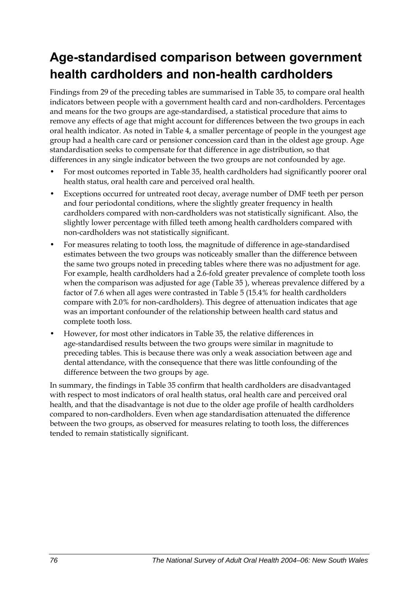## **Age-standardised comparison between government health cardholders and non-health cardholders**

Findings from 29 of the preceding tables are summarised in [Table 35,](#page-84-0) to compare oral health indicators between people with a government health card and non-cardholders. Percentages and means for the two groups are age-standardised, a statistical procedure that aims to remove any effects of age that might account for differences between the two groups in each oral health indicator. As noted in Table 4, a smaller percentage of people in the youngest age group had a health care card or pensioner concession card than in the oldest age group. Age standardisation seeks to compensate for that difference in age distribution, so that differences in any single indicator between the two groups are not confounded by age.

- For most outcomes reported in [Table 35](#page-84-0), health cardholders had significantly poorer oral health status, oral health care and perceived oral health.
- Exceptions occurred for untreated root decay, average number of DMF teeth per person and four periodontal conditions, where the slightly greater frequency in health cardholders compared with non-cardholders was not statistically significant. Also, the slightly lower percentage with filled teeth among health cardholders compared with non-cardholders was not statistically significant.
- For measures relating to tooth loss, the magnitude of difference in age-standardised estimates between the two groups was noticeably smaller than the difference between the same two groups noted in preceding tables where there was no adjustment for age. For example, health cardholders had a 2.6-fold greater prevalence of complete tooth loss when the comparison was adjusted for age [\(Table 35](#page-84-0) ), whereas prevalence differed by a factor of 7.6 when all ages were contrasted in Table 5 (15.4% for health cardholders compare with 2.0% for non-cardholders). This degree of attenuation indicates that age was an important confounder of the relationship between health card status and complete tooth loss.
- However, for most other indicators in [Table 35,](#page-84-0) the relative differences in age-standardised results between the two groups were similar in magnitude to preceding tables. This is because there was only a weak association between age and dental attendance, with the consequence that there was little confounding of the difference between the two groups by age.

In summary, the findings in [Table 35](#page-84-0) confirm that health cardholders are disadvantaged with respect to most indicators of oral health status, oral health care and perceived oral health, and that the disadvantage is not due to the older age profile of health cardholders compared to non-cardholders. Even when age standardisation attenuated the difference between the two groups, as observed for measures relating to tooth loss, the differences tended to remain statistically significant.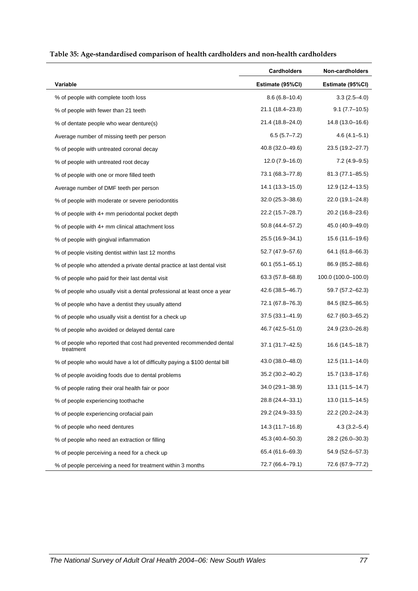<span id="page-84-0"></span>

|                                                                                  | <b>Cardholders</b>  | Non-cardholders     |
|----------------------------------------------------------------------------------|---------------------|---------------------|
| Variable                                                                         | Estimate (95%CI)    | Estimate (95%CI)    |
| % of people with complete tooth loss                                             | $8.6(6.8-10.4)$     | $3.3(2.5-4.0)$      |
| % of people with fewer than 21 teeth                                             | 21.1 (18.4-23.8)    | $9.1 (7.7 - 10.5)$  |
| % of dentate people who wear denture(s)                                          | 21.4 (18.8–24.0)    | 14.8 (13.0-16.6)    |
| Average number of missing teeth per person                                       | $6.5(5.7 - 7.2)$    | $4.6(4.1 - 5.1)$    |
| % of people with untreated coronal decay                                         | 40.8 (32.0–49.6)    | 23.5 (19.2-27.7)    |
| % of people with untreated root decay                                            | $12.0(7.9-16.0)$    | $7.2(4.9-9.5)$      |
| % of people with one or more filled teeth                                        | 73.1 (68.3-77.8)    | $81.3(77.1 - 85.5)$ |
| Average number of DMF teeth per person                                           | 14.1 (13.3–15.0)    | 12.9 (12.4–13.5)    |
| % of people with moderate or severe periodontitis                                | $32.0(25.3 - 38.6)$ | 22.0 (19.1-24.8)    |
| % of people with 4+ mm periodontal pocket depth                                  | 22.2 (15.7-28.7)    | 20.2 (16.8–23.6)    |
| % of people with 4+ mm clinical attachment loss                                  | 50.8 (44.4–57.2)    | 45.0 (40.9–49.0)    |
| % of people with gingival inflammation                                           | 25.5 (16.9-34.1)    | 15.6 (11.6–19.6)    |
| % of people visiting dentist within last 12 months                               | 52.7 (47.9-57.6)    | 64.1 (61.8–66.3)    |
| % of people who attended a private dental practice at last dental visit          | $60.1(55.1 - 65.1)$ | 86.9 (85.2-88.6)    |
| % of people who paid for their last dental visit                                 | 63.3 (57.8–68.8)    | 100.0 (100.0-100.0) |
| % of people who usually visit a dental professional at least once a year         | 42.6 (38.5-46.7)    | 59.7 (57.2–62.3)    |
| % of people who have a dentist they usually attend                               | 72.1 (67.8-76.3)    | 84.5 (82.5-86.5)    |
| % of people who usually visit a dentist for a check up                           | $37.5(33.1 - 41.9)$ | 62.7 (60.3–65.2)    |
| % of people who avoided or delayed dental care                                   | 46.7 (42.5-51.0)    | 24.9 (23.0-26.8)    |
| % of people who reported that cost had prevented recommended dental<br>treatment | 37.1 (31.7-42.5)    | 16.6 (14.5-18.7)    |
| % of people who would have a lot of difficulty paying a \$100 dental bill        | 43.0 (38.0-48.0)    | 12.5 (11.1–14.0)    |
| % of people avoiding foods due to dental problems                                | 35.2 (30.2-40.2)    | 15.7 (13.8-17.6)    |
| % of people rating their oral health fair or poor                                | 34.0 (29.1-38.9)    | $13.1(11.5 - 14.7)$ |
| % of people experiencing toothache                                               | 28.8 (24.4-33.1)    | $13.0(11.5 - 14.5)$ |
| % of people experiencing orofacial pain                                          | 29.2 (24.9-33.5)    | 22.2 (20.2-24.3)    |
| % of people who need dentures                                                    | 14.3 (11.7-16.8)    | $4.3(3.2 - 5.4)$    |
| % of people who need an extraction or filling                                    | 45.3 (40.4 - 50.3)  | 28.2 (26.0-30.3)    |
| % of people perceiving a need for a check up                                     | 65.4 (61.6–69.3)    | 54.9 (52.6-57.3)    |
| % of people perceiving a need for treatment within 3 months                      | 72.7 (66.4-79.1)    | 72.6 (67.9-77.2)    |

#### <span id="page-84-1"></span>**Table 35: Age-standardised comparison of health cardholders and non-health cardholders**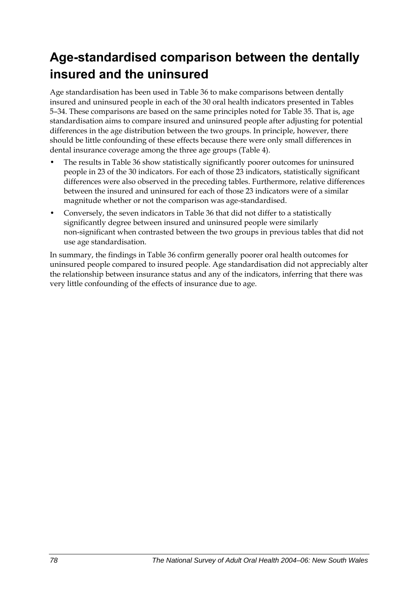## **Age-standardised comparison between the dentally insured and the uninsured**

Age standardisation has been used in [Table 36](#page-86-0) to make comparisons between dentally insured and uninsured people in each of the 30 oral health indicators presented in Tables 5–34. These comparisons are based on the same principles noted for [Table 35](#page-84-0). That is, age standardisation aims to compare insured and uninsured people after adjusting for potential differences in the age distribution between the two groups. In principle, however, there should be little confounding of these effects because there were only small differences in dental insurance coverage among the three age groups (Table 4).

- The results in [Table 36](#page-86-0) show statistically significantly poorer outcomes for uninsured people in 23 of the 30 indicators. For each of those 23 indicators, statistically significant differences were also observed in the preceding tables. Furthermore, relative differences between the insured and uninsured for each of those 23 indicators were of a similar magnitude whether or not the comparison was age-standardised.
- Conversely, the seven indicators in [Table 36](#page-86-0) that did not differ to a statistically significantly degree between insured and uninsured people were similarly non-significant when contrasted between the two groups in previous tables that did not use age standardisation.

In summary, the findings in [Table 36](#page-86-0) confirm generally poorer oral health outcomes for uninsured people compared to insured people. Age standardisation did not appreciably alter the relationship between insurance status and any of the indicators, inferring that there was very little confounding of the effects of insurance due to age.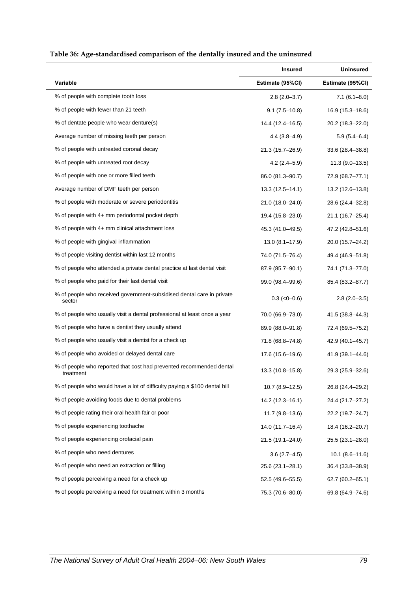<span id="page-86-0"></span>

|                                                                                  | <b>Insured</b>      | <b>Uninsured</b>    |
|----------------------------------------------------------------------------------|---------------------|---------------------|
| <b>Variable</b>                                                                  | Estimate (95%CI)    | Estimate (95%CI)    |
| % of people with complete tooth loss                                             | $2.8(2.0-3.7)$      | $7.1(6.1 - 8.0)$    |
| % of people with fewer than 21 teeth                                             | $9.1(7.5-10.8)$     | 16.9 (15.3-18.6)    |
| % of dentate people who wear denture(s)                                          | 14.4 (12.4–16.5)    | 20.2 (18.3–22.0)    |
| Average number of missing teeth per person                                       | $4.4(3.8-4.9)$      | $5.9(5.4 - 6.4)$    |
| % of people with untreated coronal decay                                         | 21.3 (15.7-26.9)    | 33.6 (28.4-38.8)    |
| % of people with untreated root decay                                            | $4.2(2.4 - 5.9)$    | $11.3(9.0-13.5)$    |
| % of people with one or more filled teeth                                        | 86.0 (81.3-90.7)    | 72.9 (68.7-77.1)    |
| Average number of DMF teeth per person                                           | $13.3(12.5 - 14.1)$ | 13.2 (12.6–13.8)    |
| % of people with moderate or severe periodontitis                                | 21.0 (18.0-24.0)    | 28.6 (24.4–32.8)    |
| % of people with 4+ mm periodontal pocket depth                                  | 19.4 (15.8-23.0)    | 21.1 (16.7-25.4)    |
| % of people with 4+ mm clinical attachment loss                                  | 45.3 (41.0-49.5)    | 47.2 (42.8–51.6)    |
| % of people with gingival inflammation                                           | $13.0(8.1 - 17.9)$  | 20.0 (15.7-24.2)    |
| % of people visiting dentist within last 12 months                               | 74.0 (71.5–76.4)    | 49.4 (46.9-51.8)    |
| % of people who attended a private dental practice at last dental visit          | 87.9 (85.7-90.1)    | 74.1 (71.3-77.0)    |
| % of people who paid for their last dental visit                                 | 99.0 (98.4–99.6)    | 85.4 (83.2-87.7)    |
| % of people who received government-subsidised dental care in private<br>sector  | $0.3$ ( $<0$ -0.6)  | $2.8(2.0-3.5)$      |
| % of people who usually visit a dental professional at least once a year         | 70.0 (66.9–73.0)    | 41.5 (38.8-44.3)    |
| % of people who have a dentist they usually attend                               | 89.9 (88.0-91.8)    | 72.4 (69.5-75.2)    |
| % of people who usually visit a dentist for a check up                           | 71.8 (68.8-74.8)    | 42.9 (40.1–45.7)    |
| % of people who avoided or delayed dental care                                   | 17.6 (15.6–19.6)    | 41.9 (39.1-44.6)    |
| % of people who reported that cost had prevented recommended dental<br>treatment | $13.3(10.8 - 15.8)$ | 29.3 (25.9–32.6)    |
| % of people who would have a lot of difficulty paying a \$100 dental bill        | $10.7(8.9-12.5)$    | 26.8 (24.4-29.2)    |
| % of people avoiding foods due to dental problems                                | 14.2 (12.3-16.1)    | 24.4 (21.7-27.2)    |
| % of people rating their oral health fair or poor                                | $11.7(9.8-13.6)$    | 22.2 (19.7-24.7)    |
| % of people experiencing toothache                                               | 14.0 (11.7-16.4)    | 18.4 (16.2-20.7)    |
| % of people experiencing orofacial pain                                          | 21.5 (19.1-24.0)    | 25.5 (23.1-28.0)    |
| % of people who need dentures                                                    | $3.6(2.7-4.5)$      | $10.1 (8.6 - 11.6)$ |
| % of people who need an extraction or filling                                    | 25.6 (23.1-28.1)    | 36.4 (33.8-38.9)    |
| % of people perceiving a need for a check up                                     | 52.5 (49.6-55.5)    | 62.7 (60.2–65.1)    |
| % of people perceiving a need for treatment within 3 months                      | 75.3 (70.6-80.0)    | 69.8 (64.9-74.6)    |

#### <span id="page-86-1"></span>**Table 36: Age-standardised comparison of the dentally insured and the uninsured**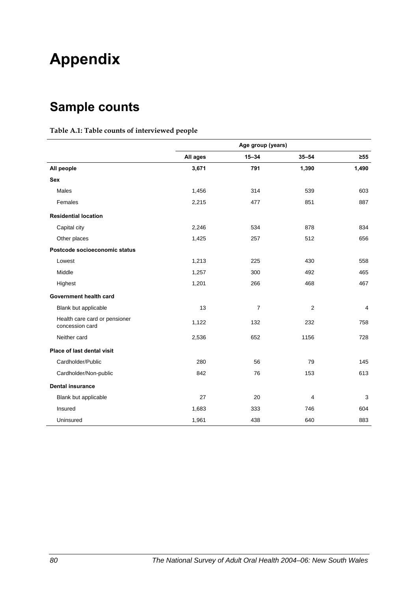# **Appendix**

## **Sample counts**

#### **Table A.1: Table counts of interviewed people**

|                                                  | Age group (years) |                |                |           |
|--------------------------------------------------|-------------------|----------------|----------------|-----------|
|                                                  | All ages          | $15 - 34$      | $35 - 54$      | $\geq 55$ |
| All people                                       | 3,671             | 791            | 1,390          | 1,490     |
| <b>Sex</b>                                       |                   |                |                |           |
| Males                                            | 1,456             | 314            | 539            | 603       |
| Females                                          | 2,215             | 477            | 851            | 887       |
| <b>Residential location</b>                      |                   |                |                |           |
| Capital city                                     | 2,246             | 534            | 878            | 834       |
| Other places                                     | 1,425             | 257            | 512            | 656       |
| Postcode socioeconomic status                    |                   |                |                |           |
| Lowest                                           | 1,213             | 225            | 430            | 558       |
| Middle                                           | 1,257             | 300            | 492            | 465       |
| Highest                                          | 1,201             | 266            | 468            | 467       |
| Government health card                           |                   |                |                |           |
| Blank but applicable                             | 13                | $\overline{7}$ | $\overline{2}$ | 4         |
| Health care card or pensioner<br>concession card | 1,122             | 132            | 232            | 758       |
| Neither card                                     | 2,536             | 652            | 1156           | 728       |
| Place of last dental visit                       |                   |                |                |           |
| Cardholder/Public                                | 280               | 56             | 79             | 145       |
| Cardholder/Non-public                            | 842               | 76             | 153            | 613       |
| <b>Dental insurance</b>                          |                   |                |                |           |
| Blank but applicable                             | 27                | 20             | 4              | 3         |
| Insured                                          | 1,683             | 333            | 746            | 604       |
| Uninsured                                        | 1,961             | 438            | 640            | 883       |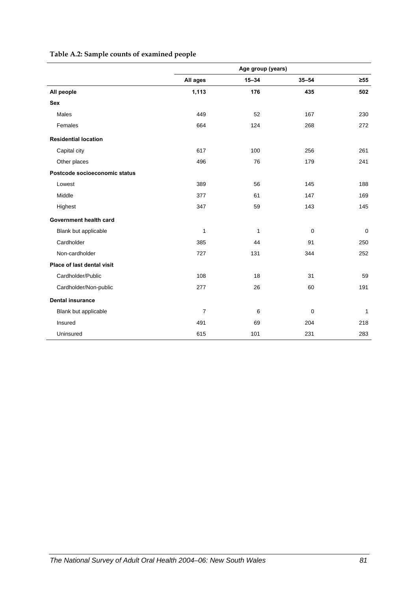### **Table A.2: Sample counts of examined people**

|                               | Age group (years) |           |             |             |
|-------------------------------|-------------------|-----------|-------------|-------------|
|                               | All ages          | $15 - 34$ | $35 - 54$   | $\geq 55$   |
| All people                    | 1,113             | 176       | 435         | 502         |
| <b>Sex</b>                    |                   |           |             |             |
| <b>Males</b>                  | 449               | 52        | 167         | 230         |
| Females                       | 664               | 124       | 268         | 272         |
| <b>Residential location</b>   |                   |           |             |             |
| Capital city                  | 617               | 100       | 256         | 261         |
| Other places                  | 496               | 76        | 179         | 241         |
| Postcode socioeconomic status |                   |           |             |             |
| Lowest                        | 389               | 56        | 145         | 188         |
| Middle                        | 377               | 61        | 147         | 169         |
| Highest                       | 347               | 59        | 143         | 145         |
| Government health card        |                   |           |             |             |
| Blank but applicable          | $\mathbf{1}$      | 1         | $\mathbf 0$ | $\mathbf 0$ |
| Cardholder                    | 385               | 44        | 91          | 250         |
| Non-cardholder                | 727               | 131       | 344         | 252         |
| Place of last dental visit    |                   |           |             |             |
| Cardholder/Public             | 108               | 18        | 31          | 59          |
| Cardholder/Non-public         | 277               | 26        | 60          | 191         |
| <b>Dental insurance</b>       |                   |           |             |             |
| Blank but applicable          | $\overline{7}$    | 6         | 0           | 1           |
| Insured                       | 491               | 69        | 204         | 218         |
| Uninsured                     | 615               | 101       | 231         | 283         |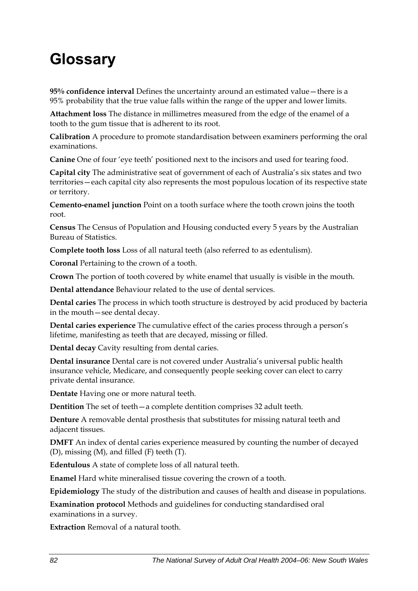# **Glossary**

**95% confidence interval** Defines the uncertainty around an estimated value—there is a 95% probability that the true value falls within the range of the upper and lower limits.

**Attachment loss** The distance in millimetres measured from the edge of the enamel of a tooth to the gum tissue that is adherent to its root.

**Calibration** A procedure to promote standardisation between examiners performing the oral examinations.

**Canine** One of four 'eye teeth' positioned next to the incisors and used for tearing food.

**Capital city** The administrative seat of government of each of Australia's six states and two territories—each capital city also represents the most populous location of its respective state or territory.

**Cemento-enamel junction** Point on a tooth surface where the tooth crown joins the tooth root.

**Census** The Census of Population and Housing conducted every 5 years by the Australian Bureau of Statistics.

**Complete tooth loss** Loss of all natural teeth (also referred to as edentulism).

**Coronal** Pertaining to the crown of a tooth.

**Crown** The portion of tooth covered by white enamel that usually is visible in the mouth.

**Dental attendance** Behaviour related to the use of dental services.

**Dental caries** The process in which tooth structure is destroyed by acid produced by bacteria in the mouth—see dental decay.

**Dental caries experience** The cumulative effect of the caries process through a person's lifetime, manifesting as teeth that are decayed, missing or filled.

**Dental decay** Cavity resulting from dental caries.

**Dental insurance** Dental care is not covered under Australia's universal public health insurance vehicle, Medicare, and consequently people seeking cover can elect to carry private dental insurance.

**Dentate** Having one or more natural teeth.

**Dentition** The set of teeth—a complete dentition comprises 32 adult teeth.

**Denture** A removable dental prosthesis that substitutes for missing natural teeth and adjacent tissues.

**DMFT** An index of dental caries experience measured by counting the number of decayed (D), missing (M), and filled (F) teeth (T).

**Edentulous** A state of complete loss of all natural teeth.

**Enamel** Hard white mineralised tissue covering the crown of a tooth.

**Epidemiology** The study of the distribution and causes of health and disease in populations.

**Examination protocol** Methods and guidelines for conducting standardised oral examinations in a survey.

**Extraction** Removal of a natural tooth.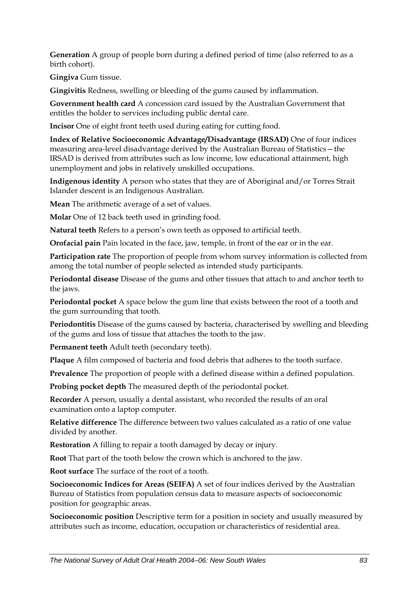**Generation** A group of people born during a defined period of time (also referred to as a birth cohort).

**Gingiva** Gum tissue.

**Gingivitis** Redness, swelling or bleeding of the gums caused by inflammation.

**Government health card** A concession card issued by the Australian Government that entitles the holder to services including public dental care.

**Incisor** One of eight front teeth used during eating for cutting food.

**Index of Relative Socioeconomic Advantage/Disadvantage (IRSAD)** One of four indices measuring area-level disadvantage derived by the Australian Bureau of Statistics—the IRSAD is derived from attributes such as low income, low educational attainment, high unemployment and jobs in relatively unskilled occupations.

**Indigenous identity** A person who states that they are of Aboriginal and/or Torres Strait Islander descent is an Indigenous Australian.

**Mean** The arithmetic average of a set of values.

**Molar** One of 12 back teeth used in grinding food.

**Natural teeth** Refers to a person's own teeth as opposed to artificial teeth.

**Orofacial pain** Pain located in the face, jaw, temple, in front of the ear or in the ear.

**Participation rate** The proportion of people from whom survey information is collected from among the total number of people selected as intended study participants.

**Periodontal disease** Disease of the gums and other tissues that attach to and anchor teeth to the jaws.

**Periodontal pocket** A space below the gum line that exists between the root of a tooth and the gum surrounding that tooth.

**Periodontitis** Disease of the gums caused by bacteria, characterised by swelling and bleeding of the gums and loss of tissue that attaches the tooth to the jaw.

**Permanent teeth** Adult teeth (secondary teeth).

**Plaque** A film composed of bacteria and food debris that adheres to the tooth surface.

**Prevalence** The proportion of people with a defined disease within a defined population.

**Probing pocket depth** The measured depth of the periodontal pocket.

**Recorder** A person, usually a dental assistant, who recorded the results of an oral examination onto a laptop computer.

**Relative difference** The difference between two values calculated as a ratio of one value divided by another.

**Restoration** A filling to repair a tooth damaged by decay or injury.

**Root** That part of the tooth below the crown which is anchored to the jaw.

**Root surface** The surface of the root of a tooth.

**Socioeconomic Indices for Areas (SEIFA)** A set of four indices derived by the Australian Bureau of Statistics from population census data to measure aspects of socioeconomic position for geographic areas.

**Socioeconomic position** Descriptive term for a position in society and usually measured by attributes such as income, education, occupation or characteristics of residential area.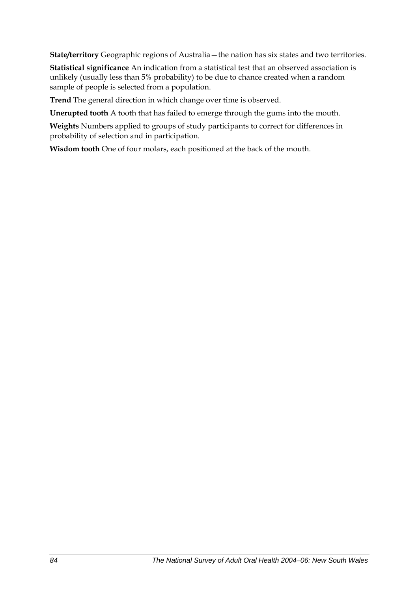**State/territory** Geographic regions of Australia—the nation has six states and two territories.

**Statistical significance** An indication from a statistical test that an observed association is unlikely (usually less than 5% probability) to be due to chance created when a random sample of people is selected from a population.

**Trend** The general direction in which change over time is observed.

**Unerupted tooth** A tooth that has failed to emerge through the gums into the mouth.

**Weights** Numbers applied to groups of study participants to correct for differences in probability of selection and in participation.

**Wisdom tooth** One of four molars, each positioned at the back of the mouth.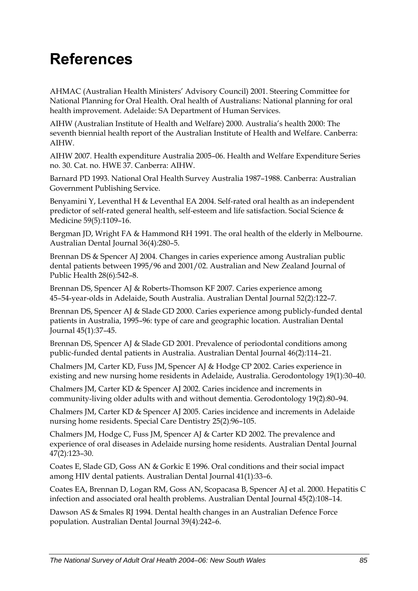# **References**

AHMAC (Australian Health Ministers' Advisory Council) 2001. Steering Committee for National Planning for Oral Health. Oral health of Australians: National planning for oral health improvement. Adelaide: SA Department of Human Services.

AIHW (Australian Institute of Health and Welfare) 2000. Australia's health 2000: The seventh biennial health report of the Australian Institute of Health and Welfare. Canberra: AIHW.

AIHW 2007. Health expenditure Australia 2005–06. Health and Welfare Expenditure Series no. 30. Cat. no. HWE 37. Canberra: AIHW.

Barnard PD 1993. National Oral Health Survey Australia 1987–1988. Canberra: Australian Government Publishing Service.

Benyamini Y, Leventhal H & Leventhal EA 2004. Self-rated oral health as an independent predictor of self-rated general health, self-esteem and life satisfaction. Social Science & Medicine 59(5)*:*1109–16.

Bergman JD, Wright FA & Hammond RH 1991. The oral health of the elderly in Melbourne. Australian Dental Journal 36(4)*:*280–5.

Brennan DS & Spencer AJ 2004. Changes in caries experience among Australian public dental patients between 1995/96 and 2001/02. Australian and New Zealand Journal of Public Health 28(6)*:*542–8.

Brennan DS, Spencer AJ & Roberts-Thomson KF 2007. Caries experience among 45–54-year-olds in Adelaide, South Australia. Australian Dental Journal 52(2)*:*122–7.

Brennan DS, Spencer AJ & Slade GD 2000. Caries experience among publicly-funded dental patients in Australia, 1995–96: type of care and geographic location. Australian Dental Journal 45(1)*:*37–45.

Brennan DS, Spencer AJ & Slade GD 2001. Prevalence of periodontal conditions among public-funded dental patients in Australia. Australian Dental Journal 46(2)*:*114–21.

Chalmers JM, Carter KD, Fuss JM, Spencer AJ & Hodge CP 2002. Caries experience in existing and new nursing home residents in Adelaide, Australia. Gerodontology 19(1)*:*30–40.

Chalmers JM, Carter KD & Spencer AJ 2002. Caries incidence and increments in community-living older adults with and without dementia. Gerodontology 19(2)*:*80–94.

Chalmers JM, Carter KD & Spencer AJ 2005. Caries incidence and increments in Adelaide nursing home residents. Special Care Dentistry 25(2)*:*96–105.

Chalmers JM, Hodge C, Fuss JM, Spencer AJ & Carter KD 2002. The prevalence and experience of oral diseases in Adelaide nursing home residents. Australian Dental Journal 47(2)*:*123–30.

Coates E, Slade GD, Goss AN & Gorkic E 1996. Oral conditions and their social impact among HIV dental patients. Australian Dental Journal 41(1)*:*33–6.

Coates EA, Brennan D, Logan RM, Goss AN, Scopacasa B, Spencer AJ et al. 2000. Hepatitis C infection and associated oral health problems. Australian Dental Journal 45(2)*:*108–14.

Dawson AS & Smales RJ 1994. Dental health changes in an Australian Defence Force population. Australian Dental Journal 39(4)*:*242–6.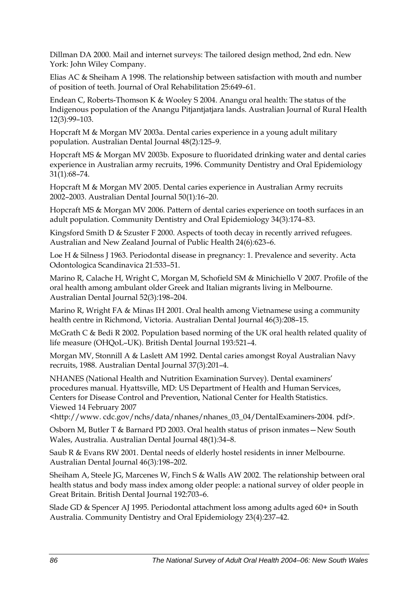Dillman DA 2000. Mail and internet surveys: The tailored design method, 2nd edn. New York: John Wiley Company.

Elias AC & Sheiham A 1998. The relationship between satisfaction with mouth and number of position of teeth. Journal of Oral Rehabilitation 25:649–61.

Endean C, Roberts-Thomson K & Wooley S 2004. Anangu oral health: The status of the Indigenous population of the Anangu Pitjantjatjara lands. Australian Journal of Rural Health 12(3)*:*99–103.

Hopcraft M & Morgan MV 2003a. Dental caries experience in a young adult military population. Australian Dental Journal 48(2)*:*125–9.

Hopcraft MS & Morgan MV 2003b. Exposure to fluoridated drinking water and dental caries experience in Australian army recruits, 1996. Community Dentistry and Oral Epidemiology 31(1)*:*68–74.

Hopcraft M & Morgan MV 2005. Dental caries experience in Australian Army recruits 2002–2003. Australian Dental Journal 50(1)*:*16–20.

Hopcraft MS & Morgan MV 2006. Pattern of dental caries experience on tooth surfaces in an adult population. Community Dentistry and Oral Epidemiology 34(3)*:*174–83.

Kingsford Smith D & Szuster F 2000. Aspects of tooth decay in recently arrived refugees. Australian and New Zealand Journal of Public Health 24(6)*:*623–6.

Loe H & Silness J 1963. Periodontal disease in pregnancy: 1. Prevalence and severity. Acta Odontologica Scandinavica 21:533–51.

Marino R, Calache H, Wright C, Morgan M, Schofield SM & Minichiello V 2007. Profile of the oral health among ambulant older Greek and Italian migrants living in Melbourne. Australian Dental Journal 52(3)*:*198–204.

Marino R, Wright FA & Minas IH 2001. Oral health among Vietnamese using a community health centre in Richmond, Victoria. Australian Dental Journal 46(3)*:*208–15.

McGrath C & Bedi R 2002. Population based norming of the UK oral health related quality of life measure (OHQoL–UK). British Dental Journal 193:521–4.

Morgan MV, Stonnill A & Laslett AM 1992. Dental caries amongst Royal Australian Navy recruits, 1988. Australian Dental Journal 37(3)*:*201–4.

NHANES (National Health and Nutrition Examination Survey). Dental examiners' procedures manual. Hyattsville, MD: US Department of Health and Human Services, Centers for Disease Control and Prevention, National Center for Health Statistics. Viewed 14 February 2007

<http://www. cdc.gov/nchs/data/nhanes/nhanes\_03\_04/DentalExaminers-2004. pdf>.

Osborn M, Butler T & Barnard PD 2003. Oral health status of prison inmates—New South Wales, Australia. Australian Dental Journal 48(1)*:*34–8.

Saub R & Evans RW 2001. Dental needs of elderly hostel residents in inner Melbourne. Australian Dental Journal 46(3)*:*198–202.

Sheiham A, Steele JG, Marcenes W, Finch S & Walls AW 2002. The relationship between oral health status and body mass index among older people: a national survey of older people in Great Britain. British Dental Journal 192:703–6.

Slade GD & Spencer AJ 1995. Periodontal attachment loss among adults aged 60+ in South Australia. Community Dentistry and Oral Epidemiology 23(4)*:*237–42.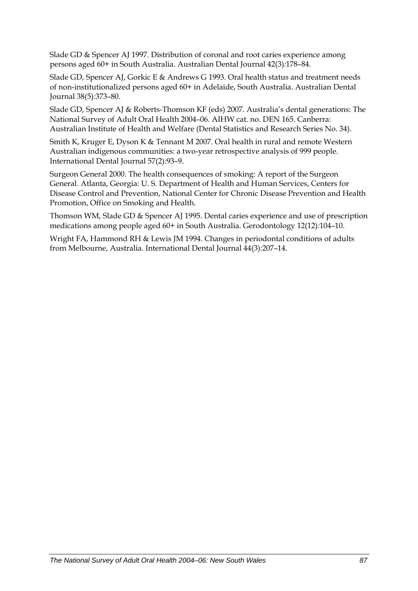Slade GD & Spencer AJ 1997. Distribution of coronal and root caries experience among persons aged 60+ in South Australia. Australian Dental Journal 42(3)*:*178–84.

Slade GD, Spencer AJ, Gorkic E & Andrews G 1993. Oral health status and treatment needs of non-institutionalized persons aged 60+ in Adelaide, South Australia. Australian Dental Journal 38(5)*:*373–80.

Slade GD, Spencer AJ & Roberts-Thomson KF (eds) 2007. Australia's dental generations: The National Survey of Adult Oral Health 2004–06. AIHW cat. no. DEN 165. Canberra: Australian Institute of Health and Welfare (Dental Statistics and Research Series No. 34).

Smith K, Kruger E, Dyson K & Tennant M 2007. Oral health in rural and remote Western Australian indigenous communities: a two-year retrospective analysis of 999 people. International Dental Journal 57(2)*:*93–9.

Surgeon General 2000. The health consequences of smoking: A report of the Surgeon General. Atlanta, Georgia: U. S. Department of Health and Human Services, Centers for Disease Control and Prevention, National Center for Chronic Disease Prevention and Health Promotion, Office on Smoking and Health.

Thomson WM, Slade GD & Spencer AJ 1995. Dental caries experience and use of prescription medications among people aged 60+ in South Australia. Gerodontology 12(12)*:*104–10.

Wright FA, Hammond RH & Lewis JM 1994. Changes in periodontal conditions of adults from Melbourne, Australia. International Dental Journal 44(3)*:*207–14.